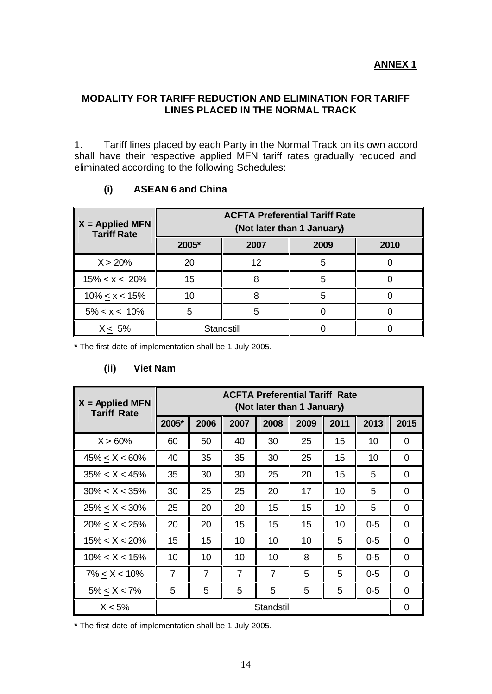## **MODALITY FOR TARIFF REDUCTION AND ELIMINATION FOR TARIFF LINES PLACED IN THE NORMAL TRACK**

1. Tariff lines placed by each Party in the Normal Track on its own accord shall have their respective applied MFN tariff rates gradually reduced and eliminated according to the following Schedules:

| $X =$ Applied MFN<br><b>Tariff Rate</b> | <b>ACFTA Preferential Tariff Rate</b><br>(Not later than 1 January) |      |      |      |  |  |
|-----------------------------------------|---------------------------------------------------------------------|------|------|------|--|--|
|                                         | 2005*                                                               | 2007 | 2009 | 2010 |  |  |
| X > 20%                                 | 20                                                                  | 12   |      |      |  |  |
| $15\% < x < 20\%$                       | 15                                                                  |      |      |      |  |  |
| $10\% < x < 15\%$                       | 10                                                                  |      |      |      |  |  |
| $5\% < x < 10\%$                        |                                                                     |      |      |      |  |  |
| $X < 5\%$                               | Standstill                                                          |      |      |      |  |  |

## **(i) ASEAN 6 and China**

**\*** The first date of implementation shall be 1 July 2005.

#### **(ii) Viet Nam**

| $X =$ Applied MFN<br><b>Tariff Rate</b> | <b>ACFTA Preferential Tariff Rate</b><br>(Not later than 1 January) |                |                |                |      |      |         |          |
|-----------------------------------------|---------------------------------------------------------------------|----------------|----------------|----------------|------|------|---------|----------|
|                                         | 2005*                                                               | 2006           | 2007           | 2008           | 2009 | 2011 | 2013    | 2015     |
| $X > 60\%$                              | 60                                                                  | 50             | 40             | 30             | 25   | 15   | 10      | 0        |
| $45\% < X < 60\%$                       | 40                                                                  | 35             | 35             | 30             | 25   | 15   | 10      | $\Omega$ |
| $35\% \le X < 45\%$                     | 35                                                                  | 30             | 30             | 25             | 20   | 15   | 5       | $\Omega$ |
| $30\% < X < 35\%$                       | 30                                                                  | 25             | 25             | 20             | 17   | 10   | 5       | 0        |
| $25\% < X < 30\%$                       | 25                                                                  | 20             | 20             | 15             | 15   | 10   | 5       | 0        |
| $20\% < X < 25\%$                       | 20                                                                  | 20             | 15             | 15             | 15   | 10   | $0 - 5$ | $\Omega$ |
| $15\% < X < 20\%$                       | 15                                                                  | 15             | 10             | 10             | 10   | 5    | $0 - 5$ | $\Omega$ |
| $10\% < X < 15\%$                       | 10                                                                  | 10             | 10             | 10             | 8    | 5    | $0 - 5$ | 0        |
| $7\% < X < 10\%$                        | $\overline{7}$                                                      | $\overline{7}$ | $\overline{7}$ | $\overline{7}$ | 5    | 5    | $0 - 5$ | $\Omega$ |
| $5\% < X < 7\%$                         | 5                                                                   | 5              | 5              | 5              | 5    | 5    | $0 - 5$ | $\Omega$ |
| $X < 5\%$                               |                                                                     | Standstill     |                | $\Omega$       |      |      |         |          |

**\*** The first date of implementation shall be 1 July 2005.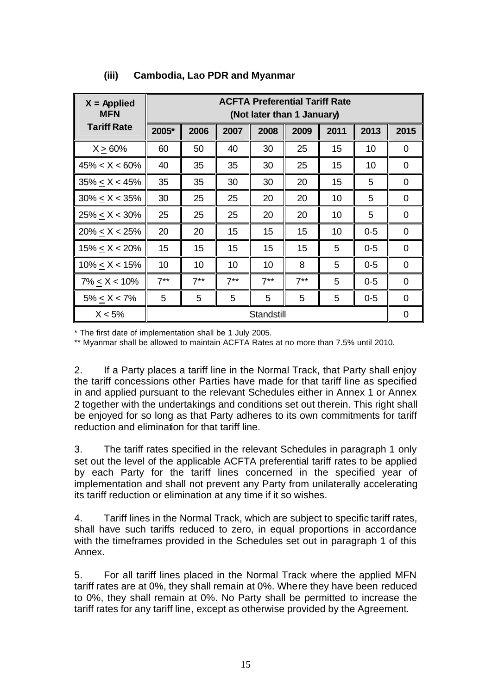| $X =$ Applied<br><b>MFN</b> | <b>ACFTA Preferential Tariff Rate</b><br>(Not later than 1 January) |        |        |            |        |      |         |                |
|-----------------------------|---------------------------------------------------------------------|--------|--------|------------|--------|------|---------|----------------|
| <b>Tariff Rate</b>          | 2005*                                                               | 2006   | 2007   | 2008       | 2009   | 2011 | 2013    | 2015           |
| $X > 60\%$                  | 60                                                                  | 50     | 40     | 30         | 25     | 15   | 10      | 0              |
| $45\% < X < 60\%$           | 40                                                                  | 35     | 35     | 30         | 25     | 15   | 10      | 0              |
| $35\% < X < 45\%$           | 35                                                                  | 35     | 30     | 30         | 20     | 15   | 5       | 0              |
| $30\% < X < 35\%$           | 30                                                                  | 25     | 25     | 20         | 20     | 10   | 5       | 0              |
| $25\% < X < 30\%$           | 25                                                                  | 25     | 25     | 20         | 20     | 10   | 5       | 0              |
| $20\% < X < 25\%$           | 20                                                                  | 20     | 15     | 15         | 15     | 10   | $0-5$   | $\overline{0}$ |
| $15\% < X < 20\%$           | 15                                                                  | 15     | 15     | 15         | 15     | 5    | $0 - 5$ | $\Omega$       |
| $10\% < X < 15\%$           | 10                                                                  | 10     | 10     | 10         | 8      | 5    | $0 - 5$ | $\Omega$       |
| $7\% < X < 10\%$            | $7***$                                                              | $7***$ | $7***$ | $7***$     | $7***$ | 5    | $0-5$   | $\Omega$       |
| $5\% < X < 7\%$             | 5                                                                   | 5      | 5      | 5          | 5      | 5    | $0 - 5$ | 0              |
| $X < 5\%$                   |                                                                     |        |        | Standstill |        |      |         | 0              |

## **(iii) Cambodia, Lao PDR and Myanmar**

\* The first date of implementation shall be 1 July 2005.

\*\* Myanmar shall be allowed to maintain ACFTA Rates at no more than 7.5% until 2010.

2. If a Party places a tariff line in the Normal Track, that Party shall enjoy the tariff concessions other Parties have made for that tariff line as specified in and applied pursuant to the relevant Schedules either in Annex 1 or Annex 2 together with the undertakings and conditions set out therein. This right shall be enjoyed for so long as that Party adheres to its own commitments for tariff reduction and elimination for that tariff line.

3. The tariff rates specified in the relevant Schedules in paragraph 1 only set out the level of the applicable ACFTA preferential tariff rates to be applied by each Party for the tariff lines concerned in the specified year of implementation and shall not prevent any Party from unilaterally accelerating its tariff reduction or elimination at any time if it so wishes.

4. Tariff lines in the Normal Track, which are subject to specific tariff rates, shall have such tariffs reduced to zero, in equal proportions in accordance with the timeframes provided in the Schedules set out in paragraph 1 of this Annex.

5. For all tariff lines placed in the Normal Track where the applied MFN tariff rates are at 0%, they shall remain at 0%. Where they have been reduced to 0%, they shall remain at 0%. No Party shall be permitted to increase the tariff rates for any tariff line, except as otherwise provided by the Agreement.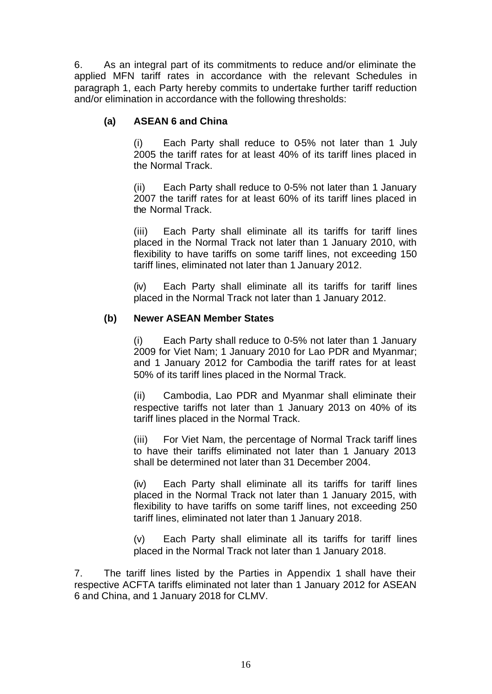6. As an integral part of its commitments to reduce and/or eliminate the applied MFN tariff rates in accordance with the relevant Schedules in paragraph 1, each Party hereby commits to undertake further tariff reduction and/or elimination in accordance with the following thresholds:

## **(a) ASEAN 6 and China**

(i) Each Party shall reduce to 0-5% not later than 1 July 2005 the tariff rates for at least 40% of its tariff lines placed in the Normal Track.

(ii) Each Party shall reduce to 0-5% not later than 1 January 2007 the tariff rates for at least 60% of its tariff lines placed in the Normal Track.

(iii) Each Party shall eliminate all its tariffs for tariff lines placed in the Normal Track not later than 1 January 2010, with flexibility to have tariffs on some tariff lines, not exceeding 150 tariff lines, eliminated not later than 1 January 2012.

(iv) Each Party shall eliminate all its tariffs for tariff lines placed in the Normal Track not later than 1 January 2012.

### **(b) Newer ASEAN Member States**

(i) Each Party shall reduce to 0-5% not later than 1 January 2009 for Viet Nam; 1 January 2010 for Lao PDR and Myanmar; and 1 January 2012 for Cambodia the tariff rates for at least 50% of its tariff lines placed in the Normal Track.

(ii) Cambodia, Lao PDR and Myanmar shall eliminate their respective tariffs not later than 1 January 2013 on 40% of its tariff lines placed in the Normal Track.

(iii) For Viet Nam, the percentage of Normal Track tariff lines to have their tariffs eliminated not later than 1 January 2013 shall be determined not later than 31 December 2004.

(iv) Each Party shall eliminate all its tariffs for tariff lines placed in the Normal Track not later than 1 January 2015, with flexibility to have tariffs on some tariff lines, not exceeding 250 tariff lines, eliminated not later than 1 January 2018.

(v) Each Party shall eliminate all its tariffs for tariff lines placed in the Normal Track not later than 1 January 2018.

7. The tariff lines listed by the Parties in Appendix 1 shall have their respective ACFTA tariffs eliminated not later than 1 January 2012 for ASEAN 6 and China, and 1 January 2018 for CLMV.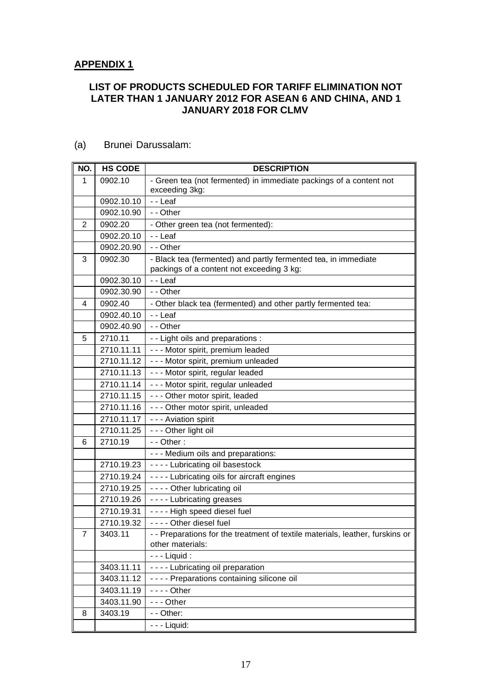### **APPENDIX 1**

#### **LIST OF PRODUCTS SCHEDULED FOR TARIFF ELIMINATION NOT LATER THAN 1 JANUARY 2012 FOR ASEAN 6 AND CHINA, AND 1 JANUARY 2018 FOR CLMV**

| NO.            | <b>HS CODE</b> | <b>DESCRIPTION</b>                                                                                          |
|----------------|----------------|-------------------------------------------------------------------------------------------------------------|
| 1              | 0902.10        | - Green tea (not fermented) in immediate packings of a content not<br>exceeding 3kg:                        |
|                | 0902.10.10     | - - Leaf                                                                                                    |
|                | 0902.10.90     | - - Other                                                                                                   |
| $\overline{2}$ | 0902.20        | - Other green tea (not fermented):                                                                          |
|                | 0902.20.10     | - - Leaf                                                                                                    |
|                | 0902.20.90     | - - Other                                                                                                   |
| 3              | 0902.30        | - Black tea (fermented) and partly fermented tea, in immediate<br>packings of a content not exceeding 3 kg: |
|                | 0902.30.10     | - - Leaf                                                                                                    |
|                | 0902.30.90     | - - Other                                                                                                   |
| 4              | 0902.40        | - Other black tea (fermented) and other partly fermented tea:                                               |
|                | 0902.40.10     | - - Leaf                                                                                                    |
|                | 0902.40.90     | - - Other                                                                                                   |
| 5              | 2710.11        | - - Light oils and preparations :                                                                           |
|                | 2710.11.11     | - - - Motor spirit, premium leaded                                                                          |
|                | 2710.11.12     | - - - Motor spirit, premium unleaded                                                                        |
|                | 2710.11.13     | - - - Motor spirit, regular leaded                                                                          |
|                | 2710.11.14     | - - - Motor spirit, regular unleaded                                                                        |
|                | 2710.11.15     | - - - Other motor spirit, leaded                                                                            |
|                | 2710.11.16     | - - - Other motor spirit, unleaded                                                                          |
|                | 2710.11.17     | - - - Aviation spirit                                                                                       |
|                | 2710.11.25     | - - - Other light oil                                                                                       |
| 6              | 2710.19        | $-$ - Other :                                                                                               |
|                |                | - - - Medium oils and preparations:                                                                         |
|                | 2710.19.23     | ---- Lubricating oil basestock                                                                              |
|                | 2710.19.24     | - - - - Lubricating oils for aircraft engines                                                               |
|                | 2710.19.25     | - - - - Other lubricating oil                                                                               |
|                | 2710.19.26     | - - - - Lubricating greases                                                                                 |
|                | 2710.19.31     | ---- High speed diesel fuel                                                                                 |
|                | 2710.19.32     | - - - - Other diesel fuel                                                                                   |
| 7              | 3403.11        | - - Preparations for the treatment of textile materials, leather, furskins or<br>other materials:           |
|                |                | $--$ Liquid :                                                                                               |
|                | 3403.11.11     | - - - - Lubricating oil preparation                                                                         |
|                | 3403.11.12     | ---- Preparations containing silicone oil                                                                   |
|                | 3403.11.19     | $--$ Other                                                                                                  |
|                | 3403.11.90     | $- -$ Other                                                                                                 |
| 8              | 3403.19        | - - Other:                                                                                                  |
|                |                | $- -$ Liquid:                                                                                               |

#### (a) Brunei Darussalam: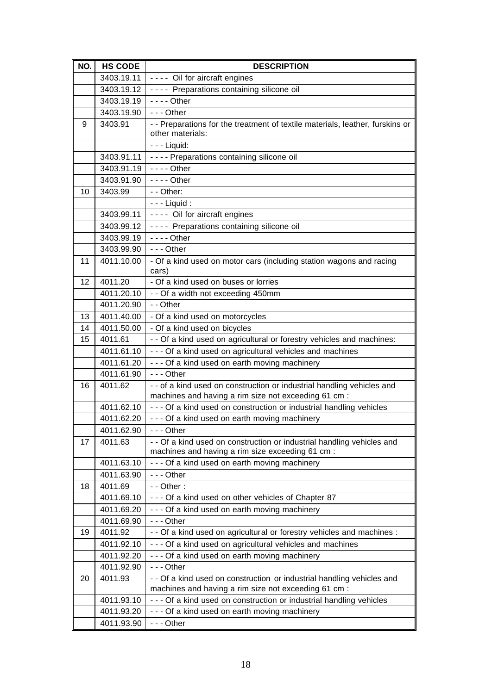| NO. | <b>HS CODE</b> | <b>DESCRIPTION</b>                                                                                                             |
|-----|----------------|--------------------------------------------------------------------------------------------------------------------------------|
|     | 3403.19.11     | ---- Oil for aircraft engines                                                                                                  |
|     | 3403.19.12     | ---- Preparations containing silicone oil                                                                                      |
|     | 3403.19.19     | $--$ Other                                                                                                                     |
|     | 3403.19.90     | $- -$ Other                                                                                                                    |
| 9   | 3403.91        | - - Preparations for the treatment of textile materials, leather, furskins or<br>other materials:                              |
|     |                | $- -$ Liquid:                                                                                                                  |
|     | 3403.91.11     | - - - - Preparations containing silicone oil                                                                                   |
|     | 3403.91.19     | $--$ Other                                                                                                                     |
|     | 3403.91.90     | $--$ Other                                                                                                                     |
| 10  | 3403.99        | - - Other:                                                                                                                     |
|     |                | $--$ Liquid :                                                                                                                  |
|     | 3403.99.11     | ---- Oil for aircraft engines                                                                                                  |
|     | 3403.99.12     | ---- Preparations containing silicone oil                                                                                      |
|     | 3403.99.19     | $--$ Other                                                                                                                     |
|     | 3403.99.90     | $- -$ - Other                                                                                                                  |
| 11  | 4011.10.00     | - Of a kind used on motor cars (including station wagons and racing                                                            |
|     |                | cars)                                                                                                                          |
| 12  | 4011.20        | - Of a kind used on buses or lorries                                                                                           |
|     | 4011.20.10     | - - Of a width not exceeding 450mm                                                                                             |
|     | 4011.20.90     | - - Other                                                                                                                      |
| 13  | 4011.40.00     | - Of a kind used on motorcycles                                                                                                |
| 14  | 4011.50.00     | - Of a kind used on bicycles                                                                                                   |
| 15  | 4011.61        | - - Of a kind used on agricultural or forestry vehicles and machines:                                                          |
|     | 4011.61.10     | - - - Of a kind used on agricultural vehicles and machines                                                                     |
|     | 4011.61.20     | - - - Of a kind used on earth moving machinery                                                                                 |
|     | 4011.61.90     | $- -$ - Other                                                                                                                  |
| 16  | 4011.62        | - - of a kind used on construction or industrial handling vehicles and<br>machines and having a rim size not exceeding 61 cm : |
|     | 4011.62.10     | - - - Of a kind used on construction or industrial handling vehicles                                                           |
|     | 4011.62.20     | --- Of a kind used on earth moving machinery                                                                                   |
|     | 4011.62.90     | --- Other                                                                                                                      |
| 17  | 4011.63        | - - Of a kind used on construction or industrial handling vehicles and<br>machines and having a rim size exceeding 61 cm :     |
|     | 4011.63.10     | --- Of a kind used on earth moving machinery                                                                                   |
|     | 4011.63.90     | $- -$ Other                                                                                                                    |
| 18  | 4011.69        | $-$ - Other :                                                                                                                  |
|     | 4011.69.10     | --- Of a kind used on other vehicles of Chapter 87                                                                             |
|     | 4011.69.20     | --- Of a kind used on earth moving machinery                                                                                   |
|     | 4011.69.90     | $- -$ Other                                                                                                                    |
| 19  | 4011.92        | - - Of a kind used on agricultural or forestry vehicles and machines :                                                         |
|     | 4011.92.10     | - - - Of a kind used on agricultural vehicles and machines                                                                     |
|     | 4011.92.20     | --- Of a kind used on earth moving machinery                                                                                   |
|     | 4011.92.90     | --- Other                                                                                                                      |
| 20  | 4011.93        | - - Of a kind used on construction or industrial handling vehicles and                                                         |
|     |                | machines and having a rim size not exceeding 61 cm :                                                                           |
|     | 4011.93.10     | - - - Of a kind used on construction or industrial handling vehicles                                                           |
|     | 4011.93.20     | - - - Of a kind used on earth moving machinery                                                                                 |
|     | 4011.93.90     | --- Other                                                                                                                      |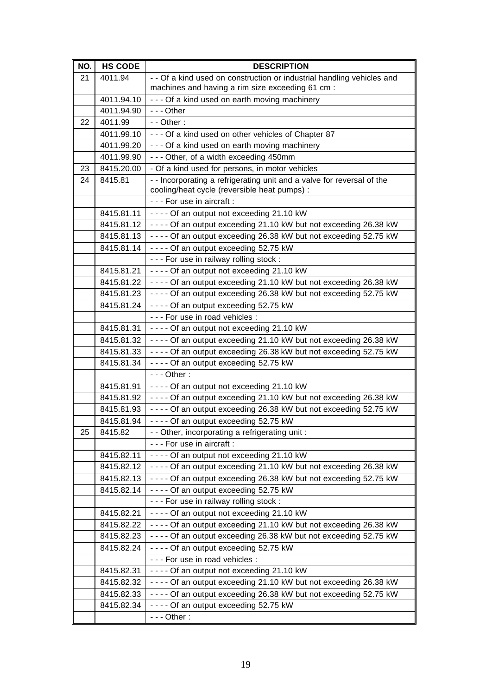| NO. | <b>HS CODE</b>           | <b>DESCRIPTION</b>                                                                                          |
|-----|--------------------------|-------------------------------------------------------------------------------------------------------------|
| 21  | 4011.94                  | - - Of a kind used on construction or industrial handling vehicles and                                      |
|     |                          | machines and having a rim size exceeding 61 cm :                                                            |
|     | 4011.94.10               | --- Of a kind used on earth moving machinery                                                                |
|     | 4011.94.90               | $- -$ - Other                                                                                               |
| 22  | 4011.99                  | $-$ - Other :                                                                                               |
|     | 4011.99.10               | --- Of a kind used on other vehicles of Chapter 87                                                          |
|     | 4011.99.20               | --- Of a kind used on earth moving machinery                                                                |
|     | 4011.99.90               | --- Other, of a width exceeding 450mm                                                                       |
| 23  | 8415.20.00               | - Of a kind used for persons, in motor vehicles                                                             |
| 24  | 8415.81                  | - - Incorporating a refrigerating unit and a valve for reversal of the                                      |
|     |                          | cooling/heat cycle (reversible heat pumps) :                                                                |
|     |                          | - - - For use in aircraft :                                                                                 |
|     | 8415.81.11               | ---- Of an output not exceeding 21.10 kW                                                                    |
|     | 8415.81.12               | ---- Of an output exceeding 21.10 kW but not exceeding 26.38 kW                                             |
|     | 8415.81.13               | - - - - Of an output exceeding 26.38 kW but not exceeding 52.75 kW                                          |
|     | 8415.81.14               | ---- Of an output exceeding 52.75 kW                                                                        |
|     |                          | --- For use in railway rolling stock :                                                                      |
|     | 8415.81.21               | ---- Of an output not exceeding 21.10 kW                                                                    |
|     | 8415.81.22               | ---- Of an output exceeding 21.10 kW but not exceeding 26.38 kW                                             |
|     | 8415.81.23               | ---- Of an output exceeding 26.38 kW but not exceeding 52.75 kW                                             |
|     | 8415.81.24               | ---- Of an output exceeding 52.75 kW                                                                        |
|     |                          | - - - For use in road vehicles :                                                                            |
|     | 8415.81.31               | ---- Of an output not exceeding 21.10 kW                                                                    |
|     | 8415.81.32               | ---- Of an output exceeding 21.10 kW but not exceeding 26.38 kW                                             |
|     | 8415.81.33               | - - - - Of an output exceeding 26.38 kW but not exceeding 52.75 kW                                          |
|     | 8415.81.34               | - - - - Of an output exceeding 52.75 kW                                                                     |
|     |                          | $--$ Other:                                                                                                 |
|     | 8415.81.91               | ---- Of an output not exceeding 21.10 kW                                                                    |
|     | 8415.81.92               | ---- Of an output exceeding 21.10 kW but not exceeding 26.38 kW                                             |
|     | 8415.81.93               | - - - - Of an output exceeding 26.38 kW but not exceeding 52.75 kW                                          |
|     | 8415.81.94               | ---- Of an output exceeding 52.75 kW                                                                        |
| 25  | 8415.82                  | - Other, incorporating a refrigerating unit:                                                                |
|     |                          | - - - For use in aircraft :                                                                                 |
|     | 8415.82.11               | ---- Of an output not exceeding 21.10 kW<br>---- Of an output exceeding 21.10 kW but not exceeding 26.38 kW |
|     | 8415.82.12<br>8415.82.13 | ---- Of an output exceeding 26.38 kW but not exceeding 52.75 kW                                             |
|     | 8415.82.14               |                                                                                                             |
|     |                          | ---- Of an output exceeding 52.75 kW                                                                        |
|     | 8415.82.21               | - - - For use in railway rolling stock :<br>---- Of an output not exceeding 21.10 kW                        |
|     |                          | ---- Of an output exceeding 21.10 kW but not exceeding 26.38 kW                                             |
|     | 8415.82.22<br>8415.82.23 | ---- Of an output exceeding 26.38 kW but not exceeding 52.75 kW                                             |
|     | 8415.82.24               | ---- Of an output exceeding 52.75 kW                                                                        |
|     |                          | --- For use in road vehicles :                                                                              |
|     | 8415.82.31               | - - - - Of an output not exceeding 21.10 kW                                                                 |
|     | 8415.82.32               | - - - - Of an output exceeding 21.10 kW but not exceeding 26.38 kW                                          |
|     | 8415.82.33               | - - - - Of an output exceeding 26.38 kW but not exceeding 52.75 kW                                          |
|     | 8415.82.34               | ---- Of an output exceeding 52.75 kW                                                                        |
|     |                          | $--$ Other:                                                                                                 |
|     |                          |                                                                                                             |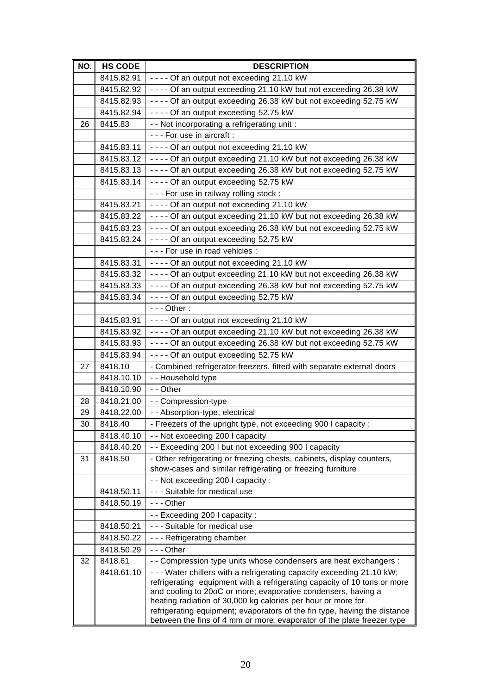| NO. | <b>HS CODE</b>        | <b>DESCRIPTION</b>                                                                                                                                  |
|-----|-----------------------|-----------------------------------------------------------------------------------------------------------------------------------------------------|
|     | 8415.82.91            | ---- Of an output not exceeding 21.10 kW                                                                                                            |
|     | 8415.82.92            | - - - - Of an output exceeding 21.10 kW but not exceeding 26.38 kW                                                                                  |
|     | 8415.82.93            | ---- Of an output exceeding 26.38 kW but not exceeding 52.75 kW                                                                                     |
|     | 8415.82.94            | ---- Of an output exceeding 52.75 kW                                                                                                                |
| 26  | 8415.83               | - - Not incorporating a refrigerating unit :                                                                                                        |
|     |                       | - - - For use in aircraft :                                                                                                                         |
|     | 8415.83.11            | ---- Of an output not exceeding 21.10 kW                                                                                                            |
|     | 8415.83.12            | - - - - Of an output exceeding 21.10 kW but not exceeding 26.38 kW                                                                                  |
|     | 8415.83.13            | - - - - Of an output exceeding 26.38 kW but not exceeding 52.75 kW                                                                                  |
|     | 8415.83.14            | ---- Of an output exceeding 52.75 kW                                                                                                                |
|     |                       | - - - For use in railway rolling stock :                                                                                                            |
|     | 8415.83.21            | ---- Of an output not exceeding 21.10 kW                                                                                                            |
|     | 8415.83.22            | - - - - Of an output exceeding 21.10 kW but not exceeding 26.38 kW                                                                                  |
|     | 8415.83.23            | - - - - Of an output exceeding 26.38 kW but not exceeding 52.75 kW                                                                                  |
|     | 8415.83.24            | ---- Of an output exceeding 52.75 kW                                                                                                                |
|     |                       | --- For use in road vehicles :                                                                                                                      |
|     | 8415.83.31            | ---- Of an output not exceeding 21.10 kW                                                                                                            |
|     | 8415.83.32            | ---- Of an output exceeding 21.10 kW but not exceeding 26.38 kW                                                                                     |
|     | 8415.83.33            | - - - - Of an output exceeding 26.38 kW but not exceeding 52.75 kW                                                                                  |
|     | 8415.83.34            | ---- Of an output exceeding 52.75 kW                                                                                                                |
|     |                       | $--$ Other:                                                                                                                                         |
|     | 8415.83.91            | ---- Of an output not exceeding 21.10 kW                                                                                                            |
|     | 8415.83.92            | - - - - Of an output exceeding 21.10 kW but not exceeding 26.38 kW                                                                                  |
|     | 8415.83.93            | - - - - Of an output exceeding 26.38 kW but not exceeding 52.75 kW                                                                                  |
|     | 8415.83.94            | ---- Of an output exceeding 52.75 kW                                                                                                                |
| 27  | 8418.10               | - Combined refrigerator-freezers, fitted with separate external doors                                                                               |
|     | 8418.10.10            | - - Household type                                                                                                                                  |
|     | 8418.10.90            | - - Other                                                                                                                                           |
| 28  | 8418.21.00            | - - Compression-type                                                                                                                                |
| 29  | 8418.22.00            | - - Absorption-type, electrical                                                                                                                     |
| 30  | 8418.40               | - Freezers of the upright type, not exceeding 900 I capacity :                                                                                      |
|     | 8418.40.10            | - - Not exceeding 200 I capacity                                                                                                                    |
|     | 8418.40.20            | - - Exceeding 200 I but not exceeding 900 I capacity                                                                                                |
| 31  | 8418.50               | - Other refrigerating or freezing chests, cabinets, display counters,                                                                               |
|     |                       | show-cases and similar refrigerating or freezing furniture                                                                                          |
|     | 8418.50.11            | - - Not exceeding 200 I capacity :<br>- - - Suitable for medical use                                                                                |
|     |                       | $- -$ - Other                                                                                                                                       |
|     | 8418.50.19            |                                                                                                                                                     |
|     | 8418.50.21            | - - Exceeding 200 I capacity :<br>- - - Suitable for medical use                                                                                    |
|     | 8418.50.22            | --- Refrigerating chamber                                                                                                                           |
|     |                       | $- -$ Other                                                                                                                                         |
| 32  | 8418.50.29<br>8418.61 | - Compression type units whose condensers are heat exchangers :                                                                                     |
|     | 8418.61.10            | - - - Water chillers with a refrigerating capacity exceeding 21.10 kW;                                                                              |
|     |                       | refrigerating equipment with a refrigerating capacity of 10 tons or more                                                                            |
|     |                       | and cooling to 20oC or more; evaporative condensers, having a                                                                                       |
|     |                       | heating radiation of 30,000 kg calories per hour or more for                                                                                        |
|     |                       | refrigerating equipment; evaporators of the fin type, having the distance<br>between the fins of 4 mm or more; evaporator of the plate freezer type |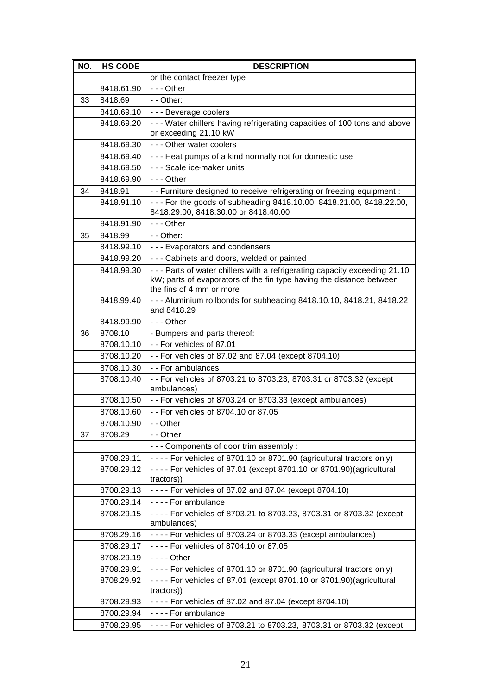| NO. | <b>HS CODE</b> | <b>DESCRIPTION</b>                                                                                                                                                              |
|-----|----------------|---------------------------------------------------------------------------------------------------------------------------------------------------------------------------------|
|     |                | or the contact freezer type                                                                                                                                                     |
|     | 8418.61.90     | $- -$ - Other                                                                                                                                                                   |
| 33  | 8418.69        | - - Other:                                                                                                                                                                      |
|     | 8418.69.10     | - - - Beverage coolers                                                                                                                                                          |
|     | 8418.69.20     | - - - Water chillers having refrigerating capacities of 100 tons and above<br>or exceeding 21.10 kW                                                                             |
|     | 8418.69.30     | - - - Other water coolers                                                                                                                                                       |
|     | 8418.69.40     | - - - Heat pumps of a kind normally not for domestic use                                                                                                                        |
|     | 8418.69.50     | - - - Scale ice-maker units                                                                                                                                                     |
|     | 8418.69.90     | $--$ Other                                                                                                                                                                      |
| 34  | 8418.91        | - - Furniture designed to receive refrigerating or freezing equipment :                                                                                                         |
|     | 8418.91.10     | - - - For the goods of subheading 8418.10.00, 8418.21.00, 8418.22.00,<br>8418.29.00, 8418.30.00 or 8418.40.00                                                                   |
|     | 8418.91.90     | $- -$ - Other                                                                                                                                                                   |
| 35  | 8418.99        | - - Other:                                                                                                                                                                      |
|     | 8418.99.10     | - - - Evaporators and condensers                                                                                                                                                |
|     | 8418.99.20     | - - - Cabinets and doors, welded or painted                                                                                                                                     |
|     | 8418.99.30     | - - - Parts of water chillers with a refrigerating capacity exceeding 21.10<br>kW; parts of evaporators of the fin type having the distance between<br>the fins of 4 mm or more |
|     | 8418.99.40     | - - - Aluminium rollbonds for subheading 8418.10.10, 8418.21, 8418.22<br>and 8418.29                                                                                            |
|     | 8418.99.90     | $- -$ Other                                                                                                                                                                     |
| 36  | 8708.10        | - Bumpers and parts thereof:                                                                                                                                                    |
|     | 8708.10.10     | -- For vehicles of 87.01                                                                                                                                                        |
|     | 8708.10.20     | - - For vehicles of 87.02 and 87.04 (except 8704.10)                                                                                                                            |
|     | 8708.10.30     | - - For ambulances                                                                                                                                                              |
|     | 8708.10.40     | - - For vehicles of 8703.21 to 8703.23, 8703.31 or 8703.32 (except<br>ambulances)                                                                                               |
|     | 8708.10.50     | -- For vehicles of 8703.24 or 8703.33 (except ambulances)                                                                                                                       |
|     | 8708.10.60     | - - For vehicles of 8704.10 or 87.05                                                                                                                                            |
|     | 8708.10.90     | - - Other                                                                                                                                                                       |
| 37  | 8708.29        | - - Other                                                                                                                                                                       |
|     |                | - - - Components of door trim assembly :                                                                                                                                        |
|     | 8708.29.11     | ---- For vehicles of 8701.10 or 8701.90 (agricultural tractors only)                                                                                                            |
|     | 8708.29.12     | - - - - For vehicles of 87.01 (except 8701.10 or 8701.90)(agricultural<br>tractors))                                                                                            |
|     | 8708.29.13     | - - - - For vehicles of 87.02 and 87.04 (except 8704.10)                                                                                                                        |
|     | 8708.29.14     | - - - - For ambulance                                                                                                                                                           |
|     | 8708.29.15     | - - - - For vehicles of 8703.21 to 8703.23, 8703.31 or 8703.32 (except<br>ambulances)                                                                                           |
|     | 8708.29.16     | ---- For vehicles of 8703.24 or 8703.33 (except ambulances)                                                                                                                     |
|     | 8708.29.17     | - - - - For vehicles of 8704.10 or 87.05                                                                                                                                        |
|     | 8708.29.19     | $--$ Other                                                                                                                                                                      |
|     | 8708.29.91     | - - - - For vehicles of 8701.10 or 8701.90 (agricultural tractors only)                                                                                                         |
|     | 8708.29.92     | - - - - For vehicles of 87.01 (except 8701.10 or 8701.90)(agricultural                                                                                                          |
|     |                | tractors))                                                                                                                                                                      |
|     | 8708.29.93     | ---- For vehicles of 87.02 and 87.04 (except 8704.10)                                                                                                                           |
|     | 8708.29.94     | - - - - For ambulance                                                                                                                                                           |
|     | 8708.29.95     | ---- For vehicles of 8703.21 to 8703.23, 8703.31 or 8703.32 (except                                                                                                             |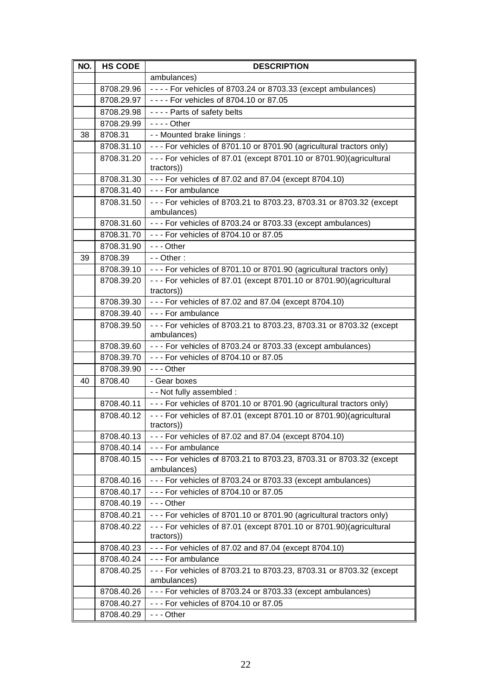| NO. | <b>HS CODE</b> | <b>DESCRIPTION</b>                                                                  |
|-----|----------------|-------------------------------------------------------------------------------------|
|     |                | ambulances)                                                                         |
|     | 8708.29.96     | ---- For vehicles of 8703.24 or 8703.33 (except ambulances)                         |
|     | 8708.29.97     | ---- For vehicles of 8704.10 or 87.05                                               |
|     | 8708.29.98     | - - - - Parts of safety belts                                                       |
|     | 8708.29.99     | $--$ Other                                                                          |
| 38  | 8708.31        | - - Mounted brake linings :                                                         |
|     | 8708.31.10     | --- For vehicles of 8701.10 or 8701.90 (agricultural tractors only)                 |
|     | 8708.31.20     | - - - For vehicles of 87.01 (except 8701.10 or 8701.90)(agricultural<br>tractors))  |
|     | 8708.31.30     | --- For vehicles of 87.02 and 87.04 (except 8704.10)                                |
|     | 8708.31.40     | --- For ambulance                                                                   |
|     | 8708.31.50     | - - - For vehicles of 8703.21 to 8703.23, 8703.31 or 8703.32 (except<br>ambulances) |
|     | 8708.31.60     | --- For vehicles of 8703.24 or 8703.33 (except ambulances)                          |
|     | 8708.31.70     | --- For vehicles of 8704.10 or 87.05                                                |
|     | 8708.31.90     | $- -$ - Other                                                                       |
| 39  | 8708.39        | $-$ - Other :                                                                       |
|     | 8708.39.10     | - - - For vehicles of 8701.10 or 8701.90 (agricultural tractors only)               |
|     | 8708.39.20     | - - - For vehicles of 87.01 (except 8701.10 or 8701.90)(agricultural<br>tractors))  |
|     | 8708.39.30     | - - - For vehicles of 87.02 and 87.04 (except 8704.10)                              |
|     | 8708.39.40     | - - - For ambulance                                                                 |
|     | 8708.39.50     | - - - For vehicles of 8703.21 to 8703.23, 8703.31 or 8703.32 (except<br>ambulances) |
|     | 8708.39.60     | - - - For vehicles of 8703.24 or 8703.33 (except ambulances)                        |
|     | 8708.39.70     | - - - For vehicles of 8704.10 or 87.05                                              |
|     | 8708.39.90     | $- -$ - Other                                                                       |
| 40  | 8708.40        | - Gear boxes                                                                        |
|     |                | - - Not fully assembled :                                                           |
|     | 8708.40.11     | --- For vehicles of 8701.10 or 8701.90 (agricultural tractors only)                 |
|     | 8708.40.12     | - - - For vehicles of 87.01 (except 8701.10 or 8701.90)(agricultural<br>tractors))  |
|     | 8708.40.13     | - - - For vehicles of 87.02 and 87.04 (except 8704.10)                              |
|     | 8708.40.14     | - - - For ambulance                                                                 |
|     | 8708.40.15     | - - - For vehicles of 8703.21 to 8703.23, 8703.31 or 8703.32 (except<br>ambulances) |
|     | 8708.40.16     | --- For vehicles of 8703.24 or 8703.33 (except ambulances)                          |
|     | 8708.40.17     | --- For vehicles of 8704.10 or 87.05                                                |
|     | 8708.40.19     | $- -$ - Other                                                                       |
|     | 8708.40.21     | - - - For vehicles of 8701.10 or 8701.90 (agricultural tractors only)               |
|     | 8708.40.22     | - - - For vehicles of 87.01 (except 8701.10 or 8701.90)(agricultural<br>tractors))  |
|     | 8708.40.23     | - - - For vehicles of 87.02 and 87.04 (except 8704.10)                              |
|     | 8708.40.24     | - - - For ambulance                                                                 |
|     | 8708.40.25     | --- For vehicles of 8703.21 to 8703.23, 8703.31 or 8703.32 (except                  |
|     |                | ambulances)                                                                         |
|     | 8708.40.26     | - - - For vehicles of 8703.24 or 8703.33 (except ambulances)                        |
|     | 8708.40.27     | - - - For vehicles of 8704.10 or 87.05                                              |
|     | 8708.40.29     | --- Other                                                                           |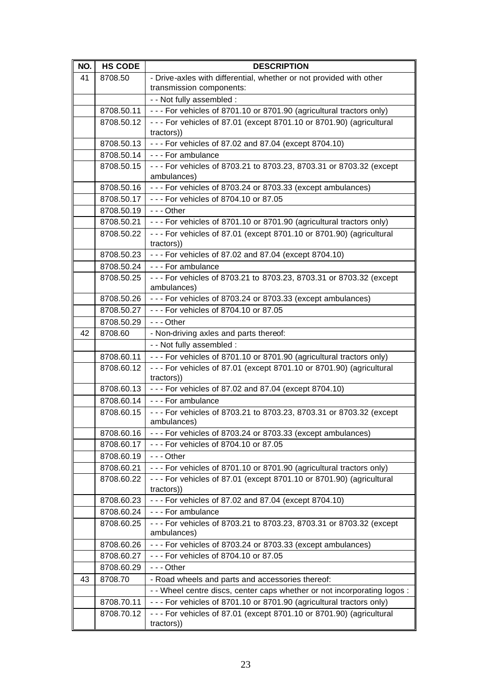| NO. | <b>HS CODE</b> | <b>DESCRIPTION</b>                                                                  |
|-----|----------------|-------------------------------------------------------------------------------------|
| 41  | 8708.50        | - Drive-axles with differential, whether or not provided with other                 |
|     |                | transmission components:                                                            |
|     |                | - - Not fully assembled :                                                           |
|     | 8708.50.11     | --- For vehicles of 8701.10 or 8701.90 (agricultural tractors only)                 |
|     | 8708.50.12     | - - - For vehicles of 87.01 (except 8701.10 or 8701.90) (agricultural               |
|     |                | tractors))                                                                          |
|     | 8708.50.13     | - - - For vehicles of 87.02 and 87.04 (except 8704.10)                              |
|     | 8708.50.14     | --- For ambulance                                                                   |
|     | 8708.50.15     | - - - For vehicles of 8703.21 to 8703.23, 8703.31 or 8703.32 (except<br>ambulances) |
|     | 8708.50.16     | --- For vehicles of 8703.24 or 8703.33 (except ambulances)                          |
|     | 8708.50.17     | - - - For vehicles of 8704.10 or 87.05                                              |
|     | 8708.50.19     | - - - Other                                                                         |
|     | 8708.50.21     | - - - For vehicles of 8701.10 or 8701.90 (agricultural tractors only)               |
|     | 8708.50.22     | - - - For vehicles of 87.01 (except 8701.10 or 8701.90) (agricultural               |
|     |                | tractors))                                                                          |
|     | 8708.50.23     | - - - For vehicles of 87.02 and 87.04 (except 8704.10)                              |
|     | 8708.50.24     | - - - For ambulance                                                                 |
|     | 8708.50.25     | --- For vehicles of 8703.21 to 8703.23, 8703.31 or 8703.32 (except                  |
|     |                | ambulances)                                                                         |
|     | 8708.50.26     | --- For vehicles of 8703.24 or 8703.33 (except ambulances)                          |
|     | 8708.50.27     | --- For vehicles of 8704.10 or 87.05                                                |
|     | 8708.50.29     | $- -$ - Other                                                                       |
| 42  | 8708.60        | - Non-driving axles and parts thereof:                                              |
|     |                | - - Not fully assembled :                                                           |
|     | 8708.60.11     | - - - For vehicles of 8701.10 or 8701.90 (agricultural tractors only)               |
|     | 8708.60.12     | - - - For vehicles of 87.01 (except 8701.10 or 8701.90) (agricultural               |
|     |                | tractors))                                                                          |
|     | 8708.60.13     | - - - For vehicles of 87.02 and 87.04 (except 8704.10)                              |
|     | 8708.60.14     | - - - For ambulance                                                                 |
|     | 8708.60.15     | - - - For vehicles of 8703.21 to 8703.23, 8703.31 or 8703.32 (except<br>ambulances) |
|     | 8708.60.16     | - - - For vehicles of 8703.24 or 8703.33 (except ambulances)                        |
|     | 8708.60.17     | --- For vehicles of 8704.10 or 87.05                                                |
|     | 8708.60.19     | --- Other                                                                           |
|     | 8708.60.21     | - - - For vehicles of 8701.10 or 8701.90 (agricultural tractors only)               |
|     | 8708.60.22     | - - - For vehicles of 87.01 (except 8701.10 or 8701.90) (agricultural               |
|     |                | tractors))                                                                          |
|     | 8708.60.23     | - - - For vehicles of 87.02 and 87.04 (except 8704.10)                              |
|     | 8708.60.24     | - - - For ambulance                                                                 |
|     | 8708.60.25     | - - - For vehicles of 8703.21 to 8703.23, 8703.31 or 8703.32 (except<br>ambulances) |
|     | 8708.60.26     | - - - For vehicles of 8703.24 or 8703.33 (except ambulances)                        |
|     | 8708.60.27     | --- For vehicles of 8704.10 or 87.05                                                |
|     | 8708.60.29     | $- -$ - Other                                                                       |
| 43  | 8708.70        | - Road wheels and parts and accessories thereof:                                    |
|     |                | - Wheel centre discs, center caps whether or not incorporating logos :              |
|     | 8708.70.11     | - - - For vehicles of 8701.10 or 8701.90 (agricultural tractors only)               |
|     | 8708.70.12     | - - - For vehicles of 87.01 (except 8701.10 or 8701.90) (agricultural               |
|     |                | tractors))                                                                          |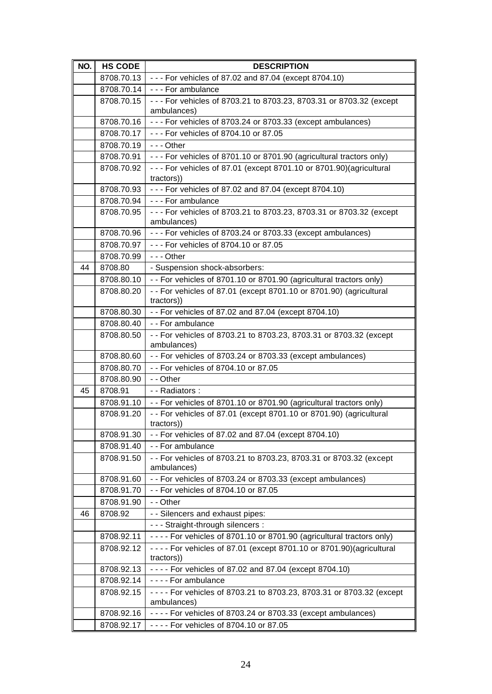| NO. | <b>HS CODE</b> | <b>DESCRIPTION</b>                                                                   |
|-----|----------------|--------------------------------------------------------------------------------------|
|     |                | 8708.70.13   - - - For vehicles of 87.02 and 87.04 (except 8704.10)                  |
|     | 8708.70.14     | - - - For ambulance                                                                  |
|     | 8708.70.15     | - - - For vehicles of 8703.21 to 8703.23, 8703.31 or 8703.32 (except                 |
|     |                | ambulances)                                                                          |
|     | 8708.70.16     | - - - For vehicles of 8703.24 or 8703.33 (except ambulances)                         |
|     | 8708.70.17     | --- For vehicles of 8704.10 or 87.05                                                 |
|     | 8708.70.19     | $- -$ - Other                                                                        |
|     | 8708.70.91     | - - - For vehicles of 8701.10 or 8701.90 (agricultural tractors only)                |
|     | 8708.70.92     | - - - For vehicles of 87.01 (except 8701.10 or 8701.90)(agricultural                 |
|     | 8708.70.93     | tractors))<br>- - - For vehicles of 87.02 and 87.04 (except 8704.10)                 |
|     | 8708.70.94     | - - - For ambulance                                                                  |
|     | 8708.70.95     | - - - For vehicles of 8703.21 to 8703.23, 8703.31 or 8703.32 (except                 |
|     |                | ambulances)                                                                          |
|     | 8708.70.96     | --- For vehicles of 8703.24 or 8703.33 (except ambulances)                           |
|     | 8708.70.97     | --- For vehicles of 8704.10 or 87.05                                                 |
|     | 8708.70.99     | $- -$ - Other                                                                        |
| 44  | 8708.80        | - Suspension shock-absorbers:                                                        |
|     | 8708.80.10     | - - For vehicles of 8701.10 or 8701.90 (agricultural tractors only)                  |
|     | 8708.80.20     | - - For vehicles of 87.01 (except 8701.10 or 8701.90) (agricultural                  |
|     |                | tractors))                                                                           |
|     | 8708.80.30     | - - For vehicles of 87.02 and 87.04 (except 8704.10)                                 |
|     | 8708.80.40     | --For ambulance                                                                      |
|     | 8708.80.50     | - - For vehicles of 8703.21 to 8703.23, 8703.31 or 8703.32 (except                   |
|     | 8708.80.60     | ambulances)<br>- - For vehicles of 8703.24 or 8703.33 (except ambulances)            |
|     | 8708.80.70     | - - For vehicles of 8704.10 or 87.05                                                 |
|     | 8708.80.90     | - - Other                                                                            |
| 45  | 8708.91        | - - Radiators :                                                                      |
|     | 8708.91.10     | -- For vehicles of 8701.10 or 8701.90 (agricultural tractors only)                   |
|     | 8708.91.20     | - - For vehicles of 87.01 (except 8701.10 or 8701.90) (agricultural                  |
|     |                | tractors))                                                                           |
|     | 8708.91.30     | - - For vehicles of 87.02 and 87.04 (except 8704.10)                                 |
|     | 8708.91.40     | - - For ambulance                                                                    |
|     | 8708.91.50     | - - For vehicles of 8703.21 to 8703.23, 8703.31 or 8703.32 (except<br>ambulances)    |
|     | 8708.91.60     | - - For vehicles of 8703.24 or 8703.33 (except ambulances)                           |
|     | 8708.91.70     | - - For vehicles of 8704.10 or 87.05                                                 |
|     | 8708.91.90     | - - Other                                                                            |
| 46  | 8708.92        | - - Silencers and exhaust pipes:                                                     |
|     |                | - - - Straight-through silencers :                                                   |
|     | 8708.92.11     | - - - - For vehicles of 8701.10 or 8701.90 (agricultural tractors only)              |
|     | 8708.92.12     | - - - - For vehicles of 87.01 (except 8701.10 or 8701.90)(agricultural<br>tractors)) |
|     | 8708.92.13     | - - - - For vehicles of 87.02 and 87.04 (except 8704.10)                             |
|     | 8708.92.14     | - - - - For ambulance                                                                |
|     | 8708.92.15     | ---- For vehicles of 8703.21 to 8703.23, 8703.31 or 8703.32 (except                  |
|     |                | ambulances)                                                                          |
|     | 8708.92.16     | ---- For vehicles of 8703.24 or 8703.33 (except ambulances)                          |
|     | 8708.92.17     | - - - - For vehicles of 8704.10 or 87.05                                             |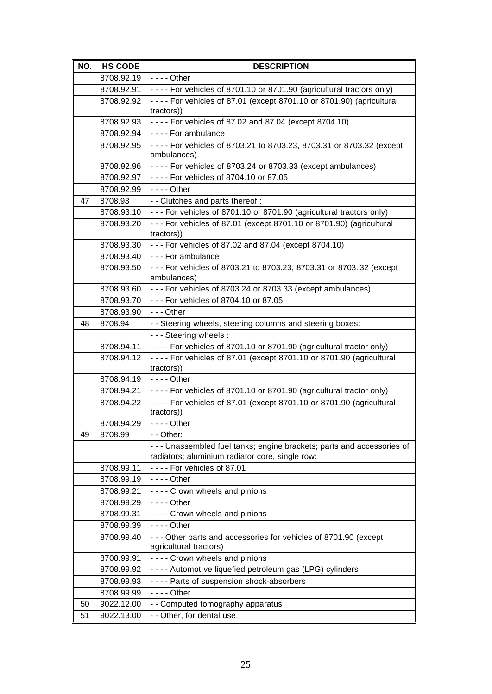| NO. | <b>HS CODE</b> | <b>DESCRIPTION</b>                                                                                                       |  |  |  |
|-----|----------------|--------------------------------------------------------------------------------------------------------------------------|--|--|--|
|     | 8708.92.19     | $- - -$ Other                                                                                                            |  |  |  |
|     | 8708.92.91     | $\vert$ - - - - For vehicles of 8701.10 or 8701.90 (agricultural tractors only)                                          |  |  |  |
|     | 8708.92.92     | - - - - For vehicles of 87.01 (except 8701.10 or 8701.90) (agricultural                                                  |  |  |  |
|     |                | tractors))                                                                                                               |  |  |  |
|     | 8708.92.93     | ---- For vehicles of 87.02 and 87.04 (except 8704.10)                                                                    |  |  |  |
|     | 8708.92.94     | - - - - For ambulance                                                                                                    |  |  |  |
|     | 8708.92.95     | ---- For vehicles of 8703.21 to 8703.23, 8703.31 or 8703.32 (except<br>ambulances)                                       |  |  |  |
|     | 8708.92.96     | ---- For vehicles of 8703.24 or 8703.33 (except ambulances)                                                              |  |  |  |
|     | 8708.92.97     | - - - - For vehicles of 8704.10 or 87.05                                                                                 |  |  |  |
|     | 8708.92.99     | $--$ Other                                                                                                               |  |  |  |
| 47  | 8708.93        | - - Clutches and parts thereof :                                                                                         |  |  |  |
|     | 8708.93.10     | - - - For vehicles of 8701.10 or 8701.90 (agricultural tractors only)                                                    |  |  |  |
|     | 8708.93.20     | - - - For vehicles of 87.01 (except 8701.10 or 8701.90) (agricultural                                                    |  |  |  |
|     |                | tractors))                                                                                                               |  |  |  |
|     | 8708.93.30     | - - - For vehicles of 87.02 and 87.04 (except 8704.10)                                                                   |  |  |  |
|     | 8708.93.40     | - - - For ambulance                                                                                                      |  |  |  |
|     | 8708.93.50     | --- For vehicles of 8703.21 to 8703.23, 8703.31 or 8703.32 (except<br>ambulances)                                        |  |  |  |
|     | 8708.93.60     | --- For vehicles of 8703.24 or 8703.33 (except ambulances)                                                               |  |  |  |
|     | 8708.93.70     | --- For vehicles of 8704.10 or 87.05                                                                                     |  |  |  |
|     | 8708.93.90     | $- -$ - Other                                                                                                            |  |  |  |
| 48  | 8708.94        | - - Steering wheels, steering columns and steering boxes:                                                                |  |  |  |
|     |                | - - - Steering wheels :                                                                                                  |  |  |  |
|     | 8708.94.11     | - - - - For vehicles of 8701.10 or 8701.90 (agricultural tractor only)                                                   |  |  |  |
|     | 8708.94.12     | - - - - For vehicles of 87.01 (except 8701.10 or 8701.90 (agricultural                                                   |  |  |  |
|     |                | tractors))                                                                                                               |  |  |  |
|     | 8708.94.19     | $- - -$ Other                                                                                                            |  |  |  |
|     | 8708.94.21     | - - - - For vehicles of 8701.10 or 8701.90 (agricultural tractor only)                                                   |  |  |  |
|     | 8708.94.22     | - - - - For vehicles of 87.01 (except 8701.10 or 8701.90 (agricultural<br>tractors))                                     |  |  |  |
|     | 8708.94.29     | $\vert \cdot \cdot \cdot \cdot$ Other                                                                                    |  |  |  |
| 49  | 8708.99        | - - Other:                                                                                                               |  |  |  |
|     |                | --- Unassembled fuel tanks; engine brackets; parts and accessories of<br>radiators; aluminium radiator core, single row: |  |  |  |
|     | 8708.99.11     | ---- For vehicles of 87.01                                                                                               |  |  |  |
|     | 8708.99.19     | $--$ Other                                                                                                               |  |  |  |
|     | 8708.99.21     | - - - - Crown wheels and pinions                                                                                         |  |  |  |
|     | 8708.99.29     | $--$ Other                                                                                                               |  |  |  |
|     | 8708.99.31     | ---- Crown wheels and pinions                                                                                            |  |  |  |
|     | 8708.99.39     | $--$ Other                                                                                                               |  |  |  |
|     | 8708.99.40     | - - - Other parts and accessories for vehicles of 8701.90 (except<br>agricultural tractors)                              |  |  |  |
|     | 8708.99.91     | - - - - Crown wheels and pinions                                                                                         |  |  |  |
|     | 8708.99.92     | ---- Automotive liquefied petroleum gas (LPG) cylinders                                                                  |  |  |  |
|     | 8708.99.93     | ---- Parts of suspension shock-absorbers                                                                                 |  |  |  |
|     | 8708.99.99     | $--$ Other                                                                                                               |  |  |  |
| 50  | 9022.12.00     | - - Computed tomography apparatus                                                                                        |  |  |  |
| 51  | 9022.13.00     | - - Other, for dental use                                                                                                |  |  |  |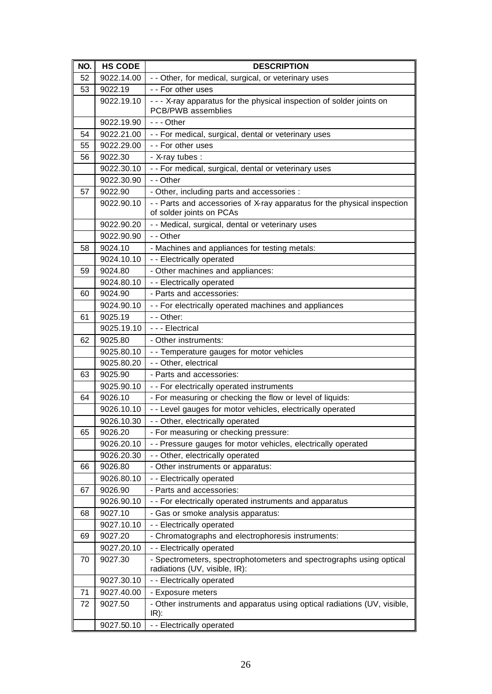| NO. | <b>HS CODE</b> | <b>DESCRIPTION</b>                                                                                   |
|-----|----------------|------------------------------------------------------------------------------------------------------|
| 52  | 9022.14.00     | - - Other, for medical, surgical, or veterinary uses                                                 |
| 53  | 9022.19        | - - For other uses                                                                                   |
|     | 9022.19.10     | - - - X-ray apparatus for the physical inspection of solder joints on                                |
|     |                | PCB/PWB assemblies                                                                                   |
|     | 9022.19.90     | $- -$ - Other                                                                                        |
| 54  | 9022.21.00     | - - For medical, surgical, dental or veterinary uses                                                 |
| 55  | 9022.29.00     | - - For other uses                                                                                   |
| 56  | 9022.30        | - X-ray tubes :                                                                                      |
|     | 9022.30.10     | - - For medical, surgical, dental or veterinary uses                                                 |
|     | 9022.30.90     | - - Other                                                                                            |
| 57  | 9022.90        | - Other, including parts and accessories :                                                           |
|     | 9022.90.10     | - - Parts and accessories of X-ray apparatus for the physical inspection<br>of solder joints on PCAs |
|     | 9022.90.20     | - - Medical, surgical, dental or veterinary uses                                                     |
|     | 9022.90.90     | - - Other                                                                                            |
| 58  | 9024.10        | - Machines and appliances for testing metals:                                                        |
|     | 9024.10.10     | - - Electrically operated                                                                            |
| 59  | 9024.80        | - Other machines and appliances:                                                                     |
|     | 9024.80.10     | - - Electrically operated                                                                            |
| 60  | 9024.90        | - Parts and accessories:                                                                             |
|     | 9024.90.10     | - - For electrically operated machines and appliances                                                |
| 61  | 9025.19        | - - Other:                                                                                           |
|     | 9025.19.10     | - - - Electrical                                                                                     |
| 62  | 9025.80        | - Other instruments:                                                                                 |
|     | 9025.80.10     | - - Temperature gauges for motor vehicles                                                            |
|     | 9025.80.20     | - - Other, electrical                                                                                |
| 63  | 9025.90        | - Parts and accessories:                                                                             |
|     | 9025.90.10     | - - For electrically operated instruments                                                            |
| 64  | 9026.10        | - For measuring or checking the flow or level of liquids:                                            |
|     | 9026.10.10     | - - Level gauges for motor vehicles, electrically operated                                           |
|     | 9026.10.30     | - - Other, electrically operated                                                                     |
| 65  | 9026.20        | - For measuring or checking pressure:                                                                |
|     | 9026.20.10     | - - Pressure gauges for motor vehicles, electrically operated                                        |
|     | 9026.20.30     | - - Other, electrically operated                                                                     |
| 66  | 9026.80        | - Other instruments or apparatus:                                                                    |
|     | 9026.80.10     | - - Electrically operated                                                                            |
| 67  | 9026.90        | - Parts and accessories:                                                                             |
|     | 9026.90.10     | - - For electrically operated instruments and apparatus                                              |
| 68  | 9027.10        | - Gas or smoke analysis apparatus:                                                                   |
|     | 9027.10.10     | - - Electrically operated                                                                            |
| 69  | 9027.20        | - Chromatographs and electrophoresis instruments:                                                    |
|     | 9027.20.10     | - - Electrically operated                                                                            |
| 70  | 9027.30        | - Spectrometers, spectrophotometers and spectrographs using optical<br>radiations (UV, visible, IR): |
|     | 9027.30.10     | - - Electrically operated                                                                            |
| 71  | 9027.40.00     | - Exposure meters                                                                                    |
| 72  | 9027.50        | - Other instruments and apparatus using optical radiations (UV, visible,<br>$IR)$ :                  |
|     | 9027.50.10     | - - Electrically operated                                                                            |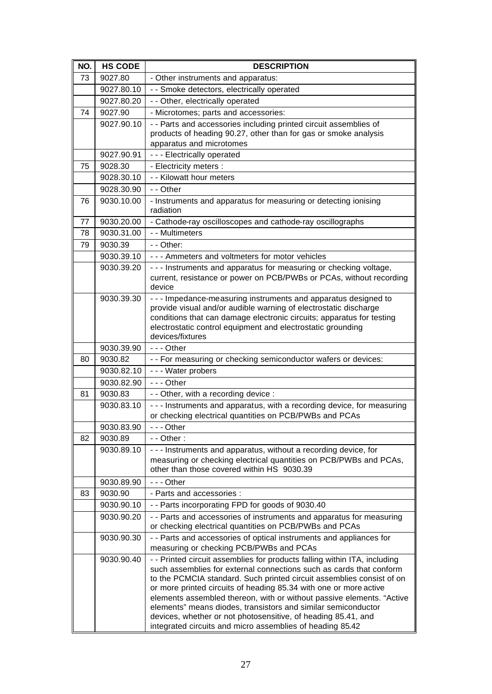| NO. | <b>HS CODE</b> | <b>DESCRIPTION</b>                                                                                                                                                                                                                                                                                                                                                                                                                                                                                                                                                     |
|-----|----------------|------------------------------------------------------------------------------------------------------------------------------------------------------------------------------------------------------------------------------------------------------------------------------------------------------------------------------------------------------------------------------------------------------------------------------------------------------------------------------------------------------------------------------------------------------------------------|
| 73  | 9027.80        | - Other instruments and apparatus:                                                                                                                                                                                                                                                                                                                                                                                                                                                                                                                                     |
|     | 9027.80.10     | - - Smoke detectors, electrically operated                                                                                                                                                                                                                                                                                                                                                                                                                                                                                                                             |
|     | 9027.80.20     | - - Other, electrically operated                                                                                                                                                                                                                                                                                                                                                                                                                                                                                                                                       |
| 74  | 9027.90        | - Microtomes; parts and accessories:                                                                                                                                                                                                                                                                                                                                                                                                                                                                                                                                   |
|     | 9027.90.10     | - - Parts and accessories including printed circuit assemblies of                                                                                                                                                                                                                                                                                                                                                                                                                                                                                                      |
|     |                | products of heading 90.27, other than for gas or smoke analysis                                                                                                                                                                                                                                                                                                                                                                                                                                                                                                        |
|     |                | apparatus and microtomes                                                                                                                                                                                                                                                                                                                                                                                                                                                                                                                                               |
|     | 9027.90.91     | --- Electrically operated                                                                                                                                                                                                                                                                                                                                                                                                                                                                                                                                              |
| 75  | 9028.30        | - Electricity meters :                                                                                                                                                                                                                                                                                                                                                                                                                                                                                                                                                 |
|     | 9028.30.10     | - - Kilowatt hour meters                                                                                                                                                                                                                                                                                                                                                                                                                                                                                                                                               |
|     | 9028.30.90     | - - Other                                                                                                                                                                                                                                                                                                                                                                                                                                                                                                                                                              |
| 76  | 9030.10.00     | - Instruments and apparatus for measuring or detecting ionising<br>radiation                                                                                                                                                                                                                                                                                                                                                                                                                                                                                           |
| 77  | 9030.20.00     | - Cathode-ray oscilloscopes and cathode-ray oscillographs                                                                                                                                                                                                                                                                                                                                                                                                                                                                                                              |
| 78  | 9030.31.00     | - - Multimeters                                                                                                                                                                                                                                                                                                                                                                                                                                                                                                                                                        |
| 79  | 9030.39        | - - Other:                                                                                                                                                                                                                                                                                                                                                                                                                                                                                                                                                             |
|     | 9030.39.10     | - - - Ammeters and voltmeters for motor vehicles                                                                                                                                                                                                                                                                                                                                                                                                                                                                                                                       |
|     | 9030.39.20     | - - - Instruments and apparatus for measuring or checking voltage,<br>current, resistance or power on PCB/PWBs or PCAs, without recording<br>device                                                                                                                                                                                                                                                                                                                                                                                                                    |
|     | 9030.39.30     | - - - Impedance-measuring instruments and apparatus designed to<br>provide visual and/or audible warning of electrostatic discharge<br>conditions that can damage electronic circuits; apparatus for testing<br>electrostatic control equipment and electrostatic grounding<br>devices/fixtures                                                                                                                                                                                                                                                                        |
|     | 9030.39.90     | $- -$ Other                                                                                                                                                                                                                                                                                                                                                                                                                                                                                                                                                            |
| 80  | 9030.82        | - - For measuring or checking semiconductor wafers or devices:                                                                                                                                                                                                                                                                                                                                                                                                                                                                                                         |
|     | 9030.82.10     | - - - Water probers                                                                                                                                                                                                                                                                                                                                                                                                                                                                                                                                                    |
|     | 9030.82.90     | $- -$ Other                                                                                                                                                                                                                                                                                                                                                                                                                                                                                                                                                            |
| 81  | 9030.83        | - - Other, with a recording device :                                                                                                                                                                                                                                                                                                                                                                                                                                                                                                                                   |
|     | 9030.83.10     | - - - Instruments and apparatus, with a recording device, for measuring<br>or checking electrical quantities on PCB/PWBs and PCAs                                                                                                                                                                                                                                                                                                                                                                                                                                      |
|     | 9030.83.90     | $- -$ - Other                                                                                                                                                                                                                                                                                                                                                                                                                                                                                                                                                          |
| 82  | 9030.89        | $-$ - Other :                                                                                                                                                                                                                                                                                                                                                                                                                                                                                                                                                          |
|     | 9030.89.10     | --- Instruments and apparatus, without a recording device, for<br>measuring or checking electrical quantities on PCB/PWBs and PCAs,<br>other than those covered within HS 9030.39                                                                                                                                                                                                                                                                                                                                                                                      |
|     | 9030.89.90     | --- Other                                                                                                                                                                                                                                                                                                                                                                                                                                                                                                                                                              |
| 83  | 9030.90        | - Parts and accessories :                                                                                                                                                                                                                                                                                                                                                                                                                                                                                                                                              |
|     | 9030.90.10     | - - Parts incorporating FPD for goods of 9030.40                                                                                                                                                                                                                                                                                                                                                                                                                                                                                                                       |
|     | 9030.90.20     | - - Parts and accessories of instruments and apparatus for measuring<br>or checking electrical quantities on PCB/PWBs and PCAs                                                                                                                                                                                                                                                                                                                                                                                                                                         |
|     | 9030.90.30     | - - Parts and accessories of optical instruments and appliances for<br>measuring or checking PCB/PWBs and PCAs                                                                                                                                                                                                                                                                                                                                                                                                                                                         |
|     | 9030.90.40     | - - Printed circuit assemblies for products falling within ITA, including<br>such assemblies for external connections such as cards that conform<br>to the PCMCIA standard. Such printed circuit assemblies consist of on<br>or more printed circuits of heading 85.34 with one or more active<br>elements assembled thereon, with or without passive elements. "Active<br>elements" means diodes, transistors and similar semiconductor<br>devices, whether or not photosensitive, of heading 85.41, and<br>integrated circuits and micro assemblies of heading 85.42 |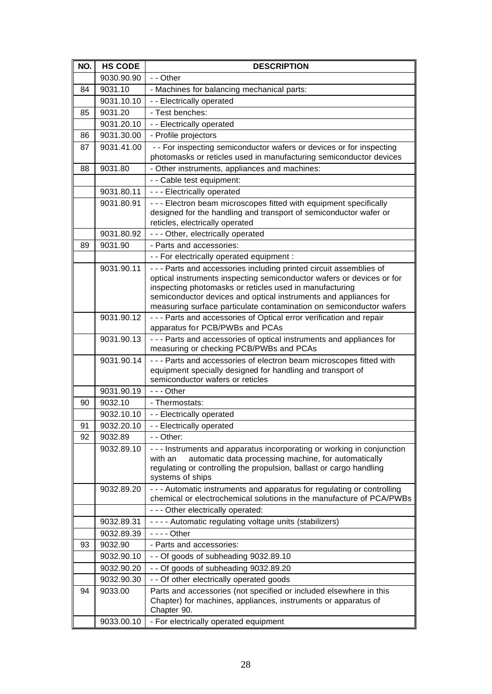| NO. | <b>HS CODE</b> | <b>DESCRIPTION</b>                                                                                                                                                                                                                                                                                                                                 |
|-----|----------------|----------------------------------------------------------------------------------------------------------------------------------------------------------------------------------------------------------------------------------------------------------------------------------------------------------------------------------------------------|
|     | 9030.90.90     | - - Other                                                                                                                                                                                                                                                                                                                                          |
| 84  | 9031.10        | - Machines for balancing mechanical parts:                                                                                                                                                                                                                                                                                                         |
|     | 9031.10.10     | - - Electrically operated                                                                                                                                                                                                                                                                                                                          |
| 85  | 9031.20        | - Test benches:                                                                                                                                                                                                                                                                                                                                    |
|     | 9031.20.10     | - - Electrically operated                                                                                                                                                                                                                                                                                                                          |
| 86  | 9031.30.00     | - Profile projectors                                                                                                                                                                                                                                                                                                                               |
| 87  | 9031.41.00     | - - For inspecting semiconductor wafers or devices or for inspecting                                                                                                                                                                                                                                                                               |
|     |                | photomasks or reticles used in manufacturing semiconductor devices                                                                                                                                                                                                                                                                                 |
| 88  | 9031.80        | - Other instruments, appliances and machines:                                                                                                                                                                                                                                                                                                      |
|     |                | - - Cable test equipment:                                                                                                                                                                                                                                                                                                                          |
|     | 9031.80.11     | - - - Electrically operated                                                                                                                                                                                                                                                                                                                        |
|     | 9031.80.91     | - - - Electron beam microscopes fitted with equipment specifically<br>designed for the handling and transport of semiconductor wafer or<br>reticles, electrically operated                                                                                                                                                                         |
|     | 9031.80.92     | - - - Other, electrically operated                                                                                                                                                                                                                                                                                                                 |
| 89  | 9031.90        | - Parts and accessories:                                                                                                                                                                                                                                                                                                                           |
|     |                | - - For electrically operated equipment :                                                                                                                                                                                                                                                                                                          |
|     | 9031.90.11     | - - - Parts and accessories including printed circuit assemblies of<br>optical instruments inspecting semiconductor wafers or devices or for<br>inspecting photomasks or reticles used in manufacturing<br>semiconductor devices and optical instruments and appliances for<br>measuring surface particulate contamination on semiconductor wafers |
|     | 9031.90.12     | - - - Parts and accessories of Optical error verification and repair                                                                                                                                                                                                                                                                               |
|     |                | apparatus for PCB/PWBs and PCAs                                                                                                                                                                                                                                                                                                                    |
|     | 9031.90.13     | - - - Parts and accessories of optical instruments and appliances for<br>measuring or checking PCB/PWBs and PCAs                                                                                                                                                                                                                                   |
|     | 9031.90.14     | - - - Parts and accessories of electron beam microscopes fitted with<br>equipment specially designed for handling and transport of<br>semiconductor wafers or reticles                                                                                                                                                                             |
|     | 9031.90.19     | $- -$ - Other                                                                                                                                                                                                                                                                                                                                      |
| 90  | 9032.10        | - Thermostats:                                                                                                                                                                                                                                                                                                                                     |
|     | 9032.10.10     | - - Electrically operated                                                                                                                                                                                                                                                                                                                          |
| 91  | 9032.20.10     | - - Electrically operated                                                                                                                                                                                                                                                                                                                          |
| 92  | 9032.89        | - - Other:                                                                                                                                                                                                                                                                                                                                         |
|     | 9032.89.10     | --- Instruments and apparatus incorporating or working in conjunction<br>automatic data processing machine, for automatically<br>with an<br>regulating or controlling the propulsion, ballast or cargo handling<br>systems of ships                                                                                                                |
|     | 9032.89.20     | - - - Automatic instruments and apparatus for regulating or controlling<br>chemical or electrochemical solutions in the manufacture of PCA/PWBs                                                                                                                                                                                                    |
|     |                | - - - Other electrically operated:                                                                                                                                                                                                                                                                                                                 |
|     | 9032.89.31     | - - - - Automatic regulating voltage units (stabilizers)                                                                                                                                                                                                                                                                                           |
|     | 9032.89.39     | $--$ Other                                                                                                                                                                                                                                                                                                                                         |
| 93  | 9032.90        | - Parts and accessories:                                                                                                                                                                                                                                                                                                                           |
|     | 9032.90.10     | - - Of goods of subheading 9032.89.10                                                                                                                                                                                                                                                                                                              |
|     | 9032.90.20     | - - Of goods of subheading 9032.89.20                                                                                                                                                                                                                                                                                                              |
|     | 9032.90.30     | - - Of other electrically operated goods                                                                                                                                                                                                                                                                                                           |
| 94  | 9033.00        | Parts and accessories (not specified or included elsewhere in this<br>Chapter) for machines, appliances, instruments or apparatus of<br>Chapter 90.                                                                                                                                                                                                |
|     | 9033.00.10     | - For electrically operated equipment                                                                                                                                                                                                                                                                                                              |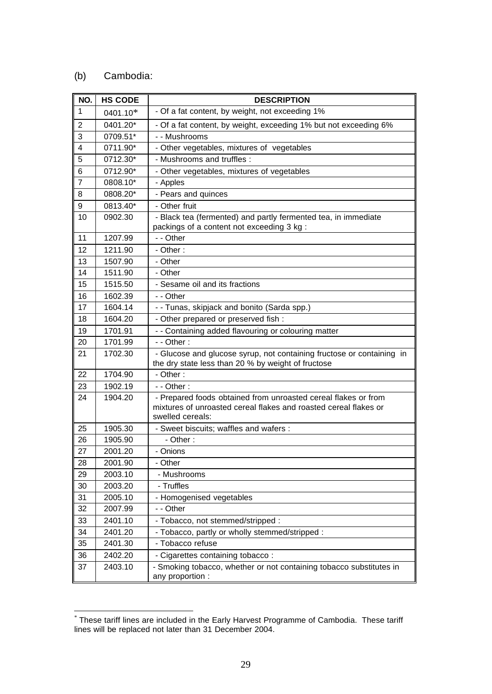## (b) Cambodia:

| NO.            | <b>HS CODE</b> | <b>DESCRIPTION</b>                                                                                                                                     |
|----------------|----------------|--------------------------------------------------------------------------------------------------------------------------------------------------------|
| $\mathbf{1}$   | 0401.10*       | - Of a fat content, by weight, not exceeding 1%                                                                                                        |
| $\overline{2}$ | 0401.20*       | - Of a fat content, by weight, exceeding 1% but not exceeding 6%                                                                                       |
| 3              | 0709.51*       | - - Mushrooms                                                                                                                                          |
| 4              | 0711.90*       | - Other vegetables, mixtures of vegetables                                                                                                             |
| 5              | 0712.30*       | - Mushrooms and truffles :                                                                                                                             |
| 6              | 0712.90*       | - Other vegetables, mixtures of vegetables                                                                                                             |
| 7              | 0808.10*       | - Apples                                                                                                                                               |
| 8              | 0808.20*       | - Pears and quinces                                                                                                                                    |
| 9              | 0813.40*       | - Other fruit                                                                                                                                          |
| 10             | 0902.30        | - Black tea (fermented) and partly fermented tea, in immediate<br>packings of a content not exceeding 3 kg :                                           |
| 11             | 1207.99        | - - Other                                                                                                                                              |
| 12             | 1211.90        | - Other:                                                                                                                                               |
| 13             | 1507.90        | - Other                                                                                                                                                |
| 14             | 1511.90        | - Other                                                                                                                                                |
| 15             | 1515.50        | - Sesame oil and its fractions                                                                                                                         |
| 16             | 1602.39        | - - Other                                                                                                                                              |
| 17             | 1604.14        | - - Tunas, skipjack and bonito (Sarda spp.)                                                                                                            |
| 18             | 1604.20        | - Other prepared or preserved fish :                                                                                                                   |
| 19             | 1701.91        | - - Containing added flavouring or colouring matter                                                                                                    |
| 20             | 1701.99        | $-$ - Other :                                                                                                                                          |
| 21             | 1702.30        | - Glucose and glucose syrup, not containing fructose or containing in<br>the dry state less than 20 % by weight of fructose                            |
| 22             | 1704.90        | - Other:                                                                                                                                               |
| 23             | 1902.19        | $-$ - Other :                                                                                                                                          |
| 24             | 1904.20        | - Prepared foods obtained from unroasted cereal flakes or from<br>mixtures of unroasted cereal flakes and roasted cereal flakes or<br>swelled cereals: |
| 25             | 1905.30        | - Sweet biscuits; waffles and wafers :                                                                                                                 |
| 26             | 1905.90        | - Other:                                                                                                                                               |
| 27             | 2001.20        | - Onions                                                                                                                                               |
| 28             | 2001.90        | - Other                                                                                                                                                |
| 29             | 2003.10        | - Mushrooms                                                                                                                                            |
| 30             | 2003.20        | - Truffles                                                                                                                                             |
| 31             | 2005.10        | - Homogenised vegetables                                                                                                                               |
| 32             | 2007.99        | - - Other                                                                                                                                              |
| 33             | 2401.10        | - Tobacco, not stemmed/stripped :                                                                                                                      |
| 34             | 2401.20        | - Tobacco, partly or wholly stemmed/stripped :                                                                                                         |
| 35             | 2401.30        | - Tobacco refuse                                                                                                                                       |
| 36             | 2402.20        | - Cigarettes containing tobacco:                                                                                                                       |
| 37             | 2403.10        | - Smoking tobacco, whether or not containing tobacco substitutes in<br>any proportion :                                                                |

 \* These tariff lines are included in the Early Harvest Programme of Cambodia. These tariff lines will be replaced not later than 31 December 2004.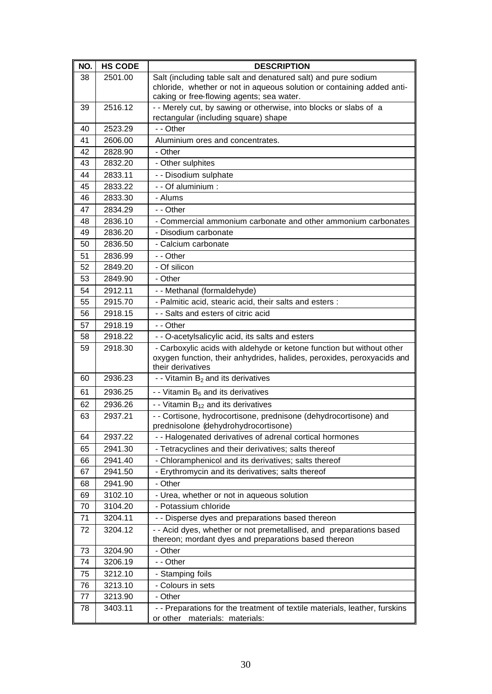| NO. | <b>HS CODE</b> | <b>DESCRIPTION</b>                                                                                                                                                   |
|-----|----------------|----------------------------------------------------------------------------------------------------------------------------------------------------------------------|
| 38  | 2501.00        | Salt (including table salt and denatured salt) and pure sodium                                                                                                       |
|     |                | chloride, whether or not in aqueous solution or containing added anti-                                                                                               |
|     |                | caking or free-flowing agents; sea water.                                                                                                                            |
| 39  | 2516.12        | - - Merely cut, by sawing or otherwise, into blocks or slabs of a                                                                                                    |
|     |                | rectangular (including square) shape                                                                                                                                 |
| 40  | 2523.29        | - - Other                                                                                                                                                            |
| 41  | 2606.00        | Aluminium ores and concentrates.                                                                                                                                     |
| 42  | 2828.90        | - Other                                                                                                                                                              |
| 43  | 2832.20        | - Other sulphites                                                                                                                                                    |
| 44  | 2833.11        | - - Disodium sulphate                                                                                                                                                |
| 45  | 2833.22        | - - Of aluminium :                                                                                                                                                   |
| 46  | 2833.30        | - Alums                                                                                                                                                              |
| 47  | 2834.29        | - - Other                                                                                                                                                            |
| 48  | 2836.10        | - Commercial ammonium carbonate and other ammonium carbonates                                                                                                        |
| 49  | 2836.20        | - Disodium carbonate                                                                                                                                                 |
| 50  | 2836.50        | - Calcium carbonate                                                                                                                                                  |
| 51  | 2836.99        | - - Other                                                                                                                                                            |
| 52  | 2849.20        | - Of silicon                                                                                                                                                         |
| 53  | 2849.90        | - Other                                                                                                                                                              |
| 54  | 2912.11        | - - Methanal (formaldehyde)                                                                                                                                          |
| 55  | 2915.70        | - Palmitic acid, stearic acid, their salts and esters :                                                                                                              |
| 56  | 2918.15        | - - Salts and esters of citric acid                                                                                                                                  |
| 57  | 2918.19        | - - Other                                                                                                                                                            |
| 58  | 2918.22        | - - O-acetylsalicylic acid, its salts and esters                                                                                                                     |
| 59  | 2918.30        | - Carboxylic acids with aldehyde or ketone function but without other<br>oxygen function, their anhydrides, halides, peroxides, peroxyacids and<br>their derivatives |
| 60  | 2936.23        | - - Vitamin $B_2$ and its derivatives                                                                                                                                |
| 61  | 2936.25        | - - Vitamin $B_6$ and its derivatives                                                                                                                                |
| 62  | 2936.26        | - - Vitamin $B_{12}$ and its derivatives                                                                                                                             |
| 63  | 2937.21        | - - Cortisone, hydrocortisone, prednisone (dehydrocortisone) and<br>prednisolone (dehydrohydrocortisone)                                                             |
| 64  | 2937.22        | - - Halogenated derivatives of adrenal cortical hormones                                                                                                             |
| 65  | 2941.30        | - Tetracyclines and their derivatives; salts thereof                                                                                                                 |
| 66  | 2941.40        | - Chloramphenicol and its derivatives; salts thereof                                                                                                                 |
| 67  | 2941.50        | - Erythromycin and its derivatives; salts thereof                                                                                                                    |
| 68  | 2941.90        | - Other                                                                                                                                                              |
| 69  | 3102.10        | - Urea, whether or not in aqueous solution                                                                                                                           |
| 70  | 3104.20        | - Potassium chloride                                                                                                                                                 |
| 71  | 3204.11        | - - Disperse dyes and preparations based thereon                                                                                                                     |
| 72  | 3204.12        | - - Acid dyes, whether or not premetallised, and preparations based                                                                                                  |
|     |                | thereon; mordant dyes and preparations based thereon                                                                                                                 |
| 73  | 3204.90        | - Other                                                                                                                                                              |
| 74  | 3206.19        | - - Other                                                                                                                                                            |
| 75  | 3212.10        | - Stamping foils                                                                                                                                                     |
| 76  | 3213.10        | - Colours in sets                                                                                                                                                    |
| 77  | 3213.90        | - Other                                                                                                                                                              |
| 78  | 3403.11        | - - Preparations for the treatment of textile materials, leather, furskins<br>or other<br>materials: materials:                                                      |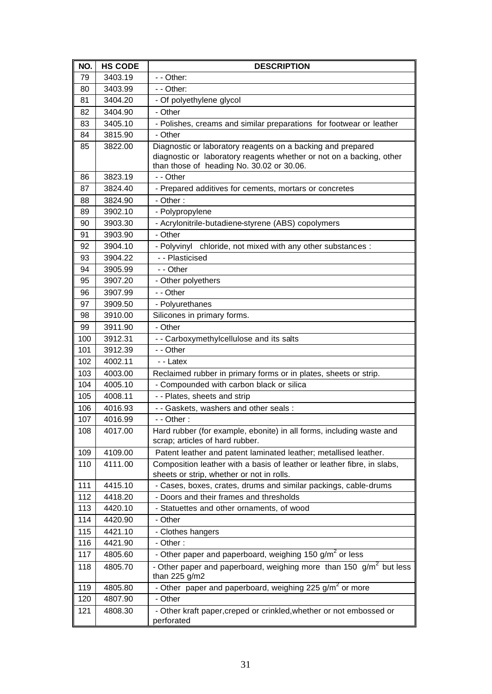| NO. | <b>HS CODE</b> | <b>DESCRIPTION</b>                                                                                                   |
|-----|----------------|----------------------------------------------------------------------------------------------------------------------|
| 79  | 3403.19        | - - Other:                                                                                                           |
| 80  | 3403.99        | - - Other:                                                                                                           |
| 81  | 3404.20        | - Of polyethylene glycol                                                                                             |
| 82  | 3404.90        | - Other                                                                                                              |
| 83  | 3405.10        | - Polishes, creams and similar preparations for footwear or leather                                                  |
| 84  | 3815.90        | - Other                                                                                                              |
| 85  | 3822.00        | Diagnostic or laboratory reagents on a backing and prepared                                                          |
|     |                | diagnostic or laboratory reagents whether or not on a backing, other<br>than those of heading No. 30.02 or 30.06.    |
| 86  | 3823.19        | - - Other                                                                                                            |
| 87  | 3824.40        | - Prepared additives for cements, mortars or concretes                                                               |
| 88  | 3824.90        | - Other:                                                                                                             |
| 89  | 3902.10        | - Polypropylene                                                                                                      |
| 90  | 3903.30        | - Acrylonitrile-butadiene-styrene (ABS) copolymers                                                                   |
| 91  | 3903.90        | - Other                                                                                                              |
| 92  | 3904.10        | - Polyvinyl chloride, not mixed with any other substances :                                                          |
| 93  | 3904.22        | - - Plasticised                                                                                                      |
| 94  | 3905.99        | - - Other                                                                                                            |
| 95  | 3907.20        | - Other polyethers                                                                                                   |
| 96  | 3907.99        | - - Other                                                                                                            |
| 97  | 3909.50        | - Polyurethanes                                                                                                      |
| 98  | 3910.00        | Silicones in primary forms.                                                                                          |
| 99  | 3911.90        | - Other                                                                                                              |
| 100 | 3912.31        | - - Carboxymethylcellulose and its salts                                                                             |
| 101 | 3912.39        | - - Other                                                                                                            |
| 102 | 4002.11        | - - Latex                                                                                                            |
| 103 | 4003.00        | Reclaimed rubber in primary forms or in plates, sheets or strip.                                                     |
| 104 | 4005.10        | - Compounded with carbon black or silica                                                                             |
| 105 | 4008.11        | - - Plates, sheets and strip                                                                                         |
| 106 | 4016.93        | - - Gaskets, washers and other seals :                                                                               |
| 107 | 4016.99        | - - Other:                                                                                                           |
| 108 | 4017.00        | Hard rubber (for example, ebonite) in all forms, including waste and                                                 |
|     |                | scrap; articles of hard rubber.                                                                                      |
| 109 | 4109.00        | Patent leather and patent laminated leather; metallised leather.                                                     |
| 110 | 4111.00        | Composition leather with a basis of leather or leather fibre, in slabs,<br>sheets or strip, whether or not in rolls. |
| 111 | 4415.10        | - Cases, boxes, crates, drums and similar packings, cable-drums                                                      |
| 112 | 4418.20        | - Doors and their frames and thresholds                                                                              |
| 113 | 4420.10        | - Statuettes and other ornaments, of wood                                                                            |
| 114 | 4420.90        | - Other                                                                                                              |
| 115 | 4421.10        | - Clothes hangers                                                                                                    |
| 116 | 4421.90        | - Other:                                                                                                             |
| 117 | 4805.60        | - Other paper and paperboard, weighing 150 g/m <sup>2</sup> or less                                                  |
| 118 | 4805.70        | - Other paper and paperboard, weighing more than 150 $g/m^2$ but less<br>than 225 $g/m2$                             |
| 119 | 4805.80        | - Other paper and paperboard, weighing 225 g/m <sup>2</sup> or more                                                  |
| 120 | 4807.90        | - Other                                                                                                              |
| 121 | 4808.30        | - Other kraft paper, creped or crinkled, whether or not embossed or                                                  |
|     |                | perforated                                                                                                           |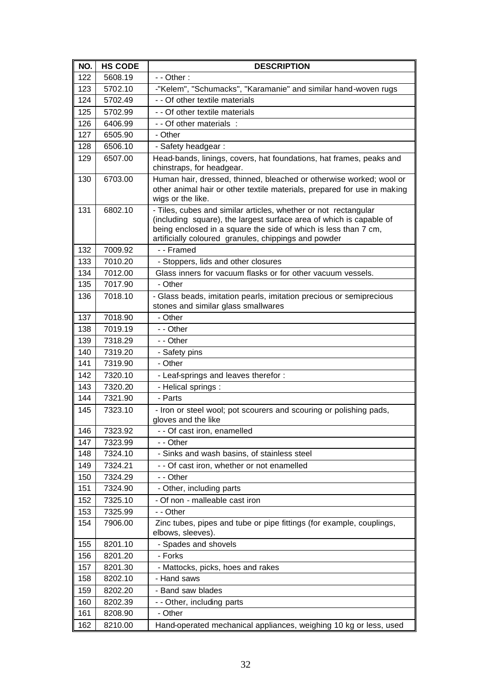| NO. | <b>HS CODE</b> | <b>DESCRIPTION</b>                                                                                                                                                                                                                                                |
|-----|----------------|-------------------------------------------------------------------------------------------------------------------------------------------------------------------------------------------------------------------------------------------------------------------|
| 122 | 5608.19        | $-$ - Other :                                                                                                                                                                                                                                                     |
| 123 | 5702.10        | -"Kelem", "Schumacks", "Karamanie" and similar hand-woven rugs                                                                                                                                                                                                    |
| 124 | 5702.49        | - - Of other textile materials                                                                                                                                                                                                                                    |
| 125 | 5702.99        | - - Of other textile materials                                                                                                                                                                                                                                    |
| 126 | 6406.99        | - - Of other materials :                                                                                                                                                                                                                                          |
| 127 | 6505.90        | - Other                                                                                                                                                                                                                                                           |
| 128 | 6506.10        | - Safety headgear:                                                                                                                                                                                                                                                |
| 129 | 6507.00        | Head-bands, linings, covers, hat foundations, hat frames, peaks and<br>chinstraps, for headgear.                                                                                                                                                                  |
| 130 | 6703.00        | Human hair, dressed, thinned, bleached or otherwise worked; wool or<br>other animal hair or other textile materials, prepared for use in making<br>wigs or the like.                                                                                              |
| 131 | 6802.10        | - Tiles, cubes and similar articles, whether or not rectangular<br>(including square), the largest surface area of which is capable of<br>being enclosed in a square the side of which is less than 7 cm,<br>artificially coloured granules, chippings and powder |
| 132 | 7009.92        | - - Framed                                                                                                                                                                                                                                                        |
| 133 | 7010.20        | - Stoppers, lids and other closures                                                                                                                                                                                                                               |
| 134 | 7012.00        | Glass inners for vacuum flasks or for other vacuum vessels.                                                                                                                                                                                                       |
| 135 | 7017.90        | - Other                                                                                                                                                                                                                                                           |
| 136 | 7018.10        | - Glass beads, imitation pearls, imitation precious or semiprecious<br>stones and similar glass smallwares                                                                                                                                                        |
| 137 | 7018.90        | - Other                                                                                                                                                                                                                                                           |
| 138 | 7019.19        | - - Other                                                                                                                                                                                                                                                         |
| 139 | 7318.29        | - - Other                                                                                                                                                                                                                                                         |
| 140 | 7319.20        | - Safety pins                                                                                                                                                                                                                                                     |
| 141 | 7319.90        | - Other                                                                                                                                                                                                                                                           |
| 142 | 7320.10        | - Leaf-springs and leaves therefor :                                                                                                                                                                                                                              |
| 143 | 7320.20        | - Helical springs :                                                                                                                                                                                                                                               |
| 144 | 7321.90        | - Parts                                                                                                                                                                                                                                                           |
| 145 | 7323.10        | - Iron or steel wool; pot scourers and scouring or polishing pads,<br>gloves and the like                                                                                                                                                                         |
| 146 | 7323.92        | - - Of cast iron, enamelled                                                                                                                                                                                                                                       |
| 147 | 7323.99        | - - Other                                                                                                                                                                                                                                                         |
| 148 | 7324.10        | - Sinks and wash basins, of stainless steel                                                                                                                                                                                                                       |
| 149 | 7324.21        | - - Of cast iron, whether or not enamelled                                                                                                                                                                                                                        |
| 150 | 7324.29        | - - Other                                                                                                                                                                                                                                                         |
| 151 | 7324.90        | - Other, including parts                                                                                                                                                                                                                                          |
| 152 | 7325.10        | - Of non - malleable cast iron                                                                                                                                                                                                                                    |
| 153 | 7325.99        | - - Other                                                                                                                                                                                                                                                         |
| 154 | 7906.00        | Zinc tubes, pipes and tube or pipe fittings (for example, couplings,<br>elbows, sleeves).                                                                                                                                                                         |
| 155 | 8201.10        | - Spades and shovels                                                                                                                                                                                                                                              |
| 156 | 8201.20        | - Forks                                                                                                                                                                                                                                                           |
| 157 | 8201.30        | - Mattocks, picks, hoes and rakes                                                                                                                                                                                                                                 |
| 158 | 8202.10        | - Hand saws                                                                                                                                                                                                                                                       |
| 159 | 8202.20        | - Band saw blades                                                                                                                                                                                                                                                 |
| 160 | 8202.39        | - - Other, including parts                                                                                                                                                                                                                                        |
| 161 | 8208.90        | - Other                                                                                                                                                                                                                                                           |
| 162 | 8210.00        | Hand-operated mechanical appliances, weighing 10 kg or less, used                                                                                                                                                                                                 |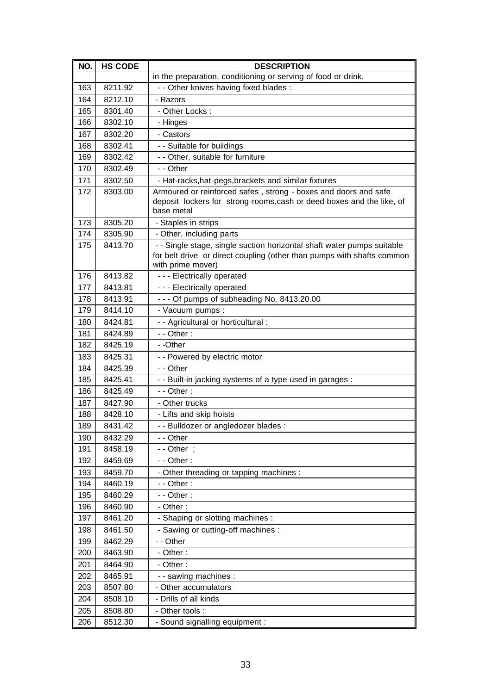| NO. | <b>HS CODE</b> | <b>DESCRIPTION</b>                                                                                                                                                    |
|-----|----------------|-----------------------------------------------------------------------------------------------------------------------------------------------------------------------|
|     |                | in the preparation, conditioning or serving of food or drink.                                                                                                         |
| 163 | 8211.92        | - - Other knives having fixed blades :                                                                                                                                |
| 164 | 8212.10        | - Razors                                                                                                                                                              |
| 165 | 8301.40        | - Other Locks:                                                                                                                                                        |
| 166 | 8302.10        | - Hinges                                                                                                                                                              |
| 167 | 8302.20        | - Castors                                                                                                                                                             |
| 168 | 8302.41        | - - Suitable for buildings                                                                                                                                            |
| 169 | 8302.42        | - - Other, suitable for furniture                                                                                                                                     |
| 170 | 8302.49        | - - Other                                                                                                                                                             |
| 171 | 8302.50        | - Hat-racks, hat-pegs, brackets and similar fixtures                                                                                                                  |
| 172 | 8303.00        | Armoured or reinforced safes, strong - boxes and doors and safe<br>deposit lockers for strong-rooms, cash or deed boxes and the like, of<br>base metal                |
| 173 | 8305.20        | - Staples in strips                                                                                                                                                   |
| 174 | 8305.90        | - Other, including parts                                                                                                                                              |
| 175 | 8413.70        | - - Single stage, single suction horizontal shaft water pumps suitable<br>for belt drive or direct coupling (other than pumps with shafts common<br>with prime mover) |
| 176 | 8413.82        | - - - Electrically operated                                                                                                                                           |
| 177 | 8413.81        | - - - Electrically operated                                                                                                                                           |
| 178 | 8413.91        | --- Of pumps of subheading No. 8413.20.00                                                                                                                             |
| 179 | 8414.10        | - Vacuum pumps:                                                                                                                                                       |
| 180 | 8424.81        | - - Agricultural or horticultural :                                                                                                                                   |
| 181 | 8424.89        | $-$ - Other :                                                                                                                                                         |
| 182 | 8425.19        | - -Other                                                                                                                                                              |
| 183 | 8425.31        | - - Powered by electric motor                                                                                                                                         |
| 184 | 8425.39        | - - Other                                                                                                                                                             |
| 185 | 8425.41        | - - Built-in jacking systems of a type used in garages :                                                                                                              |
| 186 | 8425.49        | $-$ - Other :                                                                                                                                                         |
| 187 | 8427.90        | - Other trucks                                                                                                                                                        |
| 188 | 8428.10        | - Lifts and skip hoists                                                                                                                                               |
| 189 | 8431.42        | - - Bulldozer or angledozer blades :                                                                                                                                  |
| 190 | 8432.29        | - - Other                                                                                                                                                             |
| 191 | 8458.19        | - - Other ;                                                                                                                                                           |
| 192 | 8459.69        | - - Other:                                                                                                                                                            |
| 193 | 8459.70        | - Other threading or tapping machines :                                                                                                                               |
| 194 | 8460.19        | - - Other:                                                                                                                                                            |
| 195 | 8460.29        | - - Other:                                                                                                                                                            |
| 196 | 8460.90        | - Other:                                                                                                                                                              |
| 197 | 8461.20        | - Shaping or slotting machines :                                                                                                                                      |
| 198 | 8461.50        | - Sawing or cutting-off machines :                                                                                                                                    |
| 199 | 8462.29        | - - Other                                                                                                                                                             |
| 200 | 8463.90        | - Other:                                                                                                                                                              |
| 201 | 8464.90        | - Other:                                                                                                                                                              |
| 202 | 8465.91        | - - sawing machines :                                                                                                                                                 |
| 203 | 8507.80        | - Other accumulators                                                                                                                                                  |
| 204 | 8508.10        | - Drills of all kinds                                                                                                                                                 |
| 205 | 8508.80        | - Other tools :                                                                                                                                                       |
| 206 | 8512.30        | - Sound signalling equipment :                                                                                                                                        |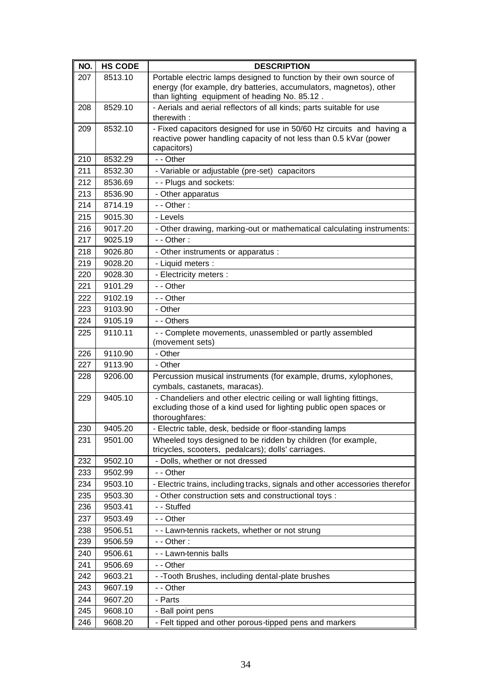| NO. | <b>HS CODE</b> | <b>DESCRIPTION</b>                                                                                                                                         |
|-----|----------------|------------------------------------------------------------------------------------------------------------------------------------------------------------|
| 207 | 8513.10        | Portable electric lamps designed to function by their own source of                                                                                        |
|     |                | energy (for example, dry batteries, accumulators, magnetos), other                                                                                         |
| 208 | 8529.10        | than lighting equipment of heading No. 85.12.<br>- Aerials and aerial reflectors of all kinds; parts suitable for use                                      |
|     |                | therewith:                                                                                                                                                 |
| 209 | 8532.10        | - Fixed capacitors designed for use in 50/60 Hz circuits and having a                                                                                      |
|     |                | reactive power handling capacity of not less than 0.5 kVar (power                                                                                          |
|     |                | capacitors)                                                                                                                                                |
| 210 | 8532.29        | - - Other                                                                                                                                                  |
| 211 | 8532.30        | - Variable or adjustable (pre-set) capacitors                                                                                                              |
| 212 | 8536.69        | - - Plugs and sockets:                                                                                                                                     |
| 213 | 8536.90        | - Other apparatus                                                                                                                                          |
| 214 | 8714.19        | $-$ - Other :                                                                                                                                              |
| 215 | 9015.30        | - Levels                                                                                                                                                   |
| 216 | 9017.20        | - Other drawing, marking-out or mathematical calculating instruments:                                                                                      |
| 217 | 9025.19        | $-$ - Other :                                                                                                                                              |
| 218 | 9026.80        | - Other instruments or apparatus :                                                                                                                         |
| 219 | 9028.20        | - Liquid meters :                                                                                                                                          |
| 220 | 9028.30        | - Electricity meters :                                                                                                                                     |
| 221 | 9101.29        | - - Other                                                                                                                                                  |
| 222 | 9102.19        | - - Other                                                                                                                                                  |
| 223 | 9103.90        | - Other                                                                                                                                                    |
| 224 | 9105.19        | - - Others                                                                                                                                                 |
| 225 | 9110.11        | - - Complete movements, unassembled or partly assembled                                                                                                    |
|     |                | (movement sets)                                                                                                                                            |
| 226 | 9110.90        | - Other                                                                                                                                                    |
| 227 | 9113.90        | - Other                                                                                                                                                    |
| 228 | 9206.00        | Percussion musical instruments (for example, drums, xylophones,<br>cymbals, castanets, maracas).                                                           |
| 229 | 9405.10        | - Chandeliers and other electric ceiling or wall lighting fittings,<br>excluding those of a kind used for lighting public open spaces or<br>thoroughfares: |
| 230 | 9405.20        | - Electric table, desk, bedside or floor-standing lamps                                                                                                    |
| 231 | 9501.00        | Wheeled toys designed to be ridden by children (for example,<br>tricycles, scooters, pedalcars); dolls' carriages.                                         |
| 232 | 9502.10        | - Dolls, whether or not dressed                                                                                                                            |
| 233 | 9502.99        | - - Other                                                                                                                                                  |
| 234 | 9503.10        | - Electric trains, including tracks, signals and other accessories therefor                                                                                |
| 235 | 9503.30        | - Other construction sets and constructional toys :                                                                                                        |
| 236 | 9503.41        | - - Stuffed                                                                                                                                                |
| 237 | 9503.49        | - - Other                                                                                                                                                  |
| 238 | 9506.51        | - - Lawn-tennis rackets, whether or not strung                                                                                                             |
| 239 | 9506.59        | $-$ - Other :                                                                                                                                              |
| 240 | 9506.61        | - - Lawn-tennis balls                                                                                                                                      |
| 241 | 9506.69        | - - Other                                                                                                                                                  |
| 242 | 9603.21        | - - Tooth Brushes, including dental-plate brushes                                                                                                          |
| 243 | 9607.19        | - - Other                                                                                                                                                  |
| 244 | 9607.20        | - Parts                                                                                                                                                    |
| 245 | 9608.10        | - Ball point pens                                                                                                                                          |
| 246 | 9608.20        | - Felt tipped and other porous-tipped pens and markers                                                                                                     |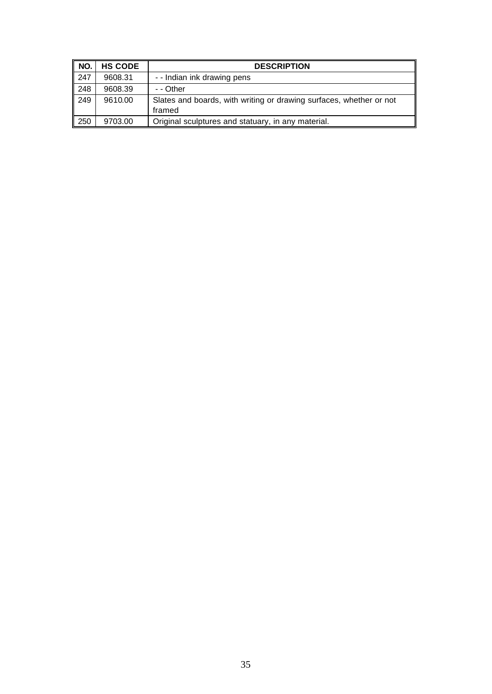| NO.  | <b>HS CODE</b> | <b>DESCRIPTION</b>                                                            |
|------|----------------|-------------------------------------------------------------------------------|
| 1247 | 9608.31        | - - Indian ink drawing pens                                                   |
| 248  | 9608.39        | - - Other                                                                     |
| 249  | 9610.00        | Slates and boards, with writing or drawing surfaces, whether or not<br>framed |
| 250  | 9703.00        | Original sculptures and statuary, in any material.                            |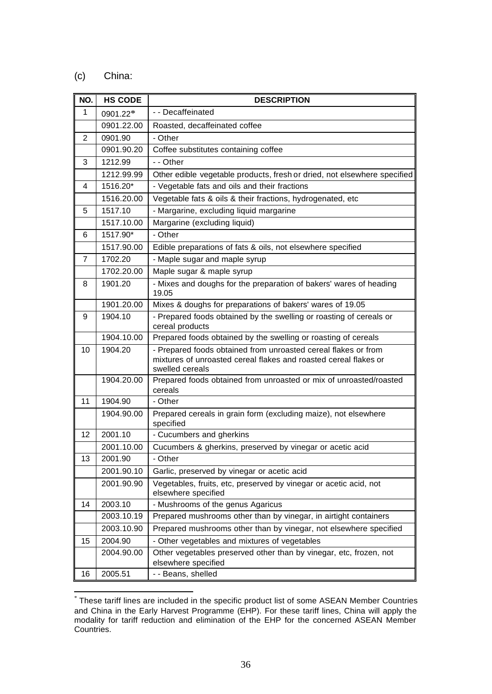## (c) China:

| NO.            | <b>HS CODE</b> | <b>DESCRIPTION</b>                                                                                                                                    |
|----------------|----------------|-------------------------------------------------------------------------------------------------------------------------------------------------------|
| $\mathbf{1}$   | 0901.22*       | - - Decaffeinated                                                                                                                                     |
|                | 0901.22.00     | Roasted, decaffeinated coffee                                                                                                                         |
| $\overline{2}$ | 0901.90        | - Other                                                                                                                                               |
|                | 0901.90.20     | Coffee substitutes containing coffee                                                                                                                  |
| 3              | 1212.99        | - - Other                                                                                                                                             |
|                | 1212.99.99     | Other edible vegetable products, fresh or dried, not elsewhere specified                                                                              |
| 4              | 1516.20*       | - Vegetable fats and oils and their fractions                                                                                                         |
|                | 1516.20.00     | Vegetable fats & oils & their fractions, hydrogenated, etc                                                                                            |
| 5              | 1517.10        | - Margarine, excluding liquid margarine                                                                                                               |
|                | 1517.10.00     | Margarine (excluding liquid)                                                                                                                          |
| 6              | 1517.90*       | - Other                                                                                                                                               |
|                | 1517.90.00     | Edible preparations of fats & oils, not elsewhere specified                                                                                           |
| $\overline{7}$ | 1702.20        | - Maple sugar and maple syrup                                                                                                                         |
|                | 1702.20.00     | Maple sugar & maple syrup                                                                                                                             |
| 8              | 1901.20        | - Mixes and doughs for the preparation of bakers' wares of heading<br>19.05                                                                           |
|                | 1901.20.00     | Mixes & doughs for preparations of bakers' wares of 19.05                                                                                             |
| 9              | 1904.10        | - Prepared foods obtained by the swelling or roasting of cereals or<br>cereal products                                                                |
|                | 1904.10.00     | Prepared foods obtained by the swelling or roasting of cereals                                                                                        |
| 10             | 1904.20        | - Prepared foods obtained from unroasted cereal flakes or from<br>mixtures of unroasted cereal flakes and roasted cereal flakes or<br>swelled cereals |
|                | 1904.20.00     | Prepared foods obtained from unroasted or mix of unroasted/roasted<br>cereals                                                                         |
| 11             | 1904.90        | - Other                                                                                                                                               |
|                | 1904.90.00     | Prepared cereals in grain form (excluding maize), not elsewhere<br>specified                                                                          |
| 12             | 2001.10        | - Cucumbers and gherkins                                                                                                                              |
|                | 2001.10.00     | Cucumbers & gherkins, preserved by vinegar or acetic acid                                                                                             |
| 13             | 2001.90        | - Other                                                                                                                                               |
|                | 2001.90.10     | Garlic, preserved by vinegar or acetic acid                                                                                                           |
|                | 2001.90.90     | Vegetables, fruits, etc, preserved by vinegar or acetic acid, not<br>elsewhere specified                                                              |
| 14             | 2003.10        | - Mushrooms of the genus Agaricus                                                                                                                     |
|                | 2003.10.19     | Prepared mushrooms other than by vinegar, in airtight containers                                                                                      |
|                | 2003.10.90     | Prepared mushrooms other than by vinegar, not elsewhere specified                                                                                     |
| 15             | 2004.90        | - Other vegetables and mixtures of vegetables                                                                                                         |
|                | 2004.90.00     | Other vegetables preserved other than by vinegar, etc, frozen, not<br>elsewhere specified                                                             |
| 16             | 2005.51        | - - Beans, shelled                                                                                                                                    |

 \* These tariff lines are included in the specific product list of some ASEAN Member Countries and China in the Early Harvest Programme (EHP). For these tariff lines, China will apply the modality for tariff reduction and elimination of the EHP for the concerned ASEAN Member Countries.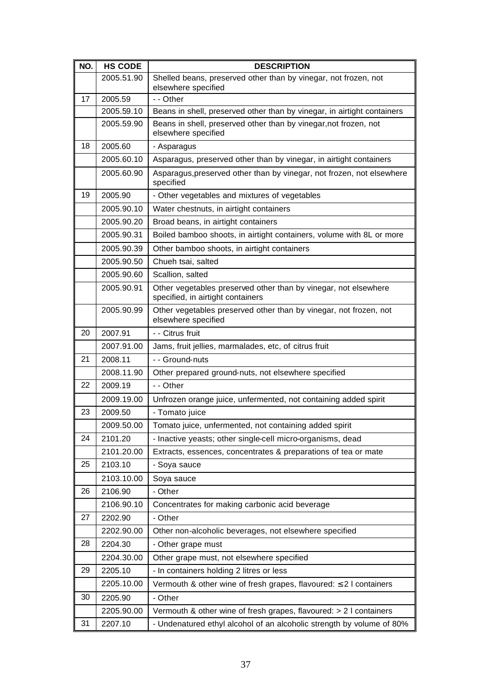| NO. | <b>HS CODE</b> | <b>DESCRIPTION</b>                                                                                   |
|-----|----------------|------------------------------------------------------------------------------------------------------|
|     | 2005.51.90     | Shelled beans, preserved other than by vinegar, not frozen, not<br>elsewhere specified               |
| 17  | 2005.59        | - - Other                                                                                            |
|     | 2005.59.10     | Beans in shell, preserved other than by vinegar, in airtight containers                              |
|     | 2005.59.90     | Beans in shell, preserved other than by vinegar, not frozen, not<br>elsewhere specified              |
| 18  | 2005.60        | - Asparagus                                                                                          |
|     | 2005.60.10     | Asparagus, preserved other than by vinegar, in airtight containers                                   |
|     | 2005.60.90     | Asparagus, preserved other than by vinegar, not frozen, not elsewhere<br>specified                   |
| 19  | 2005.90        | - Other vegetables and mixtures of vegetables                                                        |
|     | 2005.90.10     | Water chestnuts, in airtight containers                                                              |
|     | 2005.90.20     | Broad beans, in airtight containers                                                                  |
|     | 2005.90.31     | Boiled bamboo shoots, in airtight containers, volume with 8L or more                                 |
|     | 2005.90.39     | Other bamboo shoots, in airtight containers                                                          |
|     | 2005.90.50     | Chueh tsai, salted                                                                                   |
|     | 2005.90.60     | Scallion, salted                                                                                     |
|     | 2005.90.91     | Other vegetables preserved other than by vinegar, not elsewhere<br>specified, in airtight containers |
|     | 2005.90.99     | Other vegetables preserved other than by vinegar, not frozen, not<br>elsewhere specified             |
| 20  | 2007.91        | - - Citrus fruit                                                                                     |
|     | 2007.91.00     | Jams, fruit jellies, marmalades, etc, of citrus fruit                                                |
| 21  | 2008.11        | - - Ground-nuts                                                                                      |
|     | 2008.11.90     | Other prepared ground-nuts, not elsewhere specified                                                  |
| 22  | 2009.19        | - - Other                                                                                            |
|     | 2009.19.00     | Unfrozen orange juice, unfermented, not containing added spirit                                      |
| 23  | 2009.50        | - Tomato juice                                                                                       |
|     | 2009.50.00     | Tomato juice, unfermented, not containing added spirit                                               |
| 24  | 2101.20        | - Inactive yeasts; other single-cell micro-organisms, dead                                           |
|     | 2101.20.00     | Extracts, essences, concentrates & preparations of tea or mate                                       |
| 25  | 2103.10        | - Soya sauce                                                                                         |
|     | 2103.10.00     | Soya sauce                                                                                           |
| 26  | 2106.90        | - Other                                                                                              |
|     | 2106.90.10     | Concentrates for making carbonic acid beverage                                                       |
| 27  | 2202.90        | - Other                                                                                              |
|     | 2202.90.00     | Other non-alcoholic beverages, not elsewhere specified                                               |
| 28  | 2204.30        | - Other grape must                                                                                   |
|     | 2204.30.00     | Other grape must, not elsewhere specified                                                            |
| 29  | 2205.10        | - In containers holding 2 litres or less                                                             |
|     | 2205.10.00     | Vermouth & other wine of fresh grapes, flavoured: $\leq 2$ I containers                              |
| 30  | 2205.90        | - Other                                                                                              |
|     | 2205.90.00     | Vermouth & other wine of fresh grapes, flavoured: > 2 l containers                                   |
| 31  | 2207.10        | - Undenatured ethyl alcohol of an alcoholic strength by volume of 80%                                |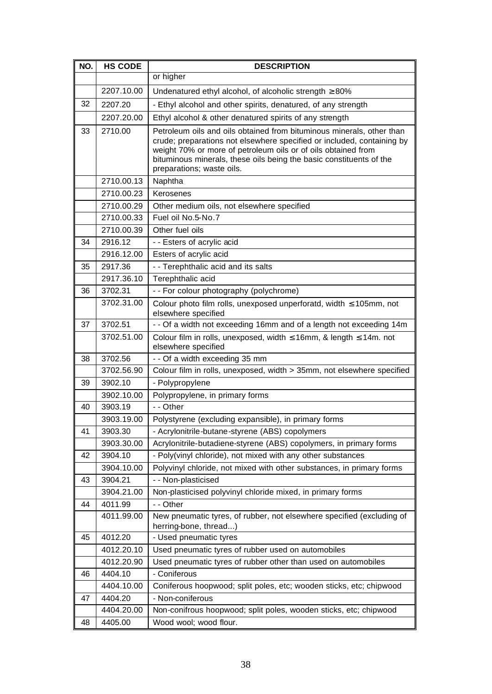| NO. | <b>HS CODE</b> | <b>DESCRIPTION</b>                                                                                                                                                                                                                                                                                                   |
|-----|----------------|----------------------------------------------------------------------------------------------------------------------------------------------------------------------------------------------------------------------------------------------------------------------------------------------------------------------|
|     |                | or higher                                                                                                                                                                                                                                                                                                            |
|     | 2207.10.00     | Undenatured ethyl alcohol, of alcoholic strength $\geq 80\%$                                                                                                                                                                                                                                                         |
| 32  | 2207.20        | - Ethyl alcohol and other spirits, denatured, of any strength                                                                                                                                                                                                                                                        |
|     | 2207.20.00     | Ethyl alcohol & other denatured spirits of any strength                                                                                                                                                                                                                                                              |
| 33  | 2710.00        | Petroleum oils and oils obtained from bituminous minerals, other than<br>crude; preparations not elsewhere specified or included, containing by<br>weight 70% or more of petroleum oils or of oils obtained from<br>bituminous minerals, these oils being the basic constituents of the<br>preparations; waste oils. |
|     | 2710.00.13     | Naphtha                                                                                                                                                                                                                                                                                                              |
|     | 2710.00.23     | Kerosenes                                                                                                                                                                                                                                                                                                            |
|     | 2710.00.29     | Other medium oils, not elsewhere specified                                                                                                                                                                                                                                                                           |
|     | 2710.00.33     | Fuel oil No.5-No.7                                                                                                                                                                                                                                                                                                   |
|     | 2710.00.39     | Other fuel oils                                                                                                                                                                                                                                                                                                      |
| 34  | 2916.12        | - - Esters of acrylic acid                                                                                                                                                                                                                                                                                           |
|     | 2916.12.00     | Esters of acrylic acid                                                                                                                                                                                                                                                                                               |
| 35  | 2917.36        | - - Terephthalic acid and its salts                                                                                                                                                                                                                                                                                  |
|     | 2917.36.10     | Terephthalic acid                                                                                                                                                                                                                                                                                                    |
| 36  | 3702.31        | - - For colour photography (polychrome)                                                                                                                                                                                                                                                                              |
|     | 3702.31.00     | Colour photo film rolls, unexposed unperforatd, width $\leq 105$ mm, not<br>elsewhere specified                                                                                                                                                                                                                      |
| 37  | 3702.51        | - - Of a width not exceeding 16mm and of a length not exceeding 14m                                                                                                                                                                                                                                                  |
|     | 3702.51.00     | Colour film in rolls, unexposed, width $\leq$ 16mm, & length $\leq$ 14m. not<br>elsewhere specified                                                                                                                                                                                                                  |
| 38  | 3702.56        | - - Of a width exceeding 35 mm                                                                                                                                                                                                                                                                                       |
|     | 3702.56.90     | Colour film in rolls, unexposed, width > 35mm, not elsewhere specified                                                                                                                                                                                                                                               |
| 39  | 3902.10        | - Polypropylene                                                                                                                                                                                                                                                                                                      |
|     | 3902.10.00     | Polypropylene, in primary forms                                                                                                                                                                                                                                                                                      |
| 40  | 3903.19        | - - Other                                                                                                                                                                                                                                                                                                            |
|     | 3903.19.00     | Polystyrene (excluding expansible), in primary forms                                                                                                                                                                                                                                                                 |
| 41  | 3903.30        | - Acrylonitrile-butane-styrene (ABS) copolymers                                                                                                                                                                                                                                                                      |
|     | 3903.30.00     | Acrylonitrile-butadiene-styrene (ABS) copolymers, in primary forms                                                                                                                                                                                                                                                   |
| 42  | 3904.10        | - Poly(vinyl chloride), not mixed with any other substances                                                                                                                                                                                                                                                          |
|     | 3904.10.00     | Polyvinyl chloride, not mixed with other substances, in primary forms                                                                                                                                                                                                                                                |
| 43  | 3904.21        | - - Non-plasticised                                                                                                                                                                                                                                                                                                  |
|     | 3904.21.00     | Non-plasticised polyvinyl chloride mixed, in primary forms                                                                                                                                                                                                                                                           |
| 44  | 4011.99        | - - Other                                                                                                                                                                                                                                                                                                            |
|     | 4011.99.00     | New pneumatic tyres, of rubber, not elsewhere specified (excluding of<br>herring-bone, thread)                                                                                                                                                                                                                       |
| 45  | 4012.20        | - Used pneumatic tyres                                                                                                                                                                                                                                                                                               |
|     | 4012.20.10     | Used pneumatic tyres of rubber used on automobiles                                                                                                                                                                                                                                                                   |
|     | 4012.20.90     | Used pneumatic tyres of rubber other than used on automobiles                                                                                                                                                                                                                                                        |
| 46  | 4404.10        | - Coniferous                                                                                                                                                                                                                                                                                                         |
|     | 4404.10.00     | Coniferous hoopwood; split poles, etc; wooden sticks, etc; chipwood                                                                                                                                                                                                                                                  |
| 47  | 4404.20        | - Non-coniferous                                                                                                                                                                                                                                                                                                     |
|     | 4404.20.00     | Non-conifrous hoopwood; split poles, wooden sticks, etc; chipwood                                                                                                                                                                                                                                                    |
| 48  | 4405.00        | Wood wool; wood flour.                                                                                                                                                                                                                                                                                               |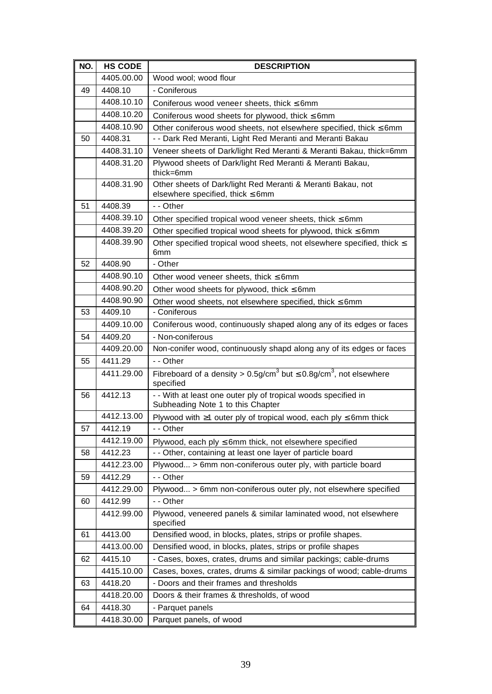| NO. | <b>HS CODE</b> | <b>DESCRIPTION</b>                                                                                              |
|-----|----------------|-----------------------------------------------------------------------------------------------------------------|
|     | 4405.00.00     | Wood wool; wood flour                                                                                           |
| 49  | 4408.10        | - Coniferous                                                                                                    |
|     | 4408.10.10     | Coniferous wood veneer sheets, thick $\leq 6$ mm                                                                |
|     | 4408.10.20     | Coniferous wood sheets for plywood, thick $\leq 6$ mm                                                           |
|     | 4408.10.90     | Other coniferous wood sheets, not elsewhere specified, thick $\leq 6$ mm                                        |
| 50  | 4408.31        | - - Dark Red Meranti, Light Red Meranti and Meranti Bakau                                                       |
|     | 4408.31.10     | Veneer sheets of Dark/light Red Meranti & Meranti Bakau, thick=6mm                                              |
|     | 4408.31.20     | Plywood sheets of Dark/light Red Meranti & Meranti Bakau,<br>thick=6mm                                          |
|     | 4408.31.90     | Other sheets of Dark/light Red Meranti & Meranti Bakau, not<br>elsewhere specified, thick $\leq 6$ mm           |
| 51  | 4408.39        | - - Other                                                                                                       |
|     | 4408.39.10     | Other specified tropical wood veneer sheets, thick $\leq 6$ mm                                                  |
|     | 4408.39.20     | Other specified tropical wood sheets for plywood, thick $\leq 6$ mm                                             |
|     | 4408.39.90     | Other specified tropical wood sheets, not elsewhere specified, thick $\leq$<br>6 <sub>mm</sub>                  |
| 52  | 4408.90        | - Other                                                                                                         |
|     | 4408.90.10     | Other wood veneer sheets, thick $\leq 6$ mm                                                                     |
|     | 4408.90.20     | Other wood sheets for plywood, thick $\leq 6$ mm                                                                |
|     | 4408.90.90     | Other wood sheets, not elsewhere specified, thick $\leq 6$ mm                                                   |
| 53  | 4409.10        | - Coniferous                                                                                                    |
|     | 4409.10.00     | Coniferous wood, continuously shaped along any of its edges or faces                                            |
| 54  | 4409.20        | - Non-coniferous                                                                                                |
|     | 4409.20.00     | Non-conifer wood, continuously shapd along any of its edges or faces                                            |
| 55  | 4411.29        | - - Other                                                                                                       |
|     | 4411.29.00     | Fibreboard of a density > $0.5$ g/cm <sup>3</sup> but $\leq 0.8$ g/cm <sup>3</sup> , not elsewhere<br>specified |
| 56  | 4412.13        | - - With at least one outer ply of tropical woods specified in<br>Subheading Note 1 to this Chapter             |
|     | 4412.13.00     | Plywood with $\geq 1$ outer ply of tropical wood, each ply $\leq 6$ mm thick                                    |
| 57  | 4412.19        | Other                                                                                                           |
|     | 4412.19.00     | Plywood, each $ply \le 6$ mm thick, not elsewhere specified                                                     |
| 58  | 4412.23        | - - Other, containing at least one layer of particle board                                                      |
|     | 4412.23.00     | Plywood > 6mm non-coniferous outer ply, with particle board                                                     |
| 59  | 4412.29        | - - Other                                                                                                       |
|     | 4412.29.00     | Plywood > 6mm non-coniferous outer ply, not elsewhere specified                                                 |
| 60  | 4412.99        | - - Other                                                                                                       |
|     | 4412.99.00     | Plywood, veneered panels & similar laminated wood, not elsewhere<br>specified                                   |
| 61  | 4413.00        | Densified wood, in blocks, plates, strips or profile shapes.                                                    |
|     | 4413.00.00     | Densified wood, in blocks, plates, strips or profile shapes                                                     |
| 62  | 4415.10        | - Cases, boxes, crates, drums and similar packings; cable-drums                                                 |
|     | 4415.10.00     | Cases, boxes, crates, drums & similar packings of wood; cable-drums                                             |
| 63  | 4418.20        | - Doors and their frames and thresholds                                                                         |
|     | 4418.20.00     | Doors & their frames & thresholds, of wood                                                                      |
| 64  | 4418.30        | - Parquet panels                                                                                                |
|     | 4418.30.00     | Parquet panels, of wood                                                                                         |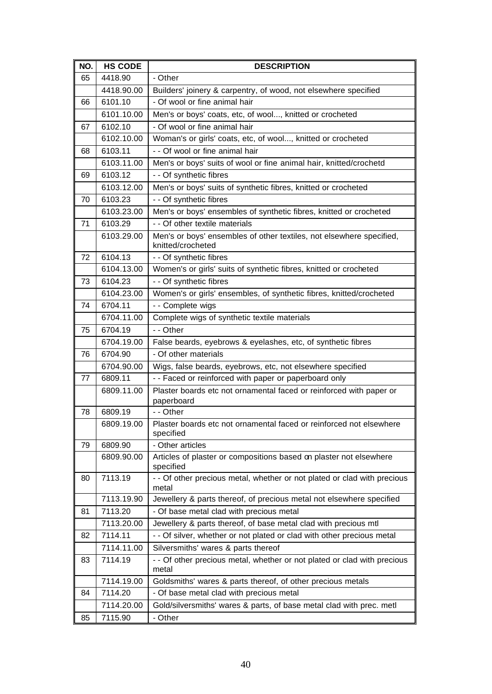| NO. | <b>HS CODE</b> | <b>DESCRIPTION</b>                                                                        |
|-----|----------------|-------------------------------------------------------------------------------------------|
| 65  | 4418.90        | - Other                                                                                   |
|     | 4418.90.00     | Builders' joinery & carpentry, of wood, not elsewhere specified                           |
| 66  | 6101.10        | - Of wool or fine animal hair                                                             |
|     | 6101.10.00     | Men's or boys' coats, etc, of wool, knitted or crocheted                                  |
| 67  | 6102.10        | - Of wool or fine animal hair                                                             |
|     | 6102.10.00     | Woman's or girls' coats, etc, of wool, knitted or crocheted                               |
| 68  | 6103.11        | - - Of wool or fine animal hair                                                           |
|     | 6103.11.00     | Men's or boys' suits of wool or fine animal hair, knitted/crochetd                        |
| 69  | 6103.12        | - - Of synthetic fibres                                                                   |
|     | 6103.12.00     | Men's or boys' suits of synthetic fibres, knitted or crocheted                            |
| 70  | 6103.23        | - - Of synthetic fibres                                                                   |
|     | 6103.23.00     | Men's or boys' ensembles of synthetic fibres, knitted or crocheted                        |
| 71  | 6103.29        | - - Of other textile materials                                                            |
|     | 6103.29.00     | Men's or boys' ensembles of other textiles, not elsewhere specified,<br>knitted/crocheted |
| 72  | 6104.13        | - - Of synthetic fibres                                                                   |
|     | 6104.13.00     | Women's or girls' suits of synthetic fibres, knitted or crocheted                         |
| 73  | 6104.23        | - - Of synthetic fibres                                                                   |
|     | 6104.23.00     | Women's or girls' ensembles, of synthetic fibres, knitted/crocheted                       |
| 74  | 6704.11        | - - Complete wigs                                                                         |
|     | 6704.11.00     | Complete wigs of synthetic textile materials                                              |
| 75  | 6704.19        | - - Other                                                                                 |
|     | 6704.19.00     | False beards, eyebrows & eyelashes, etc, of synthetic fibres                              |
| 76  | 6704.90        | - Of other materials                                                                      |
|     | 6704.90.00     | Wigs, false beards, eyebrows, etc, not elsewhere specified                                |
| 77  | 6809.11        | - - Faced or reinforced with paper or paperboard only                                     |
|     | 6809.11.00     | Plaster boards etc not ornamental faced or reinforced with paper or<br>paperboard         |
| 78  | 6809.19        | - - Other                                                                                 |
|     | 6809.19.00     | Plaster boards etc not ornamental faced or reinforced not elsewhere<br>specified          |
| 79  | 6809.90        | - Other articles                                                                          |
|     | 6809.90.00     | Articles of plaster or compositions based on plaster not elsewhere<br>specified           |
| 80  | 7113.19        | - - Of other precious metal, whether or not plated or clad with precious<br>metal         |
|     | 7113.19.90     | Jewellery & parts thereof, of precious metal not elsewhere specified                      |
| 81  | 7113.20        | - Of base metal clad with precious metal                                                  |
|     | 7113.20.00     | Jewellery & parts thereof, of base metal clad with precious mtl                           |
| 82  | 7114.11        | - - Of silver, whether or not plated or clad with other precious metal                    |
|     | 7114.11.00     | Silversmiths' wares & parts thereof                                                       |
| 83  | 7114.19        | - - Of other precious metal, whether or not plated or clad with precious<br>metal         |
|     | 7114.19.00     | Goldsmiths' wares & parts thereof, of other precious metals                               |
| 84  | 7114.20        | - Of base metal clad with precious metal                                                  |
|     | 7114.20.00     | Gold/silversmiths' wares & parts, of base metal clad with prec. metl                      |
| 85  | 7115.90        | - Other                                                                                   |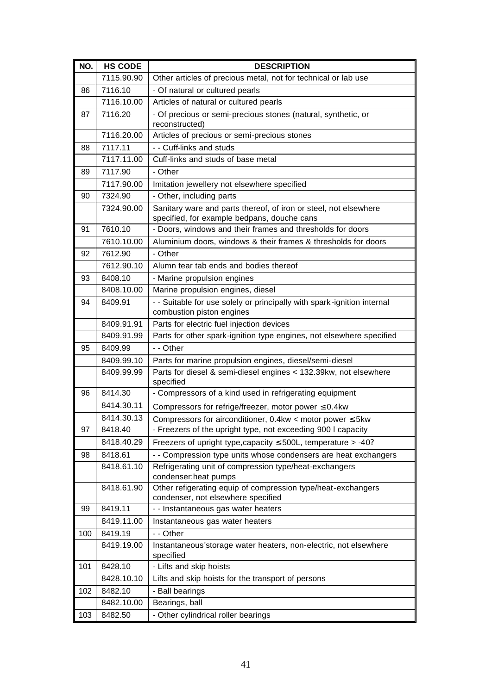| NO. | <b>HS CODE</b>        | <b>DESCRIPTION</b>                                                                                                           |
|-----|-----------------------|------------------------------------------------------------------------------------------------------------------------------|
|     | 7115.90.90            | Other articles of precious metal, not for technical or lab use                                                               |
| 86  | 7116.10               | - Of natural or cultured pearls                                                                                              |
|     | 7116.10.00            | Articles of natural or cultured pearls                                                                                       |
| 87  | 7116.20               | - Of precious or semi-precious stones (natural, synthetic, or                                                                |
|     |                       | reconstructed)                                                                                                               |
|     | 7116.20.00            | Articles of precious or semi-precious stones                                                                                 |
| 88  | 7117.11               | - - Cuff-links and studs                                                                                                     |
|     | 7117.11.00            | Cuff-links and studs of base metal                                                                                           |
| 89  | 7117.90               | - Other                                                                                                                      |
|     | 7117.90.00            | Imitation jewellery not elsewhere specified                                                                                  |
| 90  | 7324.90               | - Other, including parts                                                                                                     |
|     | 7324.90.00            | Sanitary ware and parts thereof, of iron or steel, not elsewhere                                                             |
|     | 7610.10               | specified, for example bedpans, douche cans                                                                                  |
| 91  | 7610.10.00            | - Doors, windows and their frames and thresholds for doors<br>Aluminium doors, windows & their frames & thresholds for doors |
|     | 7612.90               | - Other                                                                                                                      |
| 92  | 7612.90.10            | Alumn tear tab ends and bodies thereof                                                                                       |
|     |                       |                                                                                                                              |
| 93  | 8408.10<br>8408.10.00 | - Marine propulsion engines<br>Marine propulsion engines, diesel                                                             |
|     |                       |                                                                                                                              |
| 94  | 8409.91               | - - Suitable for use solely or principally with spark-ignition internal<br>combustion piston engines                         |
|     | 8409.91.91            | Parts for electric fuel injection devices                                                                                    |
|     | 8409.91.99            | Parts for other spark-ignition type engines, not elsewhere specified                                                         |
| 95  | 8409.99               | - - Other                                                                                                                    |
|     | 8409.99.10            | Parts for marine propulsion engines, diesel/semi-diesel                                                                      |
|     | 8409.99.99            | Parts for diesel & semi-diesel engines < 132.39kw, not elsewhere<br>specified                                                |
| 96  | 8414.30               | - Compressors of a kind used in refrigerating equipment                                                                      |
|     | 8414.30.11            | Compressors for refrige/freezer, motor power $\leq 0.4$ kw                                                                   |
|     | 8414.30.13            | Compressors for airconditioner, $0.4kw <$ motor power $\leq 5kw$                                                             |
| 97  | 8418.40               | - Freezers of the upright type, not exceeding 900 I capacity                                                                 |
|     | 8418.40.29            | Freezers of upright type, capacity $\leq$ 500L, temperature > -40?                                                           |
| 98  | 8418.61               | - - Compression type units whose condensers are heat exchangers                                                              |
|     | 8418.61.10            | Refrigerating unit of compression type/heat-exchangers<br>condenser; heat pumps                                              |
|     | 8418.61.90            | Other refigerating equip of compression type/heat-exchangers                                                                 |
|     |                       | condenser, not elsewhere specified                                                                                           |
| 99  | 8419.11               | - - Instantaneous gas water heaters                                                                                          |
|     | 8419.11.00            | Instantaneous gas water heaters                                                                                              |
| 100 | 8419.19               | - - Other                                                                                                                    |
|     | 8419.19.00            | Instantaneous'storage water heaters, non-electric, not elsewhere<br>specified                                                |
| 101 | 8428.10               | - Lifts and skip hoists                                                                                                      |
|     | 8428.10.10            | Lifts and skip hoists for the transport of persons                                                                           |
| 102 | 8482.10               | - Ball bearings                                                                                                              |
|     | 8482.10.00            | Bearings, ball                                                                                                               |
| 103 | 8482.50               | - Other cylindrical roller bearings                                                                                          |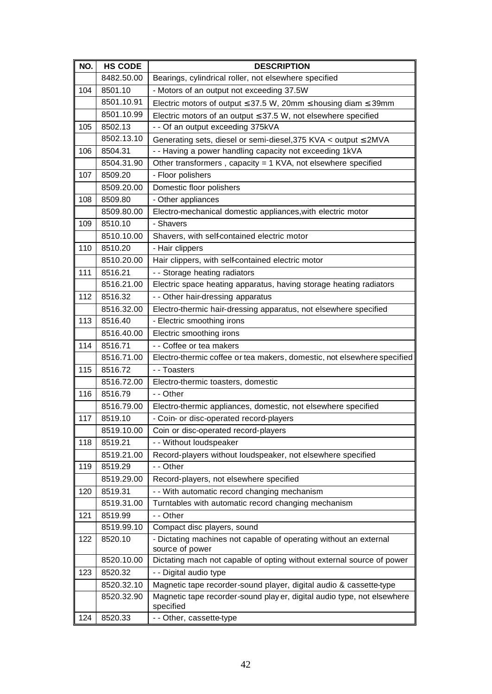| NO. | <b>HS CODE</b> | <b>DESCRIPTION</b>                                                                   |
|-----|----------------|--------------------------------------------------------------------------------------|
|     | 8482.50.00     | Bearings, cylindrical roller, not elsewhere specified                                |
| 104 | 8501.10        | - Motors of an output not exceeding 37.5W                                            |
|     | 8501.10.91     | Electric motors of output $\leq$ 37.5 W, 20mm $\leq$ housing diam $\leq$ 39mm        |
|     | 8501.10.99     | Electric motors of an output $\leq$ 37.5 W, not elsewhere specified                  |
| 105 | 8502.13        | - - Of an output exceeding 375kVA                                                    |
|     | 8502.13.10     | Generating sets, diesel or semi-diesel, 375 KVA < output ≤ 2MVA                      |
| 106 | 8504.31        | - - Having a power handling capacity not exceeding 1kVA                              |
|     | 8504.31.90     | Other transformers, capacity = 1 KVA, not elsewhere specified                        |
| 107 | 8509.20        | - Floor polishers                                                                    |
|     | 8509.20.00     | Domestic floor polishers                                                             |
| 108 | 8509.80        | - Other appliances                                                                   |
|     | 8509.80.00     | Electro-mechanical domestic appliances, with electric motor                          |
| 109 | 8510.10        | - Shavers                                                                            |
|     | 8510.10.00     | Shavers, with self-contained electric motor                                          |
| 110 | 8510.20        | - Hair clippers                                                                      |
|     | 8510.20.00     | Hair clippers, with self-contained electric motor                                    |
| 111 | 8516.21        | - - Storage heating radiators                                                        |
|     | 8516.21.00     | Electric space heating apparatus, having storage heating radiators                   |
| 112 | 8516.32        | - - Other hair-dressing apparatus                                                    |
|     | 8516.32.00     | Electro-thermic hair-dressing apparatus, not elsewhere specified                     |
| 113 | 8516.40        | - Electric smoothing irons                                                           |
|     | 8516.40.00     | Electric smoothing irons                                                             |
| 114 | 8516.71        | - - Coffee or tea makers                                                             |
|     | 8516.71.00     | Electro-thermic coffee or tea makers, domestic, not elsewhere specified              |
| 115 | 8516.72        | - - Toasters                                                                         |
|     | 8516.72.00     | Electro-thermic toasters, domestic                                                   |
| 116 | 8516.79        | - - Other                                                                            |
|     | 8516.79.00     | Electro-thermic appliances, domestic, not elsewhere specified                        |
| 117 | 8519.10        | - Coin- or disc-operated record-players                                              |
|     | 8519.10.00     | Coin or disc-operated record-players                                                 |
| 118 | 8519.21        | - - Without loudspeaker                                                              |
|     | 8519.21.00     | Record-players without loudspeaker, not elsewhere specified                          |
| 119 | 8519.29        | - - Other                                                                            |
|     | 8519.29.00     | Record-players, not elsewhere specified                                              |
| 120 | 8519.31        | - - With automatic record changing mechanism                                         |
|     | 8519.31.00     | Turntables with automatic record changing mechanism                                  |
| 121 | 8519.99        | - - Other                                                                            |
|     | 8519.99.10     | Compact disc players, sound                                                          |
| 122 | 8520.10        | - Dictating machines not capable of operating without an external<br>source of power |
|     | 8520.10.00     | Dictating mach not capable of opting without external source of power                |
| 123 | 8520.32        | - - Digital audio type                                                               |
|     | 8520.32.10     | Magnetic tape recorder-sound player, digital audio & cassette-type                   |
|     | 8520.32.90     | Magnetic tape recorder-sound play er, digital audio type, not elsewhere<br>specified |
| 124 | 8520.33        | - - Other, cassette-type                                                             |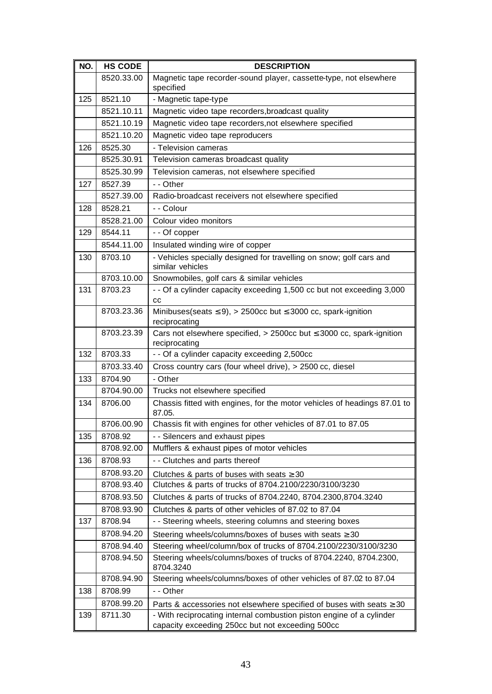| NO. | <b>HS CODE</b> | <b>DESCRIPTION</b>                                                                                                       |
|-----|----------------|--------------------------------------------------------------------------------------------------------------------------|
|     | 8520.33.00     | Magnetic tape recorder-sound player, cassette-type, not elsewhere<br>specified                                           |
| 125 | 8521.10        | - Magnetic tape-type                                                                                                     |
|     | 8521.10.11     | Magnetic video tape recorders, broadcast quality                                                                         |
|     | 8521.10.19     | Magnetic video tape recorders, not elsewhere specified                                                                   |
|     | 8521.10.20     | Magnetic video tape reproducers                                                                                          |
| 126 | 8525.30        | - Television cameras                                                                                                     |
|     | 8525.30.91     | Television cameras broadcast quality                                                                                     |
|     | 8525.30.99     | Television cameras, not elsewhere specified                                                                              |
| 127 | 8527.39        | - - Other                                                                                                                |
|     | 8527.39.00     | Radio-broadcast receivers not elsewhere specified                                                                        |
| 128 | 8528.21        | - - Colour                                                                                                               |
|     | 8528.21.00     | Colour video monitors                                                                                                    |
| 129 | 8544.11        | - - Of copper                                                                                                            |
|     | 8544.11.00     | Insulated winding wire of copper                                                                                         |
| 130 | 8703.10        | - Vehicles specially designed for travelling on snow; golf cars and<br>similar vehicles                                  |
|     | 8703.10.00     | Snowmobiles, golf cars & similar vehicles                                                                                |
| 131 | 8703.23        | - - Of a cylinder capacity exceeding 1,500 cc but not exceeding 3,000<br>cc                                              |
|     | 8703.23.36     | Minibuses(seats $\leq 9$ ), > 2500cc but $\leq 3000$ cc, spark-ignition<br>reciprocating                                 |
|     | 8703.23.39     | Cars not elsewhere specified, $> 2500$ cc but $\leq 3000$ cc, spark-ignition<br>reciprocating                            |
| 132 | 8703.33        | - - Of a cylinder capacity exceeding 2,500cc                                                                             |
|     | 8703.33.40     | Cross country cars (four wheel drive), > 2500 cc, diesel                                                                 |
| 133 | 8704.90        | - Other                                                                                                                  |
|     | 8704.90.00     | Trucks not elsewhere specified                                                                                           |
| 134 | 8706.00        | Chassis fitted with engines, for the motor vehicles of headings 87.01 to<br>87.05.                                       |
|     | 8706.00.90     | Chassis fit with engines for other vehicles of 87.01 to 87.05                                                            |
| 135 | 8708.92        | - - Silencers and exhaust pipes                                                                                          |
|     | 8708.92.00     | Mufflers & exhaust pipes of motor vehicles                                                                               |
| 136 | 8708.93        | - - Clutches and parts thereof                                                                                           |
|     | 8708.93.20     | Clutches & parts of buses with seats $\geq 30$                                                                           |
|     | 8708.93.40     | Clutches & parts of trucks of 8704.2100/2230/3100/3230                                                                   |
|     | 8708.93.50     | Clutches & parts of trucks of 8704.2240, 8704.2300,8704.3240                                                             |
|     | 8708.93.90     | Clutches & parts of other vehicles of 87.02 to 87.04                                                                     |
| 137 | 8708.94        | - - Steering wheels, steering columns and steering boxes                                                                 |
|     | 8708.94.20     | Steering wheels/columns/boxes of buses with seats ≥ 30                                                                   |
|     | 8708.94.40     | Steering wheel/column/box of trucks of 8704.2100/2230/3100/3230                                                          |
|     | 8708.94.50     | Steering wheels/columns/boxes of trucks of 8704.2240, 8704.2300,<br>8704.3240                                            |
|     | 8708.94.90     | Steering wheels/columns/boxes of other vehicles of 87.02 to 87.04                                                        |
| 138 | 8708.99        | - - Other                                                                                                                |
|     | 8708.99.20     | Parts & accessories not elsewhere specified of buses with seats $\geq 30$                                                |
| 139 | 8711.30        | - With reciprocating internal combustion piston engine of a cylinder<br>capacity exceeding 250cc but not exceeding 500cc |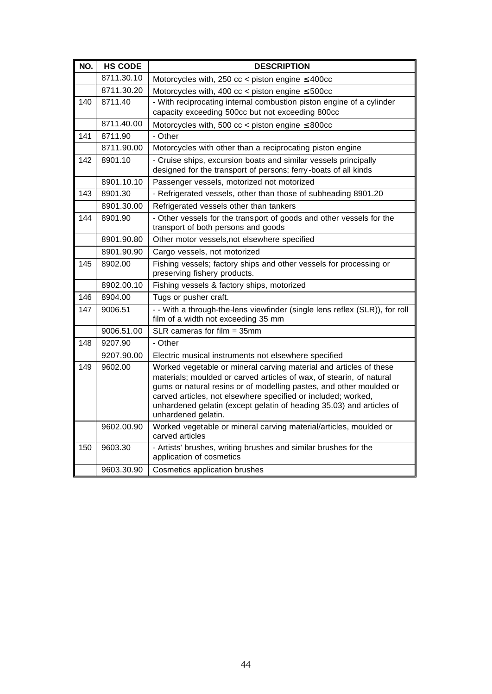| NO. | <b>HS CODE</b> | <b>DESCRIPTION</b>                                                                                                                                                                                                                                                                                                                                                                |
|-----|----------------|-----------------------------------------------------------------------------------------------------------------------------------------------------------------------------------------------------------------------------------------------------------------------------------------------------------------------------------------------------------------------------------|
|     | 8711.30.10     | Motorcycles with, 250 $cc$ < piston engine $\leq$ 400 $cc$                                                                                                                                                                                                                                                                                                                        |
|     | 8711.30.20     | Motorcycles with, 400 $cc$ < piston engine $\leq$ 500cc                                                                                                                                                                                                                                                                                                                           |
| 140 | 8711.40        | - With reciprocating internal combustion piston engine of a cylinder<br>capacity exceeding 500cc but not exceeding 800cc                                                                                                                                                                                                                                                          |
|     | 8711.40.00     | Motorcycles with, 500 $cc$ < piston engine $\leq$ 800 $cc$                                                                                                                                                                                                                                                                                                                        |
| 141 | 8711.90        | - Other                                                                                                                                                                                                                                                                                                                                                                           |
|     | 8711.90.00     | Motorcycles with other than a reciprocating piston engine                                                                                                                                                                                                                                                                                                                         |
| 142 | 8901.10        | - Cruise ships, excursion boats and similar vessels principally<br>designed for the transport of persons; ferry-boats of all kinds                                                                                                                                                                                                                                                |
|     | 8901.10.10     | Passenger vessels, motorized not motorized                                                                                                                                                                                                                                                                                                                                        |
| 143 | 8901.30        | - Refrigerated vessels, other than those of subheading 8901.20                                                                                                                                                                                                                                                                                                                    |
|     | 8901.30.00     | Refrigerated vessels other than tankers                                                                                                                                                                                                                                                                                                                                           |
| 144 | 8901.90        | - Other vessels for the transport of goods and other vessels for the<br>transport of both persons and goods                                                                                                                                                                                                                                                                       |
|     | 8901.90.80     | Other motor vessels, not elsewhere specified                                                                                                                                                                                                                                                                                                                                      |
|     | 8901.90.90     | Cargo vessels, not motorized                                                                                                                                                                                                                                                                                                                                                      |
| 145 | 8902.00        | Fishing vessels; factory ships and other vessels for processing or<br>preserving fishery products.                                                                                                                                                                                                                                                                                |
|     | 8902.00.10     | Fishing vessels & factory ships, motorized                                                                                                                                                                                                                                                                                                                                        |
| 146 | 8904.00        | Tugs or pusher craft.                                                                                                                                                                                                                                                                                                                                                             |
| 147 | 9006.51        | - - With a through-the-lens viewfinder (single lens reflex (SLR)), for roll<br>film of a width not exceeding 35 mm                                                                                                                                                                                                                                                                |
|     | 9006.51.00     | $SLR$ cameras for film = 35mm                                                                                                                                                                                                                                                                                                                                                     |
| 148 | 9207.90        | - Other                                                                                                                                                                                                                                                                                                                                                                           |
|     | 9207.90.00     | Electric musical instruments not elsewhere specified                                                                                                                                                                                                                                                                                                                              |
| 149 | 9602.00        | Worked vegetable or mineral carving material and articles of these<br>materials; moulded or carved articles of wax, of stearin, of natural<br>gums or natural resins or of modelling pastes, and other moulded or<br>carved articles, not elsewhere specified or included; worked,<br>unhardened gelatin (except gelatin of heading 35.03) and articles of<br>unhardened gelatin. |
|     | 9602.00.90     | Worked vegetable or mineral carving material/articles, moulded or<br>carved articles                                                                                                                                                                                                                                                                                              |
| 150 | 9603.30        | - Artists' brushes, writing brushes and similar brushes for the<br>application of cosmetics                                                                                                                                                                                                                                                                                       |
|     | 9603.30.90     | Cosmetics application brushes                                                                                                                                                                                                                                                                                                                                                     |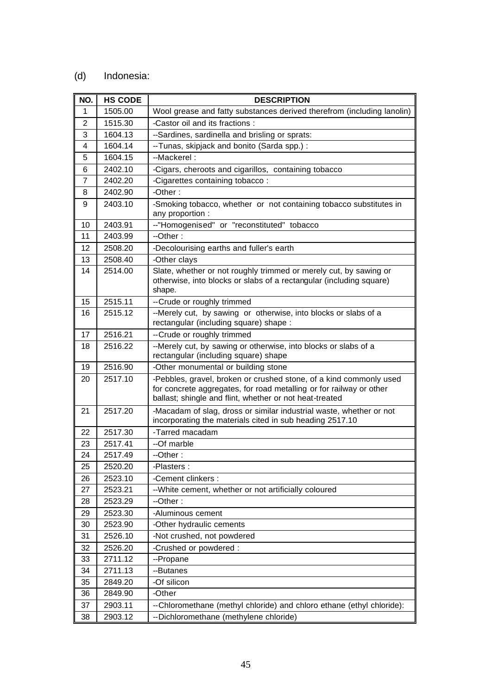# (d) Indonesia:

| NO.            | <b>HS CODE</b> | <b>DESCRIPTION</b>                                                                                                                                                                                   |
|----------------|----------------|------------------------------------------------------------------------------------------------------------------------------------------------------------------------------------------------------|
| 1              | 1505.00        | Wool grease and fatty substances derived therefrom (including lanolin)                                                                                                                               |
| $\overline{2}$ | 1515.30        | -Castor oil and its fractions :                                                                                                                                                                      |
| 3              | 1604.13        | --Sardines, sardinella and brisling or sprats:                                                                                                                                                       |
| 4              | 1604.14        | --Tunas, skipjack and bonito (Sarda spp.) :                                                                                                                                                          |
| 5              | 1604.15        | --Mackerel:                                                                                                                                                                                          |
| 6              | 2402.10        | -Cigars, cheroots and cigarillos, containing tobacco                                                                                                                                                 |
| 7              | 2402.20        | -Cigarettes containing tobacco:                                                                                                                                                                      |
| 8              | 2402.90        | -Other:                                                                                                                                                                                              |
| 9              | 2403.10        | -Smoking tobacco, whether or not containing tobacco substitutes in<br>any proportion :                                                                                                               |
| 10             | 2403.91        | --"Homogenised" or "reconstituted" tobacco                                                                                                                                                           |
| 11             | 2403.99        | $-Other:$                                                                                                                                                                                            |
| 12             | 2508.20        | -Decolourising earths and fuller's earth                                                                                                                                                             |
| 13             | 2508.40        | -Other clays                                                                                                                                                                                         |
| 14             | 2514.00        | Slate, whether or not roughly trimmed or merely cut, by sawing or<br>otherwise, into blocks or slabs of a rectangular (including square)<br>shape.                                                   |
| 15             | 2515.11        | -- Crude or roughly trimmed                                                                                                                                                                          |
| 16             | 2515.12        | --Merely cut, by sawing or otherwise, into blocks or slabs of a<br>rectangular (including square) shape :                                                                                            |
| 17             | 2516.21        | -- Crude or roughly trimmed                                                                                                                                                                          |
| 18             | 2516.22        | --Merely cut, by sawing or otherwise, into blocks or slabs of a<br>rectangular (including square) shape                                                                                              |
| 19             | 2516.90        | -Other monumental or building stone                                                                                                                                                                  |
| 20             | 2517.10        | -Pebbles, gravel, broken or crushed stone, of a kind commonly used<br>for concrete aggregates, for road metalling or for railway or other<br>ballast; shingle and flint, whether or not heat-treated |
| 21             | 2517.20        | -Macadam of slag, dross or similar industrial waste, whether or not<br>incorporating the materials cited in sub heading 2517.10                                                                      |
| 22             | 2517.30        | -Tarred macadam                                                                                                                                                                                      |
| 23             | 2517.41        | --Of marble                                                                                                                                                                                          |
| 24             | 2517.49        | $-Other:$                                                                                                                                                                                            |
| 25             | 2520.20        | -Plasters :                                                                                                                                                                                          |
| 26             | 2523.10        | -Cement clinkers :                                                                                                                                                                                   |
| 27             | 2523.21        | -- White cement, whether or not artificially coloured                                                                                                                                                |
| 28             | 2523.29        | --Other:                                                                                                                                                                                             |
| 29             | 2523.30        | -Aluminous cement                                                                                                                                                                                    |
| 30             | 2523.90        | -Other hydraulic cements                                                                                                                                                                             |
| 31             | 2526.10        | -Not crushed, not powdered                                                                                                                                                                           |
| 32             | 2526.20        | -Crushed or powdered :                                                                                                                                                                               |
| 33             | 2711.12        | --Propane                                                                                                                                                                                            |
| 34             | 2711.13        | --Butanes                                                                                                                                                                                            |
| 35             | 2849.20        | -Of silicon                                                                                                                                                                                          |
| 36             | 2849.90        | -Other                                                                                                                                                                                               |
| 37             | 2903.11        | -- Chloromethane (methyl chloride) and chloro ethane (ethyl chloride):                                                                                                                               |
| 38             | 2903.12        | --Dichloromethane (methylene chloride)                                                                                                                                                               |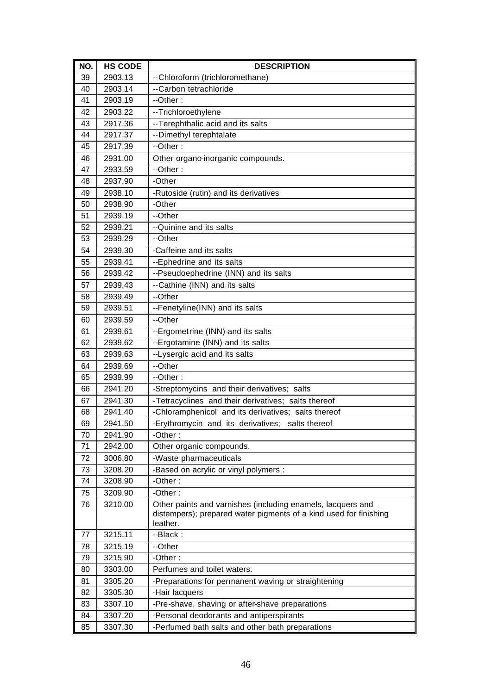| NO. | <b>HS CODE</b> | <b>DESCRIPTION</b>                                                |
|-----|----------------|-------------------------------------------------------------------|
| 39  | 2903.13        | -- Chloroform (trichloromethane)                                  |
| 40  | 2903.14        | --Carbon tetrachloride                                            |
| 41  | 2903.19        | --Other:                                                          |
| 42  | 2903.22        | --Trichloroethylene                                               |
| 43  | 2917.36        | -- Terephthalic acid and its salts                                |
| 44  | 2917.37        | -- Dimethyl terephtalate                                          |
| 45  | 2917.39        | --Other:                                                          |
| 46  | 2931.00        | Other organo-inorganic compounds.                                 |
| 47  | 2933.59        | --Other:                                                          |
| 48  | 2937.90        | -Other                                                            |
| 49  | 2938.10        | -Rutoside (rutin) and its derivatives                             |
| 50  | 2938.90        | -Other                                                            |
| 51  | 2939.19        | --Other                                                           |
| 52  | 2939.21        | --Quinine and its salts                                           |
| 53  | 2939.29        | --Other                                                           |
| 54  | 2939.30        | -Caffeine and its salts                                           |
| 55  | 2939.41        | --Ephedrine and its salts                                         |
| 56  | 2939.42        | --Pseudoephedrine (INN) and its salts                             |
| 57  | 2939.43        | --Cathine (INN) and its salts                                     |
| 58  | 2939.49        | --Other                                                           |
| 59  | 2939.51        | --Fenetyline(INN) and its salts                                   |
| 60  | 2939.59        | --Other                                                           |
| 61  | 2939.61        | --Ergometrine (INN) and its salts                                 |
| 62  | 2939.62        | --Ergotamine (INN) and its salts                                  |
| 63  | 2939.63        | --Lysergic acid and its salts                                     |
| 64  | 2939.69        | --Other                                                           |
| 65  | 2939.99        | --Other:                                                          |
| 66  | 2941.20        | -Streptomycins and their derivatives; salts                       |
| 67  | 2941.30        | -Tetracyclines and their derivatives; salts thereof               |
| 68  | 2941.40        | -Chloramphenicol and its derivatives; salts thereof               |
| 69  | 2941.50        | -Erythromycin and its derivatives; salts thereof                  |
| 70  | 2941.90        | -Other:                                                           |
| 71  | 2942.00        | Other organic compounds.                                          |
| 72  | 3006.80        | -Waste pharmaceuticals                                            |
| 73  | 3208.20        | -Based on acrylic or vinyl polymers :                             |
| 74  | 3208.90        | -Other:                                                           |
| 75  | 3209.90        | -Other:                                                           |
| 76  | 3210.00        | Other paints and varnishes (including enamels, lacquers and       |
|     |                | distempers); prepared water pigments of a kind used for finishing |
|     |                | leather.                                                          |
| 77  | 3215.11        | --Black:                                                          |
| 78  | 3215.19        | --Other                                                           |
| 79  | 3215.90        | -Other:                                                           |
| 80  | 3303.00        | Perfumes and toilet waters.                                       |
| 81  | 3305.20        | -Preparations for permanent waving or straightening               |
| 82  | 3305.30        | -Hair lacquers                                                    |
| 83  | 3307.10        | -Pre-shave, shaving or after-shave preparations                   |
| 84  | 3307.20        | -Personal deodorants and antiperspirants                          |
| 85  | 3307.30        | -Perfumed bath salts and other bath preparations                  |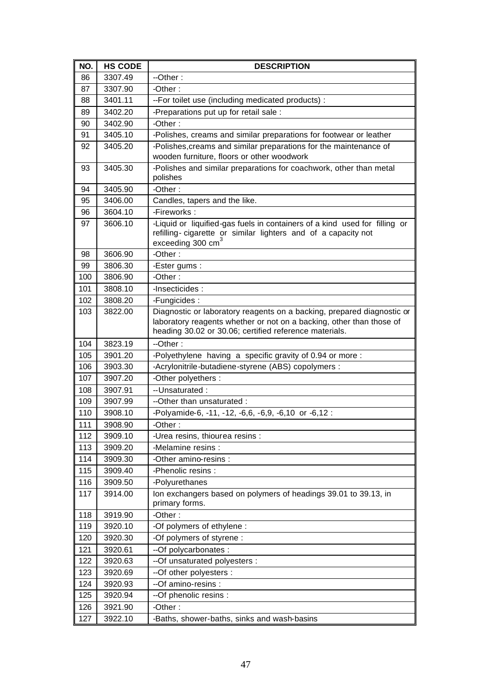| NO. | <b>HS CODE</b> | <b>DESCRIPTION</b>                                                                                                                                                                                       |
|-----|----------------|----------------------------------------------------------------------------------------------------------------------------------------------------------------------------------------------------------|
| 86  | 3307.49        | --Other:                                                                                                                                                                                                 |
| 87  | 3307.90        | -Other:                                                                                                                                                                                                  |
| 88  | 3401.11        | --For toilet use (including medicated products) :                                                                                                                                                        |
| 89  | 3402.20        | -Preparations put up for retail sale :                                                                                                                                                                   |
| 90  | 3402.90        | -Other:                                                                                                                                                                                                  |
| 91  | 3405.10        | -Polishes, creams and similar preparations for footwear or leather                                                                                                                                       |
| 92  | 3405.20        | -Polishes, creams and similar preparations for the maintenance of                                                                                                                                        |
|     |                | wooden furniture, floors or other woodwork                                                                                                                                                               |
| 93  | 3405.30        | -Polishes and similar preparations for coachwork, other than metal<br>polishes                                                                                                                           |
| 94  | 3405.90        | -Other:                                                                                                                                                                                                  |
| 95  | 3406.00        | Candles, tapers and the like.                                                                                                                                                                            |
| 96  | 3604.10        | -Fireworks:                                                                                                                                                                                              |
| 97  | 3606.10        | -Liquid or liquified-gas fuels in containers of a kind used for filling or<br>refilling-cigarette or similar lighters and of a capacity not<br>exceeding 300 cm <sup>3</sup>                             |
| 98  | 3606.90        | -Other:                                                                                                                                                                                                  |
| 99  | 3806.30        | -Ester gums :                                                                                                                                                                                            |
| 100 | 3806.90        | -Other:                                                                                                                                                                                                  |
| 101 | 3808.10        | -Insecticides:                                                                                                                                                                                           |
| 102 | 3808.20        | -Fungicides:                                                                                                                                                                                             |
| 103 | 3822.00        | Diagnostic or laboratory reagents on a backing, prepared diagnostic or<br>laboratory reagents whether or not on a backing, other than those of<br>heading 30.02 or 30.06; certified reference materials. |
| 104 | 3823.19        | --Other:                                                                                                                                                                                                 |
| 105 | 3901.20        | -Polyethylene having a specific gravity of 0.94 or more :                                                                                                                                                |
| 106 | 3903.30        | -Acrylonitrile-butadiene-styrene (ABS) copolymers :                                                                                                                                                      |
| 107 | 3907.20        | -Other polyethers :                                                                                                                                                                                      |
| 108 | 3907.91        | -- Unsaturated:                                                                                                                                                                                          |
| 109 | 3907.99        | --Other than unsaturated:                                                                                                                                                                                |
| 110 | 3908.10        | -Polyamide-6, -11, -12, -6,6, -6,9, -6,10 or -6,12 :                                                                                                                                                     |
| 111 | 3908.90        | -Other:                                                                                                                                                                                                  |
| 112 | 3909.10        | -Urea resins, thiourea resins :                                                                                                                                                                          |
| 113 | 3909.20        | -Melamine resins :                                                                                                                                                                                       |
| 114 | 3909.30        | -Other amino-resins :                                                                                                                                                                                    |
| 115 | 3909.40        | -Phenolic resins :                                                                                                                                                                                       |
| 116 | 3909.50        | -Polyurethanes                                                                                                                                                                                           |
| 117 | 3914.00        | Ion exchangers based on polymers of headings 39.01 to 39.13, in<br>primary forms.                                                                                                                        |
| 118 | 3919.90        | -Other:                                                                                                                                                                                                  |
| 119 | 3920.10        | -Of polymers of ethylene :                                                                                                                                                                               |
| 120 | 3920.30        | -Of polymers of styrene :                                                                                                                                                                                |
| 121 | 3920.61        | --Of polycarbonates :                                                                                                                                                                                    |
| 122 | 3920.63        | -- Of unsaturated polyesters :                                                                                                                                                                           |
| 123 | 3920.69        | --Of other polyesters :                                                                                                                                                                                  |
| 124 | 3920.93        | --Of amino-resins :                                                                                                                                                                                      |
| 125 | 3920.94        | --Of phenolic resins :                                                                                                                                                                                   |
| 126 | 3921.90        | -Other:                                                                                                                                                                                                  |
| 127 | 3922.10        | -Baths, shower-baths, sinks and wash-basins                                                                                                                                                              |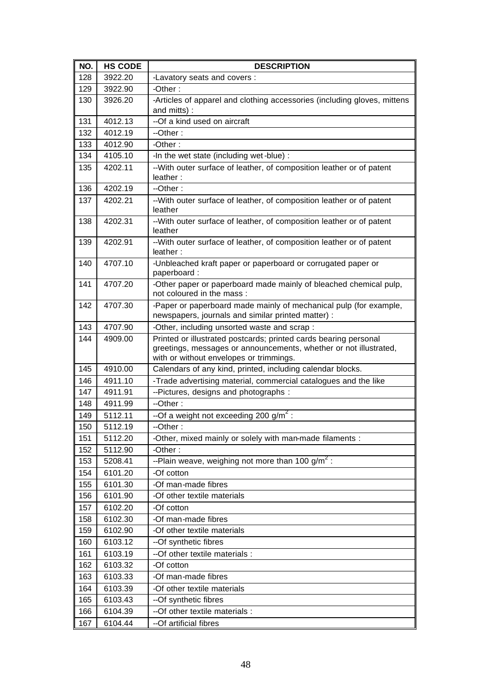| NO. | <b>HS CODE</b> | <b>DESCRIPTION</b>                                                                                                                                                               |
|-----|----------------|----------------------------------------------------------------------------------------------------------------------------------------------------------------------------------|
| 128 | 3922.20        | -Lavatory seats and covers :                                                                                                                                                     |
| 129 | 3922.90        | -Other:                                                                                                                                                                          |
| 130 | 3926.20        | -Articles of apparel and clothing accessories (including gloves, mittens<br>and mitts):                                                                                          |
| 131 | 4012.13        | --Of a kind used on aircraft                                                                                                                                                     |
| 132 | 4012.19        | $-Other:$                                                                                                                                                                        |
| 133 | 4012.90        | -Other:                                                                                                                                                                          |
| 134 | 4105.10        | -In the wet state (including wet-blue) :                                                                                                                                         |
| 135 | 4202.11        | -- With outer surface of leather, of composition leather or of patent<br>leather:                                                                                                |
| 136 | 4202.19        | --Other:                                                                                                                                                                         |
| 137 | 4202.21        | -- With outer surface of leather, of composition leather or of patent<br>leather                                                                                                 |
| 138 | 4202.31        | -- With outer surface of leather, of composition leather or of patent<br>leather                                                                                                 |
| 139 | 4202.91        | -- With outer surface of leather, of composition leather or of patent<br>leather:                                                                                                |
| 140 | 4707.10        | -Unbleached kraft paper or paperboard or corrugated paper or<br>paperboard:                                                                                                      |
| 141 | 4707.20        | -Other paper or paperboard made mainly of bleached chemical pulp,<br>not coloured in the mass:                                                                                   |
| 142 | 4707.30        | -Paper or paperboard made mainly of mechanical pulp (for example,<br>newspapers, journals and similar printed matter) :                                                          |
| 143 | 4707.90        | -Other, including unsorted waste and scrap:                                                                                                                                      |
| 144 | 4909.00        | Printed or illustrated postcards; printed cards bearing personal<br>greetings, messages or announcements, whether or not illustrated,<br>with or without envelopes or trimmings. |
| 145 | 4910.00        | Calendars of any kind, printed, including calendar blocks.                                                                                                                       |
| 146 | 4911.10        | -Trade advertising material, commercial catalogues and the like                                                                                                                  |
| 147 | 4911.91        | --Pictures, designs and photographs :                                                                                                                                            |
| 148 | 4911.99        | --Other:                                                                                                                                                                         |
| 149 | 5112.11        | --Of a weight not exceeding 200 $g/m^2$ :                                                                                                                                        |
| 150 | 5112.19        | --Other:                                                                                                                                                                         |
| 151 | 5112.20        | -Other, mixed mainly or solely with man-made filaments :                                                                                                                         |
| 152 | 5112.90        | -Other:                                                                                                                                                                          |
| 153 | 5208.41        | --Plain weave, weighing not more than 100 $\frac{g}{m^2}$ :                                                                                                                      |
| 154 | 6101.20        | -Of cotton                                                                                                                                                                       |
| 155 | 6101.30        | -Of man-made fibres                                                                                                                                                              |
| 156 | 6101.90        | -Of other textile materials                                                                                                                                                      |
| 157 | 6102.20        | -Of cotton                                                                                                                                                                       |
| 158 | 6102.30        | -Of man-made fibres                                                                                                                                                              |
| 159 | 6102.90        | -Of other textile materials                                                                                                                                                      |
| 160 | 6103.12        | --Of synthetic fibres                                                                                                                                                            |
| 161 | 6103.19        | -- Of other textile materials :                                                                                                                                                  |
| 162 | 6103.32        | -Of cotton                                                                                                                                                                       |
| 163 | 6103.33        | -Of man-made fibres                                                                                                                                                              |
| 164 | 6103.39        | -Of other textile materials                                                                                                                                                      |
| 165 | 6103.43        | --Of synthetic fibres                                                                                                                                                            |
| 166 | 6104.39        | -- Of other textile materials :                                                                                                                                                  |
| 167 | 6104.44        | --Of artificial fibres                                                                                                                                                           |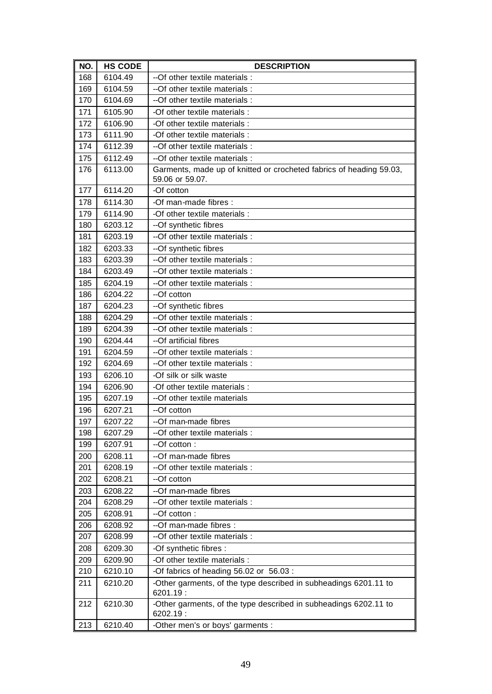| NO. | <b>HS CODE</b> | <b>DESCRIPTION</b>                                                           |
|-----|----------------|------------------------------------------------------------------------------|
| 168 | 6104.49        | -- Of other textile materials :                                              |
| 169 | 6104.59        | --Of other textile materials :                                               |
| 170 | 6104.69        | -- Of other textile materials :                                              |
| 171 | 6105.90        | -Of other textile materials :                                                |
| 172 | 6106.90        | -Of other textile materials :                                                |
| 173 | 6111.90        | -Of other textile materials :                                                |
| 174 | 6112.39        | --Of other textile materials :                                               |
| 175 | 6112.49        | --Of other textile materials :                                               |
| 176 | 6113.00        | Garments, made up of knitted or crocheted fabrics of heading 59.03,          |
|     |                | 59.06 or 59.07.                                                              |
| 177 | 6114.20        | -Of cotton                                                                   |
| 178 | 6114.30        | -Of man-made fibres :                                                        |
| 179 | 6114.90        | -Of other textile materials :                                                |
| 180 | 6203.12        | --Of synthetic fibres                                                        |
| 181 | 6203.19        | --Of other textile materials :                                               |
| 182 | 6203.33        | --Of synthetic fibres                                                        |
| 183 | 6203.39        | -- Of other textile materials :                                              |
| 184 | 6203.49        | --Of other textile materials :                                               |
| 185 | 6204.19        | --Of other textile materials :                                               |
| 186 | 6204.22        | --Of cotton                                                                  |
| 187 | 6204.23        | --Of synthetic fibres                                                        |
| 188 | 6204.29        | --Of other textile materials :                                               |
| 189 | 6204.39        | -- Of other textile materials :                                              |
| 190 | 6204.44        | --Of artificial fibres                                                       |
| 191 | 6204.59        | --Of other textile materials :                                               |
| 192 | 6204.69        | -- Of other textile materials :                                              |
| 193 | 6206.10        | -Of silk or silk waste                                                       |
| 194 | 6206.90        | -Of other textile materials :                                                |
| 195 | 6207.19        | -- Of other textile materials                                                |
| 196 | 6207.21        | --Of cotton                                                                  |
| 197 | 6207.22        | --Of man-made fibres                                                         |
| 198 | 6207.29        | --Of other textile materials :                                               |
| 199 | 6207.91        | --Of cotton:                                                                 |
| 200 | 6208.11        | --Of man-made fibres                                                         |
| 201 | 6208.19        | --Of other textile materials :                                               |
| 202 | 6208.21        | --Of cotton                                                                  |
| 203 | 6208.22        | --Of man-made fibres                                                         |
| 204 | 6208.29        | -- Of other textile materials :                                              |
| 205 | 6208.91        | --Of cotton:                                                                 |
| 206 | 6208.92        | --Of man-made fibres :                                                       |
| 207 | 6208.99        | -- Of other textile materials :                                              |
| 208 | 6209.30        | -Of synthetic fibres :                                                       |
| 209 | 6209.90        | -Of other textile materials :                                                |
| 210 | 6210.10        | -Of fabrics of heading 56.02 or 56.03 :                                      |
| 211 | 6210.20        | -Other garments, of the type described in subheadings 6201.11 to             |
|     |                | 6201.19:                                                                     |
| 212 | 6210.30        | -Other garments, of the type described in subheadings 6202.11 to<br>6202.19: |
| 213 | 6210.40        | -Other men's or boys' garments :                                             |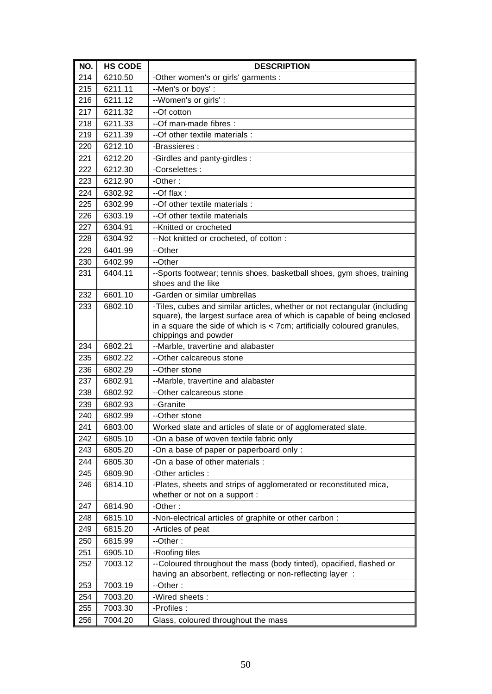| NO. | <b>HS CODE</b> | <b>DESCRIPTION</b>                                                                                                                                                                                                                                        |
|-----|----------------|-----------------------------------------------------------------------------------------------------------------------------------------------------------------------------------------------------------------------------------------------------------|
| 214 | 6210.50        | -Other women's or girls' garments :                                                                                                                                                                                                                       |
| 215 | 6211.11        | --Men's or boys':                                                                                                                                                                                                                                         |
| 216 | 6211.12        | --Women's or girls' :                                                                                                                                                                                                                                     |
| 217 | 6211.32        | --Of cotton                                                                                                                                                                                                                                               |
| 218 | 6211.33        | --Of man-made fibres :                                                                                                                                                                                                                                    |
| 219 | 6211.39        | --Of other textile materials :                                                                                                                                                                                                                            |
| 220 | 6212.10        | -Brassieres :                                                                                                                                                                                                                                             |
| 221 | 6212.20        | -Girdles and panty-girdles :                                                                                                                                                                                                                              |
| 222 | 6212.30        | -Corselettes:                                                                                                                                                                                                                                             |
| 223 | 6212.90        | -Other:                                                                                                                                                                                                                                                   |
| 224 | 6302.92        | $-$ Of flax :                                                                                                                                                                                                                                             |
| 225 | 6302.99        | --Of other textile materials:                                                                                                                                                                                                                             |
| 226 | 6303.19        | --Of other textile materials                                                                                                                                                                                                                              |
| 227 | 6304.91        | --Knitted or crocheted                                                                                                                                                                                                                                    |
| 228 | 6304.92        | -- Not knitted or crocheted, of cotton:                                                                                                                                                                                                                   |
| 229 | 6401.99        | --Other                                                                                                                                                                                                                                                   |
| 230 | 6402.99        | --Other                                                                                                                                                                                                                                                   |
| 231 | 6404.11        | --Sports footwear; tennis shoes, basketball shoes, gym shoes, training<br>shoes and the like                                                                                                                                                              |
| 232 | 6601.10        | -Garden or similar umbrellas                                                                                                                                                                                                                              |
| 233 | 6802.10        | -Tiles, cubes and similar articles, whether or not rectangular (including<br>square), the largest surface area of which is capable of being enclosed<br>in a square the side of which is $<$ 7cm; artificially coloured granules,<br>chippings and powder |
| 234 | 6802.21        | --Marble, travertine and alabaster                                                                                                                                                                                                                        |
| 235 | 6802.22        | --Other calcareous stone                                                                                                                                                                                                                                  |
| 236 | 6802.29        | --Other stone                                                                                                                                                                                                                                             |
| 237 | 6802.91        | --Marble, travertine and alabaster                                                                                                                                                                                                                        |
| 238 | 6802.92        | --Other calcareous stone                                                                                                                                                                                                                                  |
| 239 | 6802.93        | --Granite                                                                                                                                                                                                                                                 |
| 240 | 6802.99        | --Other stone                                                                                                                                                                                                                                             |
| 241 | 6803.00        | Worked slate and articles of slate or of agglomerated slate.                                                                                                                                                                                              |
| 242 | 6805.10        | -On a base of woven textile fabric only                                                                                                                                                                                                                   |
| 243 | 6805.20        | -On a base of paper or paperboard only:                                                                                                                                                                                                                   |
| 244 | 6805.30        | -On a base of other materials :                                                                                                                                                                                                                           |
| 245 | 6809.90        | -Other articles :                                                                                                                                                                                                                                         |
| 246 | 6814.10        | -Plates, sheets and strips of agglomerated or reconstituted mica,                                                                                                                                                                                         |
|     |                | whether or not on a support :                                                                                                                                                                                                                             |
| 247 | 6814.90        | -Other:                                                                                                                                                                                                                                                   |
| 248 | 6815.10        | -Non-electrical articles of graphite or other carbon :                                                                                                                                                                                                    |
| 249 | 6815.20        | -Articles of peat                                                                                                                                                                                                                                         |
| 250 | 6815.99        | --Other:                                                                                                                                                                                                                                                  |
| 251 | 6905.10        | -Roofing tiles                                                                                                                                                                                                                                            |
| 252 | 7003.12        | --Coloured throughout the mass (body tinted), opacified, flashed or<br>having an absorbent, reflecting or non-reflecting layer :                                                                                                                          |
| 253 | 7003.19        | --Other:                                                                                                                                                                                                                                                  |
| 254 | 7003.20        | -Wired sheets:                                                                                                                                                                                                                                            |
| 255 | 7003.30        | -Profiles :                                                                                                                                                                                                                                               |
| 256 | 7004.20        | Glass, coloured throughout the mass                                                                                                                                                                                                                       |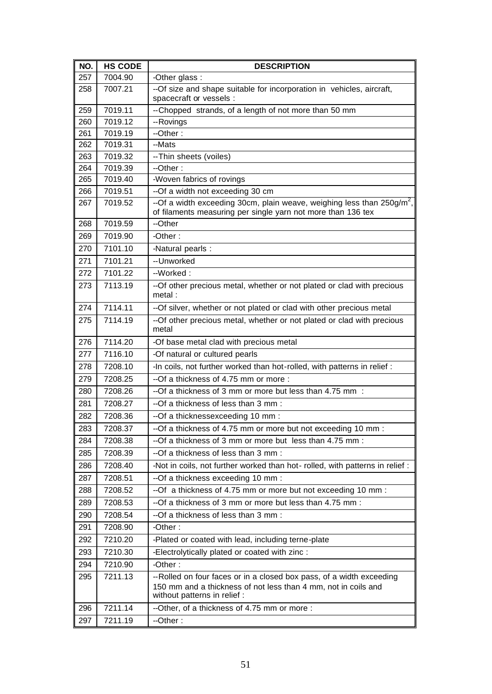| NO. | <b>HS CODE</b> | <b>DESCRIPTION</b>                                                                                                                                    |
|-----|----------------|-------------------------------------------------------------------------------------------------------------------------------------------------------|
| 257 | 7004.90        | -Other glass:                                                                                                                                         |
| 258 | 7007.21        | --Of size and shape suitable for incorporation in vehicles, aircraft,<br>spacecraft or vessels :                                                      |
| 259 | 7019.11        | --Chopped strands, of a length of not more than 50 mm                                                                                                 |
| 260 | 7019.12        | --Rovings                                                                                                                                             |
| 261 | 7019.19        | --Other:                                                                                                                                              |
| 262 | 7019.31        | --Mats                                                                                                                                                |
| 263 | 7019.32        | -- Thin sheets (voiles)                                                                                                                               |
| 264 | 7019.39        | $-Other:$                                                                                                                                             |
| 265 | 7019.40        | -Woven fabrics of rovings                                                                                                                             |
| 266 | 7019.51        | --Of a width not exceeding 30 cm                                                                                                                      |
| 267 | 7019.52        | --Of a width exceeding 30cm, plain weave, weighing less than $250$ g/m <sup>2</sup> ,<br>of filaments measuring per single yarn not more than 136 tex |
| 268 | 7019.59        | --Other                                                                                                                                               |
| 269 | 7019.90        | -Other:                                                                                                                                               |
| 270 | 7101.10        | -Natural pearls :                                                                                                                                     |
| 271 | 7101.21        | --Unworked                                                                                                                                            |
| 272 | 7101.22        | --Worked:                                                                                                                                             |
| 273 | 7113.19        | --Of other precious metal, whether or not plated or clad with precious<br>metal:                                                                      |
| 274 | 7114.11        | --Of silver, whether or not plated or clad with other precious metal                                                                                  |
| 275 | 7114.19        | --Of other precious metal, whether or not plated or clad with precious<br>metal                                                                       |
| 276 | 7114.20        | -Of base metal clad with precious metal                                                                                                               |
| 277 | 7116.10        | -Of natural or cultured pearls                                                                                                                        |
| 278 | 7208.10        | -In coils, not further worked than hot-rolled, with patterns in relief :                                                                              |
| 279 | 7208.25        | --Of a thickness of 4.75 mm or more :                                                                                                                 |
| 280 | 7208.26        | --Of a thickness of 3 mm or more but less than 4.75 mm :                                                                                              |
| 281 | 7208.27        | --Of a thickness of less than 3 mm :                                                                                                                  |
| 282 | 7208.36        | --Of a thicknessexceeding 10 mm :                                                                                                                     |
| 283 | 7208.37        | --Of a thickness of 4.75 mm or more but not exceeding 10 mm :                                                                                         |
| 284 | 7208.38        | --Of a thickness of 3 mm or more but less than 4.75 mm :                                                                                              |
| 285 | 7208.39        | --Of a thickness of less than 3 mm :                                                                                                                  |
| 286 | 7208.40        | -Not in coils, not further worked than hot-rolled, with patterns in relief :                                                                          |
| 287 | 7208.51        | --Of a thickness exceeding 10 mm :                                                                                                                    |
| 288 | 7208.52        | --Of a thickness of 4.75 mm or more but not exceeding 10 mm :                                                                                         |
| 289 | 7208.53        | --Of a thickness of 3 mm or more but less than 4.75 mm :                                                                                              |
| 290 | 7208.54        | --Of a thickness of less than 3 mm :                                                                                                                  |
| 291 | 7208.90        | -Other:                                                                                                                                               |
| 292 | 7210.20        | -Plated or coated with lead, including terne-plate                                                                                                    |
| 293 | 7210.30        | -Electrolytically plated or coated with zinc :                                                                                                        |
| 294 | 7210.90        | -Other:                                                                                                                                               |
| 295 | 7211.13        | --Rolled on four faces or in a closed box pass, of a width exceeding                                                                                  |
|     |                | 150 mm and a thickness of not less than 4 mm, not in coils and<br>without patterns in relief :                                                        |
| 296 | 7211.14        | --Other, of a thickness of 4.75 mm or more :                                                                                                          |
| 297 | 7211.19        | --Other:                                                                                                                                              |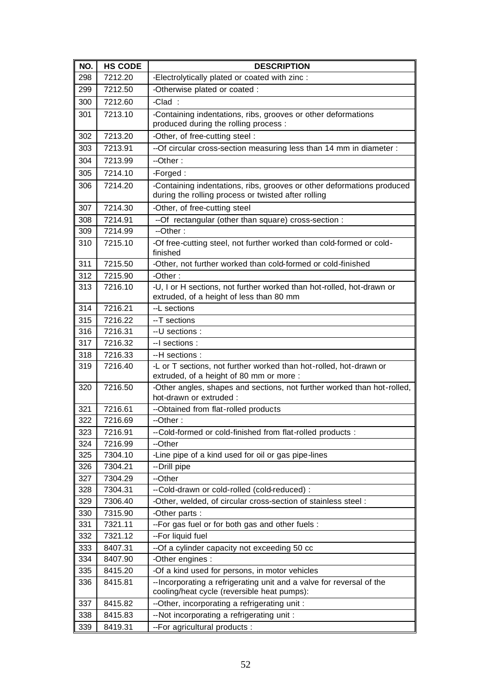| NO.        | <b>HS CODE</b>     | <b>DESCRIPTION</b>                                                                                                            |
|------------|--------------------|-------------------------------------------------------------------------------------------------------------------------------|
| 298        | 7212.20            | -Electrolytically plated or coated with zinc :                                                                                |
| 299        | 7212.50            | -Otherwise plated or coated :                                                                                                 |
| 300        | 7212.60            | -Clad:                                                                                                                        |
| 301        | 7213.10            | -Containing indentations, ribs, grooves or other deformations<br>produced during the rolling process :                        |
| 302        | 7213.20            | -Other, of free-cutting steel :                                                                                               |
| 303        | 7213.91            | --Of circular cross-section measuring less than 14 mm in diameter :                                                           |
| 304        | 7213.99            | --Other:                                                                                                                      |
| 305        | 7214.10            | -Forged:                                                                                                                      |
| 306        | 7214.20            | -Containing indentations, ribs, grooves or other deformations produced<br>during the rolling process or twisted after rolling |
| 307        | 7214.30            | -Other, of free-cutting steel                                                                                                 |
| 308        | 7214.91            | -- Of rectangular (other than square) cross-section :                                                                         |
| 309        | 7214.99            | $-Other:$                                                                                                                     |
| 310        | 7215.10            | -Of free-cutting steel, not further worked than cold-formed or cold-<br>finished                                              |
| 311        | 7215.50            | -Other, not further worked than cold-formed or cold-finished                                                                  |
| 312        | 7215.90            | -Other:                                                                                                                       |
| 313        | 7216.10            | -U, I or H sections, not further worked than hot-rolled, hot-drawn or<br>extruded, of a height of less than 80 mm             |
| 314        | 7216.21            | --L sections                                                                                                                  |
| 315        | 7216.22            | --T sections                                                                                                                  |
| 316        | 7216.31            | --U sections:                                                                                                                 |
| 317        | 7216.32            | --I sections :                                                                                                                |
| 318        | 7216.33            | --H sections :                                                                                                                |
| 319        | 7216.40            | -L or T sections, not further worked than hot-rolled, hot-drawn or<br>extruded, of a height of 80 mm or more :                |
| 320        | 7216.50            | -Other angles, shapes and sections, not further worked than hot-rolled,<br>hot-drawn or extruded :                            |
| 321        | 7216.61            | --Obtained from flat-rolled products                                                                                          |
| 322        | 7216.69            | --Other:                                                                                                                      |
| 323        | 7216.91            | --Cold-formed or cold-finished from flat-rolled products:                                                                     |
| 324        | 7216.99            | --Other                                                                                                                       |
| 325        | 7304.10            | -Line pipe of a kind used for oil or gas pipe-lines                                                                           |
| 326        | 7304.21            | --Drill pipe                                                                                                                  |
| 327        | 7304.29            | --Other                                                                                                                       |
| 328        | 7304.31            | --Cold-drawn or cold-rolled (cold-reduced) :                                                                                  |
| 329        | 7306.40            | -Other, welded, of circular cross-section of stainless steel :                                                                |
| 330        | 7315.90            | -Other parts:                                                                                                                 |
| 331        | 7321.11            | --For gas fuel or for both gas and other fuels :                                                                              |
| 332        | 7321.12            | --For liquid fuel                                                                                                             |
| 333<br>334 | 8407.31<br>8407.90 | --Of a cylinder capacity not exceeding 50 cc<br>-Other engines :                                                              |
| 335        | 8415.20            | -Of a kind used for persons, in motor vehicles                                                                                |
| 336        | 8415.81            | -- Incorporating a refrigerating unit and a valve for reversal of the                                                         |
|            |                    | cooling/heat cycle (reversible heat pumps):                                                                                   |
| 337        | 8415.82            | --Other, incorporating a refrigerating unit:                                                                                  |
| 338        | 8415.83            | --Not incorporating a refrigerating unit :                                                                                    |
| 339        | 8419.31            | --For agricultural products :                                                                                                 |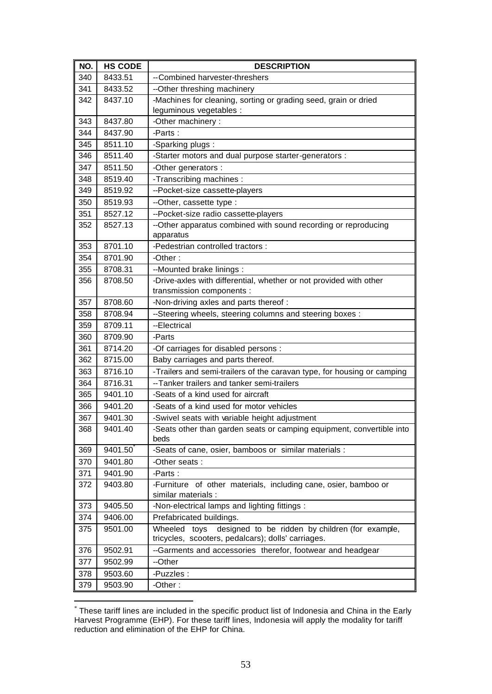| NO. | <b>HS CODE</b> | <b>DESCRIPTION</b>                                                                     |
|-----|----------------|----------------------------------------------------------------------------------------|
| 340 | 8433.51        | -- Combined harvester-threshers                                                        |
| 341 | 8433.52        | --Other threshing machinery                                                            |
| 342 | 8437.10        | -Machines for cleaning, sorting or grading seed, grain or dried                        |
|     |                | leguminous vegetables :                                                                |
| 343 | 8437.80        | -Other machinery:                                                                      |
| 344 | 8437.90        | -Parts:                                                                                |
| 345 | 8511.10        | -Sparking plugs:                                                                       |
| 346 | 8511.40        | -Starter motors and dual purpose starter-generators :                                  |
| 347 | 8511.50        | -Other generators :                                                                    |
| 348 | 8519.40        | -Transcribing machines :                                                               |
| 349 | 8519.92        | --Pocket-size cassette-players                                                         |
| 350 | 8519.93        | --Other, cassette type :                                                               |
| 351 | 8527.12        | --Pocket-size radio cassette-players                                                   |
| 352 | 8527.13        | --Other apparatus combined with sound recording or reproducing<br>apparatus            |
| 353 | 8701.10        | -Pedestrian controlled tractors :                                                      |
| 354 | 8701.90        | -Other:                                                                                |
| 355 | 8708.31        | --Mounted brake linings :                                                              |
| 356 | 8708.50        | -Drive-axles with differential, whether or not provided with other                     |
|     |                | transmission components :                                                              |
| 357 | 8708.60        | -Non-driving axles and parts thereof :                                                 |
| 358 | 8708.94        | --Steering wheels, steering columns and steering boxes :                               |
| 359 | 8709.11        | --Electrical                                                                           |
| 360 | 8709.90        | -Parts                                                                                 |
| 361 | 8714.20        | -Of carriages for disabled persons :                                                   |
| 362 | 8715.00        | Baby carriages and parts thereof.                                                      |
| 363 | 8716.10        | -Trailers and semi-trailers of the caravan type, for housing or camping                |
| 364 | 8716.31        | -- Tanker trailers and tanker semi-trailers                                            |
| 365 | 9401.10        | -Seats of a kind used for aircraft                                                     |
| 366 | 9401.20        | -Seats of a kind used for motor vehicles                                               |
| 367 | 9401.30        | -Swivel seats with variable height adjustment                                          |
| 368 | 9401.40        | -Seats other than garden seats or camping equipment, convertible into<br>beds          |
| 369 | 9401.50        | -Seats of cane, osier, bamboos or similar materials :                                  |
| 370 | 9401.80        | -Other seats:                                                                          |
| 371 | 9401.90        | -Parts:                                                                                |
| 372 | 9403.80        | -Furniture of other materials, including cane, osier, bamboo or<br>similar materials : |
| 373 | 9405.50        | -Non-electrical lamps and lighting fittings :                                          |
| 374 | 9406.00        | Prefabricated buildings.                                                               |
| 375 | 9501.00        | designed to be ridden by children (for example,<br>Wheeled<br>toys                     |
|     |                | tricycles, scooters, pedalcars); dolls' carriages.                                     |
| 376 | 9502.91        | --Garments and accessories therefor, footwear and headgear                             |
| 377 | 9502.99        | --Other                                                                                |
| 378 | 9503.60        | -Puzzles :                                                                             |
| 379 | 9503.90        | -Other:                                                                                |

 \* These tariff lines are included in the specific product list of Indonesia and China in the Early Harvest Programme (EHP). For these tariff lines, Indonesia will apply the modality for tariff reduction and elimination of the EHP for China.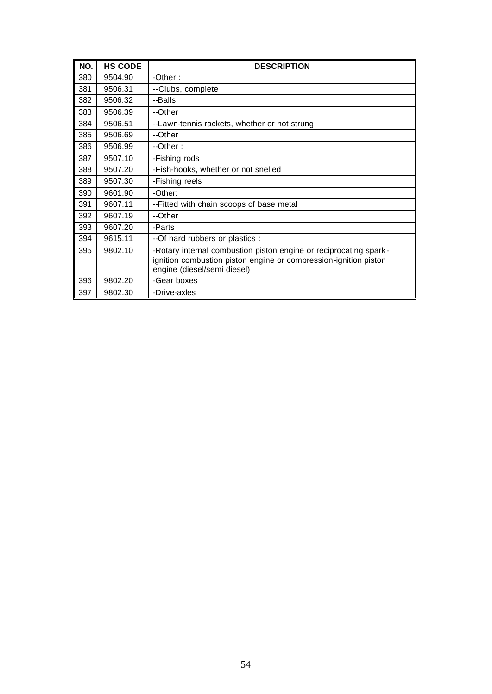| NO. | <b>HS CODE</b> | <b>DESCRIPTION</b>                                                                                                                                                   |
|-----|----------------|----------------------------------------------------------------------------------------------------------------------------------------------------------------------|
| 380 | 9504.90        | -Other :                                                                                                                                                             |
| 381 | 9506.31        | --Clubs, complete                                                                                                                                                    |
| 382 | 9506.32        | --Balls                                                                                                                                                              |
| 383 | 9506.39        | --Other                                                                                                                                                              |
| 384 | 9506.51        | --Lawn-tennis rackets, whether or not strung                                                                                                                         |
| 385 | 9506.69        | --Other                                                                                                                                                              |
| 386 | 9506.99        | $-Other:$                                                                                                                                                            |
| 387 | 9507.10        | -Fishing rods                                                                                                                                                        |
| 388 | 9507.20        | -Fish-hooks, whether or not snelled                                                                                                                                  |
| 389 | 9507.30        | -Fishing reels                                                                                                                                                       |
| 390 | 9601.90        | -Other:                                                                                                                                                              |
| 391 | 9607.11        | --Fitted with chain scoops of base metal                                                                                                                             |
| 392 | 9607.19        | --Other                                                                                                                                                              |
| 393 | 9607.20        | -Parts                                                                                                                                                               |
| 394 | 9615.11        | -- Of hard rubbers or plastics :                                                                                                                                     |
| 395 | 9802.10        | -Rotary internal combustion piston engine or reciprocating spark-<br>ignition combustion piston engine or compression-ignition piston<br>engine (diesel/semi diesel) |
| 396 | 9802.20        | -Gear boxes                                                                                                                                                          |
| 397 | 9802.30        | -Drive-axles                                                                                                                                                         |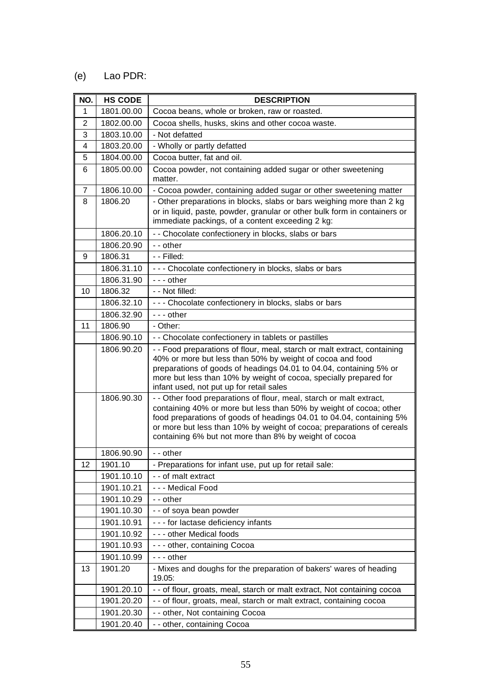## (e) Lao PDR:

| NO.          | <b>HS CODE</b> | <b>DESCRIPTION</b>                                                                                                                                                                                                                                                                                                                                  |
|--------------|----------------|-----------------------------------------------------------------------------------------------------------------------------------------------------------------------------------------------------------------------------------------------------------------------------------------------------------------------------------------------------|
| $\mathbf{1}$ | 1801.00.00     | Cocoa beans, whole or broken, raw or roasted.                                                                                                                                                                                                                                                                                                       |
| 2            | 1802.00.00     | Cocoa shells, husks, skins and other cocoa waste.                                                                                                                                                                                                                                                                                                   |
| 3            | 1803.10.00     | - Not defatted                                                                                                                                                                                                                                                                                                                                      |
| 4            | 1803.20.00     | - Wholly or partly defatted                                                                                                                                                                                                                                                                                                                         |
| 5            | 1804.00.00     | Cocoa butter, fat and oil.                                                                                                                                                                                                                                                                                                                          |
| 6            | 1805.00.00     | Cocoa powder, not containing added sugar or other sweetening<br>matter.                                                                                                                                                                                                                                                                             |
| 7            | 1806.10.00     | - Cocoa powder, containing added sugar or other sweetening matter                                                                                                                                                                                                                                                                                   |
| 8            | 1806.20        | - Other preparations in blocks, slabs or bars weighing more than 2 kg<br>or in liquid, paste, powder, granular or other bulk form in containers or<br>immediate packings, of a content exceeding 2 kg:                                                                                                                                              |
|              | 1806.20.10     | - - Chocolate confectionery in blocks, slabs or bars                                                                                                                                                                                                                                                                                                |
|              | 1806.20.90     | - - other                                                                                                                                                                                                                                                                                                                                           |
| 9            | 1806.31        | - - Filled:                                                                                                                                                                                                                                                                                                                                         |
|              | 1806.31.10     | --- Chocolate confectionery in blocks, slabs or bars                                                                                                                                                                                                                                                                                                |
|              | 1806.31.90     | --- other                                                                                                                                                                                                                                                                                                                                           |
| 10           | 1806.32        | - - Not filled:                                                                                                                                                                                                                                                                                                                                     |
|              | 1806.32.10     | --- Chocolate confectionery in blocks, slabs or bars                                                                                                                                                                                                                                                                                                |
|              | 1806.32.90     | - - - other                                                                                                                                                                                                                                                                                                                                         |
| 11           | 1806.90        | - Other:                                                                                                                                                                                                                                                                                                                                            |
|              | 1806.90.10     | - - Chocolate confectionery in tablets or pastilles                                                                                                                                                                                                                                                                                                 |
|              | 1806.90.20     | - - Food preparations of flour, meal, starch or malt extract, containing<br>40% or more but less than 50% by weight of cocoa and food<br>preparations of goods of headings 04.01 to 04.04, containing 5% or<br>more but less than 10% by weight of cocoa, specially prepared for<br>infant used, not put up for retail sales                        |
|              | 1806.90.30     | - - Other food preparations of flour, meal, starch or malt extract,<br>containing 40% or more but less than 50% by weight of cocoa; other<br>food preparations of goods of headings 04.01 to 04.04, containing 5%<br>or more but less than 10% by weight of cocoa; preparations of cereals<br>containing 6% but not more than 8% by weight of cocoa |
|              | 1806.90.90     | - - other                                                                                                                                                                                                                                                                                                                                           |
| 12           | 1901.10        | - Preparations for infant use, put up for retail sale:                                                                                                                                                                                                                                                                                              |
|              | 1901.10.10     | - - of malt extract                                                                                                                                                                                                                                                                                                                                 |
|              | 1901.10.21     | - - - Medical Food                                                                                                                                                                                                                                                                                                                                  |
|              | 1901.10.29     | - - other                                                                                                                                                                                                                                                                                                                                           |
|              | 1901.10.30     | - - of soya bean powder                                                                                                                                                                                                                                                                                                                             |
|              | 1901.10.91     | - - - for lactase deficiency infants                                                                                                                                                                                                                                                                                                                |
|              | 1901.10.92     | - - - other Medical foods                                                                                                                                                                                                                                                                                                                           |
|              | 1901.10.93     | - - - other, containing Cocoa                                                                                                                                                                                                                                                                                                                       |
|              | 1901.10.99     | - - - other                                                                                                                                                                                                                                                                                                                                         |
| 13           | 1901.20        | - Mixes and doughs for the preparation of bakers' wares of heading<br>19.05:                                                                                                                                                                                                                                                                        |
|              | 1901.20.10     | - - of flour, groats, meal, starch or malt extract, Not containing cocoa                                                                                                                                                                                                                                                                            |
|              | 1901.20.20     | - - of flour, groats, meal, starch or malt extract, containing cocoa                                                                                                                                                                                                                                                                                |
|              | 1901.20.30     | - - other, Not containing Cocoa                                                                                                                                                                                                                                                                                                                     |
|              | 1901.20.40     | - - other, containing Cocoa                                                                                                                                                                                                                                                                                                                         |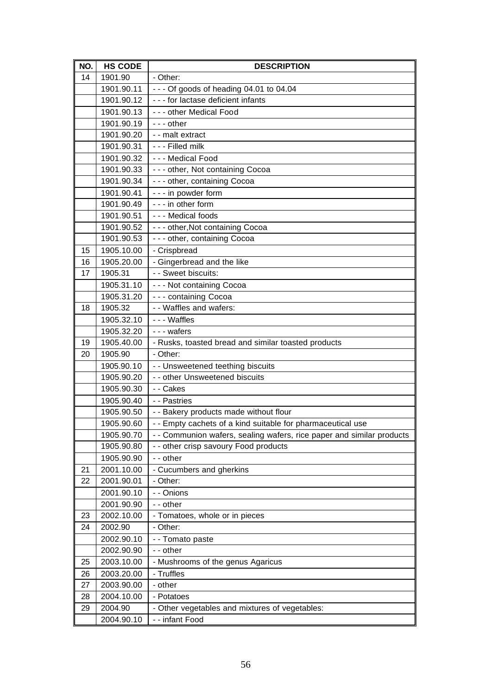| NO. | <b>HS CODE</b> | <b>DESCRIPTION</b>                                                    |
|-----|----------------|-----------------------------------------------------------------------|
| 14  | 1901.90        | - Other:                                                              |
|     | 1901.90.11     | $- -$ - Of goods of heading 04.01 to 04.04                            |
|     | 1901.90.12     | - - - for lactase deficient infants                                   |
|     | 1901.90.13     | - - - other Medical Food                                              |
|     | 1901.90.19     | --- other                                                             |
|     | 1901.90.20     | - - malt extract                                                      |
|     | 1901.90.31     | - - - Filled milk                                                     |
|     | 1901.90.32     | - - - Medical Food                                                    |
|     | 1901.90.33     | --- other, Not containing Cocoa                                       |
|     | 1901.90.34     | - - - other, containing Cocoa                                         |
|     | 1901.90.41     | - - - in powder form                                                  |
|     | 1901.90.49     | - - - in other form                                                   |
|     | 1901.90.51     | --- Medical foods                                                     |
|     | 1901.90.52     | --- other, Not containing Cocoa                                       |
|     | 1901.90.53     | - - - other, containing Cocoa                                         |
| 15  | 1905.10.00     | - Crispbread                                                          |
| 16  | 1905.20.00     | - Gingerbread and the like                                            |
| 17  | 1905.31        | - - Sweet biscuits:                                                   |
|     | 1905.31.10     | - - - Not containing Cocoa                                            |
|     | 1905.31.20     | --- containing Cocoa                                                  |
| 18  | 1905.32        | - - Waffles and wafers:                                               |
|     | 1905.32.10     | --- Waffles                                                           |
|     | 1905.32.20     | - - - wafers                                                          |
| 19  | 1905.40.00     | - Rusks, toasted bread and similar toasted products                   |
| 20  | 1905.90        | - Other:                                                              |
|     | 1905.90.10     | - - Unsweetened teething biscuits                                     |
|     | 1905.90.20     | - - other Unsweetened biscuits                                        |
|     | 1905.90.30     | - - Cakes                                                             |
|     | 1905.90.40     | - - Pastries                                                          |
|     | 1905.90.50     | - - Bakery products made without flour                                |
|     | 1905.90.60     | - - Empty cachets of a kind suitable for pharmaceutical use           |
|     | 1905.90.70     | - - Communion wafers, sealing wafers, rice paper and similar products |
|     | 1905.90.80     | - - other crisp savoury Food products                                 |
|     | 1905.90.90     | - - other                                                             |
| 21  | 2001.10.00     | - Cucumbers and gherkins                                              |
| 22  | 2001.90.01     | - Other:                                                              |
|     | 2001.90.10     | - - Onions                                                            |
|     | 2001.90.90     | - - other                                                             |
| 23  | 2002.10.00     | - Tomatoes, whole or in pieces                                        |
| 24  | 2002.90        | - Other:                                                              |
|     | 2002.90.10     | - - Tomato paste                                                      |
|     | 2002.90.90     | - - other                                                             |
| 25  | 2003.10.00     | - Mushrooms of the genus Agaricus                                     |
| 26  | 2003.20.00     | - Truffles                                                            |
| 27  | 2003.90.00     | - other                                                               |
| 28  | 2004.10.00     | - Potatoes                                                            |
| 29  | 2004.90        | - Other vegetables and mixtures of vegetables:                        |
|     | 2004.90.10     | - - infant Food                                                       |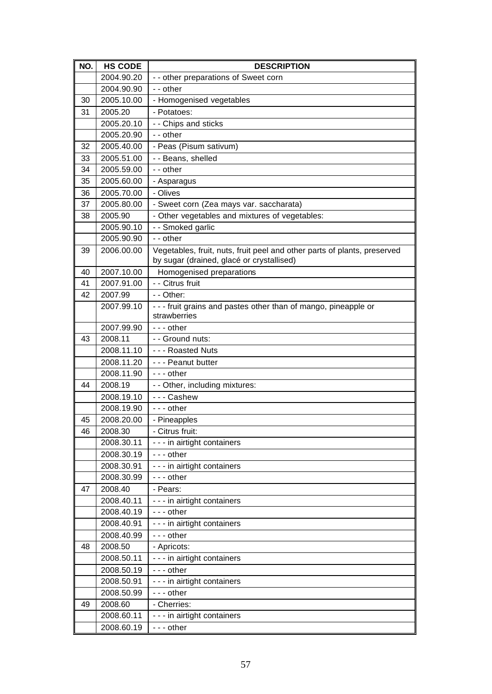| NO. | <b>HS CODE</b>        | <b>DESCRIPTION</b>                                                                                                    |
|-----|-----------------------|-----------------------------------------------------------------------------------------------------------------------|
|     | 2004.90.20            | - - other preparations of Sweet corn                                                                                  |
|     | 2004.90.90            | - - other                                                                                                             |
| 30  | 2005.10.00            | - Homogenised vegetables                                                                                              |
| 31  | 2005.20               | - Potatoes:                                                                                                           |
|     | 2005.20.10            | - - Chips and sticks                                                                                                  |
|     | 2005.20.90            | - - other                                                                                                             |
| 32  | 2005.40.00            | - Peas (Pisum sativum)                                                                                                |
| 33  | 2005.51.00            | - - Beans, shelled                                                                                                    |
| 34  | 2005.59.00            | - - other                                                                                                             |
| 35  | 2005.60.00            | - Asparagus                                                                                                           |
| 36  | 2005.70.00            | - Olives                                                                                                              |
| 37  | 2005.80.00            | - Sweet corn (Zea mays var. saccharata)                                                                               |
| 38  | 2005.90               | - Other vegetables and mixtures of vegetables:                                                                        |
|     | 2005.90.10            | - - Smoked garlic                                                                                                     |
|     | 2005.90.90            | $-$ - other                                                                                                           |
| 39  | 2006.00.00            | Vegetables, fruit, nuts, fruit peel and other parts of plants, preserved<br>by sugar (drained, glacé or crystallised) |
| 40  | 2007.10.00            | Homogenised preparations                                                                                              |
| 41  | 2007.91.00            | - - Citrus fruit                                                                                                      |
| 42  | 2007.99               | - - Other:                                                                                                            |
|     | 2007.99.10            | - - - fruit grains and pastes other than of mango, pineapple or                                                       |
|     |                       | strawberries                                                                                                          |
|     | 2007.99.90            | $- -$ other                                                                                                           |
| 43  | 2008.11               | - - Ground nuts:                                                                                                      |
|     | 2008.11.10            | --- Roasted Nuts                                                                                                      |
|     | 2008.11.20            | --- Peanut butter                                                                                                     |
|     | 2008.11.90            | $- -$ other                                                                                                           |
| 44  | 2008.19               | - - Other, including mixtures:                                                                                        |
|     | 2008.19.10            | --- Cashew                                                                                                            |
|     | 2008.19.90            | $- -$ other                                                                                                           |
| 45  | 2008.20.00            | - Pineapples                                                                                                          |
| 46  | 2008.30<br>2008.30.11 | - Citrus fruit:<br>- - - in airtight containers                                                                       |
|     | 2008.30.19            | --- other                                                                                                             |
|     | 2008.30.91            | - - - in airtight containers                                                                                          |
|     | 2008.30.99            | --- other                                                                                                             |
| 47  | 2008.40               | - Pears:                                                                                                              |
|     | 2008.40.11            | - - - in airtight containers                                                                                          |
|     | 2008.40.19            | $- -$ other                                                                                                           |
|     | 2008.40.91            | - - - in airtight containers                                                                                          |
|     | 2008.40.99            | --- other                                                                                                             |
| 48  | 2008.50               | - Apricots:                                                                                                           |
|     | 2008.50.11            | - - - in airtight containers                                                                                          |
|     | 2008.50.19            | $- -$ other                                                                                                           |
|     | 2008.50.91            | - - - in airtight containers                                                                                          |
|     | 2008.50.99            | - - - other                                                                                                           |
| 49  | 2008.60               | - Cherries:                                                                                                           |
|     | 2008.60.11            | - - - in airtight containers                                                                                          |
|     | 2008.60.19            | --- other                                                                                                             |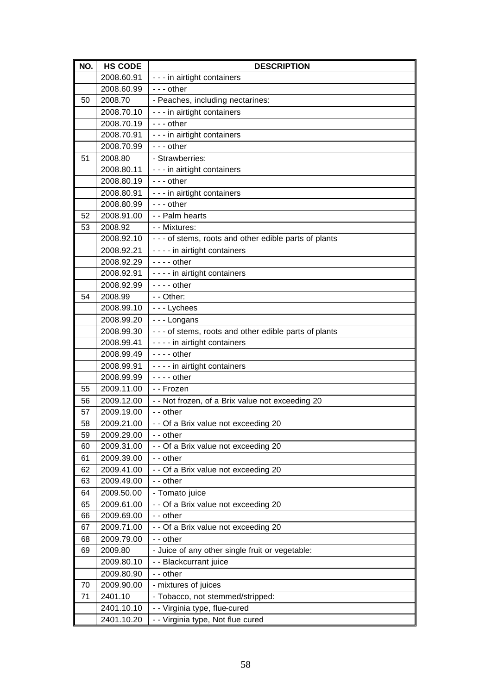| NO. | <b>HS CODE</b> | <b>DESCRIPTION</b>                                     |
|-----|----------------|--------------------------------------------------------|
|     | 2008.60.91     | - - - in airtight containers                           |
|     | 2008.60.99     | --- other                                              |
| 50  | 2008.70        | - Peaches, including nectarines:                       |
|     | 2008.70.10     | - - - in airtight containers                           |
|     | 2008.70.19     | --- other                                              |
|     | 2008.70.91     | - - - in airtight containers                           |
|     | 2008.70.99     | $- -$ other                                            |
| 51  | 2008.80        | - Strawberries:                                        |
|     | 2008.80.11     | - - - in airtight containers                           |
|     | 2008.80.19     | $- -$ other                                            |
|     | 2008.80.91     | - - - in airtight containers                           |
|     | 2008.80.99     | $- -$ other                                            |
| 52  | 2008.91.00     | - - Palm hearts                                        |
| 53  | 2008.92        | - - Mixtures:                                          |
|     | 2008.92.10     | --- of stems, roots and other edible parts of plants   |
|     | 2008.92.21     | - - - - in airtight containers                         |
|     | 2008.92.29     | $--$ other                                             |
|     | 2008.92.91     | - - - - in airtight containers                         |
|     | 2008.92.99     | $--$ other                                             |
| 54  | 2008.99        | - - Other:                                             |
|     | 2008.99.10     | --- Lychees                                            |
|     | 2008.99.20     | --- Longans                                            |
|     | 2008.99.30     | - - - of stems, roots and other edible parts of plants |
|     | 2008.99.41     | - - - - in airtight containers                         |
|     | 2008.99.49     | $- - -$ other                                          |
|     | 2008.99.91     | - - - - in airtight containers                         |
|     | 2008.99.99     | $--$ other                                             |
| 55  | 2009.11.00     | - - Frozen                                             |
| 56  | 2009.12.00     | - - Not frozen, of a Brix value not exceeding 20       |
| 57  | 2009.19.00     | - - other                                              |
| 58  | 2009.21.00     | - - Of a Brix value not exceeding 20                   |
| 59  | 2009.29.00     | - - other                                              |
| 60  | 2009.31.00     | - - Of a Brix value not exceeding 20                   |
| 61  | 2009.39.00     | - - other                                              |
| 62  | 2009.41.00     | - - Of a Brix value not exceeding 20                   |
| 63  | 2009.49.00     | - - other                                              |
| 64  | 2009.50.00     | - Tomato juice                                         |
| 65  | 2009.61.00     | - - Of a Brix value not exceeding 20                   |
| 66  | 2009.69.00     | - - other                                              |
| 67  | 2009.71.00     | - - Of a Brix value not exceeding 20                   |
| 68  | 2009.79.00     | - - other                                              |
| 69  | 2009.80        | - Juice of any other single fruit or vegetable:        |
|     | 2009.80.10     | - - Blackcurrant juice                                 |
|     | 2009.80.90     | - - other                                              |
| 70  | 2009.90.00     | - mixtures of juices                                   |
| 71  | 2401.10        | - Tobacco, not stemmed/stripped:                       |
|     | 2401.10.10     | - - Virginia type, flue-cured                          |
|     | 2401.10.20     | - - Virginia type, Not flue cured                      |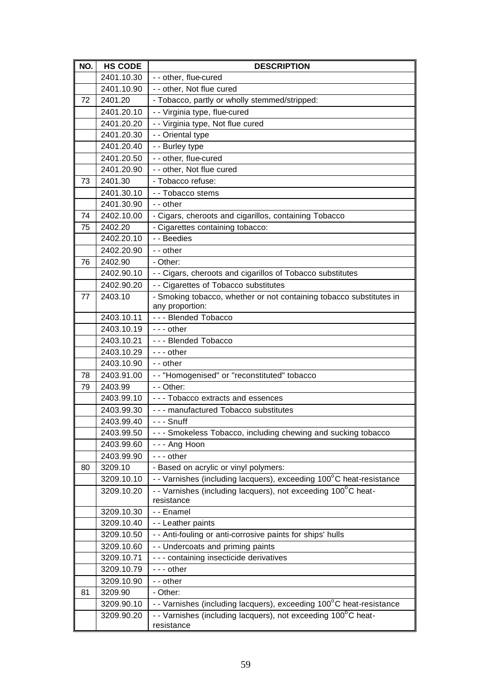| NO. | <b>HS CODE</b> | <b>DESCRIPTION</b>                                                          |
|-----|----------------|-----------------------------------------------------------------------------|
|     | 2401.10.30     | - - other, flue-cured                                                       |
|     | 2401.10.90     | - - other, Not flue cured                                                   |
| 72  | 2401.20        | - Tobacco, partly or wholly stemmed/stripped:                               |
|     | 2401.20.10     | - - Virginia type, flue-cured                                               |
|     | 2401.20.20     | - - Virginia type, Not flue cured                                           |
|     | 2401.20.30     | - - Oriental type                                                           |
|     | 2401.20.40     | - - Burley type                                                             |
|     | 2401.20.50     | - - other, flue-cured                                                       |
|     | 2401.20.90     | - - other, Not flue cured                                                   |
| 73  | 2401.30        | - Tobacco refuse:                                                           |
|     | 2401.30.10     | - - Tobacco stems                                                           |
|     | 2401.30.90     | - - other                                                                   |
| 74  | 2402.10.00     | - Cigars, cheroots and cigarillos, containing Tobacco                       |
| 75  | 2402.20        | - Cigarettes containing tobacco:                                            |
|     | 2402.20.10     | - - Beedies                                                                 |
|     | 2402.20.90     | - - other                                                                   |
| 76  | 2402.90        | - Other:                                                                    |
|     | 2402.90.10     | - - Cigars, cheroots and cigarillos of Tobacco substitutes                  |
|     | 2402.90.20     | - - Cigarettes of Tobacco substitutes                                       |
| 77  | 2403.10        | - Smoking tobacco, whether or not containing tobacco substitutes in         |
|     |                | any proportion:                                                             |
|     | 2403.10.11     | --- Blended Tobacco                                                         |
|     | 2403.10.19     | $- -$ other                                                                 |
|     | 2403.10.21     | --- Blended Tobacco                                                         |
|     | 2403.10.29     | $--$ other                                                                  |
|     | 2403.10.90     | - - other                                                                   |
| 78  | 2403.91.00     | - - "Homogenised" or "reconstituted" tobacco                                |
| 79  | 2403.99        | - - Other:                                                                  |
|     | 2403.99.10     | - - - Tobacco extracts and essences                                         |
|     | 2403.99.30     | --- manufactured Tobacco substitutes                                        |
|     | 2403.99.40     | - - - Snuff                                                                 |
|     | 2403.99.50     | --- Smokeless Tobacco, including chewing and sucking tobacco                |
|     | 2403.99.60     | --- Ang Hoon                                                                |
|     | 2403.99.90     | $- -$ other                                                                 |
| 80  | 3209.10        | - Based on acrylic or vinyl polymers:                                       |
|     | 3209.10.10     | - - Varnishes (including lacquers), exceeding 100°C heat-resistance         |
|     | 3209.10.20     | - - Varnishes (including lacquers), not exceeding 100°C heat-               |
|     |                | resistance                                                                  |
|     | 3209.10.30     | - - Enamel                                                                  |
|     | 3209.10.40     | - - Leather paints                                                          |
|     | 3209.10.50     | - - Anti-fouling or anti-corrosive paints for ships' hulls                  |
|     | 3209.10.60     | - - Undercoats and priming paints                                           |
|     | 3209.10.71     | - - - containing insecticide derivatives                                    |
|     | 3209.10.79     | --- other                                                                   |
|     | 3209.10.90     | - - other                                                                   |
| 81  | 3209.90        | - Other:                                                                    |
|     | 3209.90.10     | - - Varnishes (including lacquers), exceeding 100°C heat-resistance         |
|     | 3209.90.20     | - - Varnishes (including lacquers), not exceeding 100°C heat-<br>resistance |
|     |                |                                                                             |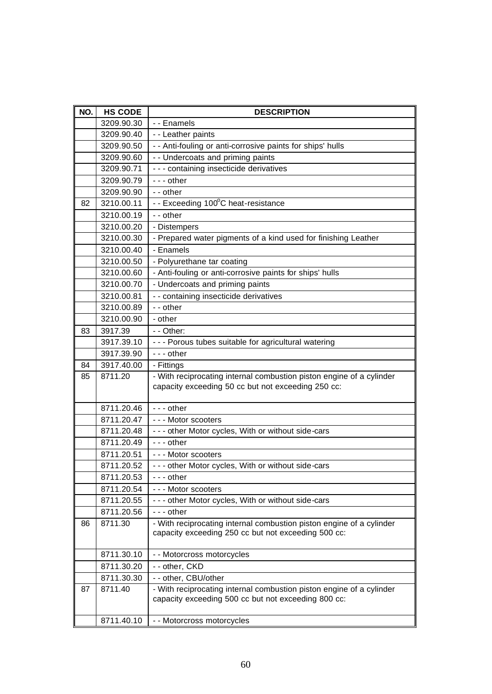| NO. | <b>HS CODE</b> | <b>DESCRIPTION</b>                                                                                                          |
|-----|----------------|-----------------------------------------------------------------------------------------------------------------------------|
|     | 3209.90.30     | - - Enamels                                                                                                                 |
|     | 3209.90.40     | - - Leather paints                                                                                                          |
|     | 3209.90.50     | - - Anti-fouling or anti-corrosive paints for ships' hulls                                                                  |
|     | 3209.90.60     | - - Undercoats and priming paints                                                                                           |
|     | 3209.90.71     | - - - containing insecticide derivatives                                                                                    |
|     | 3209.90.79     | --- other                                                                                                                   |
|     | 3209.90.90     | - - other                                                                                                                   |
| 82  | 3210.00.11     | - - Exceeding 100°C heat-resistance                                                                                         |
|     | 3210.00.19     | - - other                                                                                                                   |
|     | 3210.00.20     | - Distempers                                                                                                                |
|     | 3210.00.30     | - Prepared water pigments of a kind used for finishing Leather                                                              |
|     | 3210.00.40     | - Enamels                                                                                                                   |
|     | 3210.00.50     | - Polyurethane tar coating                                                                                                  |
|     | 3210.00.60     | - Anti-fouling or anti-corrosive paints for ships' hulls                                                                    |
|     | 3210.00.70     | - Undercoats and priming paints                                                                                             |
|     | 3210.00.81     | - - containing insecticide derivatives                                                                                      |
|     | 3210.00.89     | - - other                                                                                                                   |
|     | 3210.00.90     | - other                                                                                                                     |
| 83  | 3917.39        | - - Other:                                                                                                                  |
|     | 3917.39.10     | --- Porous tubes suitable for agricultural watering                                                                         |
|     | 3917.39.90     | --- other                                                                                                                   |
| 84  | 3917.40.00     | - Fittings                                                                                                                  |
| 85  | 8711.20        | - With reciprocating internal combustion piston engine of a cylinder<br>capacity exceeding 50 cc but not exceeding 250 cc:  |
|     | 8711.20.46     | $- -$ other                                                                                                                 |
|     | 8711.20.47     | --- Motor scooters                                                                                                          |
|     | 8711.20.48     | - - - other Motor cycles, With or without side-cars                                                                         |
|     | 8711.20.49     | $- -$ other                                                                                                                 |
|     | 8711.20.51     | --- Motor scooters                                                                                                          |
|     | 8711.20.52     | - - - other Motor cycles, With or without side-cars                                                                         |
|     | 8711.20.53     | --- other                                                                                                                   |
|     | 8711.20.54     | --- Motor scooters                                                                                                          |
|     | 8711.20.55     | - - - other Motor cycles, With or without side-cars                                                                         |
|     | 8711.20.56     | $- -$ other                                                                                                                 |
| 86  | 8711.30        | - With reciprocating internal combustion piston engine of a cylinder<br>capacity exceeding 250 cc but not exceeding 500 cc: |
|     | 8711.30.10     | - - Motorcross motorcycles                                                                                                  |
|     | 8711.30.20     | - - other, CKD                                                                                                              |
|     | 8711.30.30     | - - other, CBU/other                                                                                                        |
| 87  | 8711.40        | - With reciprocating internal combustion piston engine of a cylinder<br>capacity exceeding 500 cc but not exceeding 800 cc: |
|     | 8711.40.10     | - - Motorcross motorcycles                                                                                                  |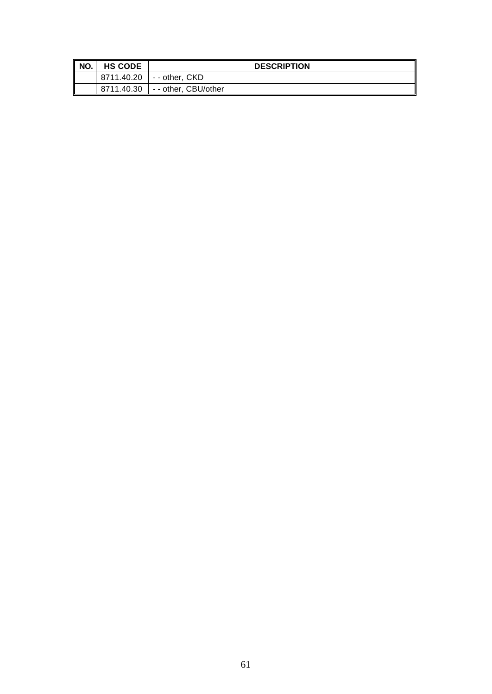| NO. | <b>HS CODE</b> | <b>DESCRIPTION</b>  |
|-----|----------------|---------------------|
|     | 8711.40.20     | -- other, CKD       |
|     | 8711.40.30     | -- other, CBU/other |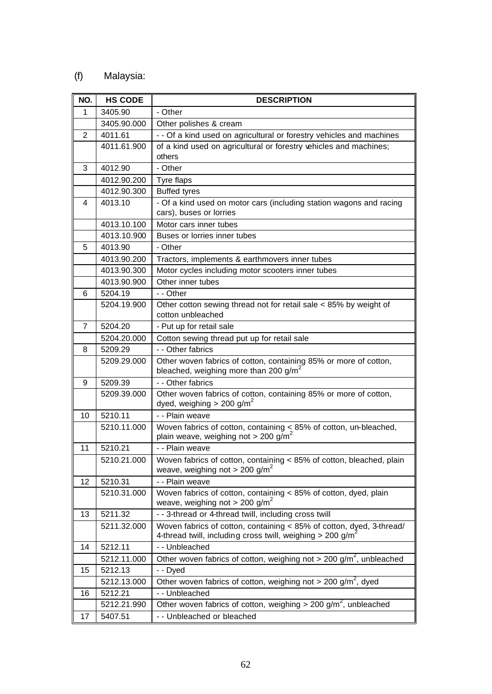## (f) Malaysia:

| NO.          | <b>HS CODE</b> | <b>DESCRIPTION</b>                                                                                                                             |
|--------------|----------------|------------------------------------------------------------------------------------------------------------------------------------------------|
| $\mathbf{1}$ | 3405.90        | - Other                                                                                                                                        |
|              | 3405.90.000    | Other polishes & cream                                                                                                                         |
| 2            | 4011.61        | - - Of a kind used on agricultural or forestry vehicles and machines                                                                           |
|              | 4011.61.900    | of a kind used on agricultural or forestry vehicles and machines;<br>others                                                                    |
| 3            | 4012.90        | - Other                                                                                                                                        |
|              | 4012.90.200    | Tyre flaps                                                                                                                                     |
|              | 4012.90.300    | <b>Buffed tyres</b>                                                                                                                            |
| 4            | 4013.10        | - Of a kind used on motor cars (including station wagons and racing<br>cars), buses or lorries                                                 |
|              | 4013.10.100    | Motor cars inner tubes                                                                                                                         |
|              | 4013.10.900    | Buses or lorries inner tubes                                                                                                                   |
| 5            | 4013.90        | - Other                                                                                                                                        |
|              | 4013.90.200    | Tractors, implements & earthmovers inner tubes                                                                                                 |
|              | 4013.90.300    | Motor cycles including motor scooters inner tubes                                                                                              |
|              | 4013.90.900    | Other inner tubes                                                                                                                              |
| 6            | 5204.19        | - - Other                                                                                                                                      |
|              | 5204.19.900    | Other cotton sewing thread not for retail sale $<$ 85% by weight of<br>cotton unbleached                                                       |
| 7            | 5204.20        | - Put up for retail sale                                                                                                                       |
|              | 5204.20.000    | Cotton sewing thread put up for retail sale                                                                                                    |
| 8            | 5209.29        | - - Other fabrics                                                                                                                              |
|              | 5209.29.000    | Other woven fabrics of cotton, containing 85% or more of cotton,<br>bleached, weighing more than 200 g/m <sup>2</sup>                          |
| 9            | 5209.39        | - - Other fabrics                                                                                                                              |
|              | 5209.39.000    | Other woven fabrics of cotton, containing 85% or more of cotton,<br>dyed, weighing $> 200$ g/m <sup>2</sup>                                    |
| 10           | 5210.11        | - - Plain weave                                                                                                                                |
|              | 5210.11.000    | Woven fabrics of cotton, containing $\leq$ 85% of cotton, un-bleached,<br>plain weave, weighing not > 200 g/m <sup>2</sup>                     |
| 11           | 5210.21        | - - Plain weave                                                                                                                                |
|              | 5210.21.000    | Woven fabrics of cotton, containing < 85% of cotton, bleached, plain<br>weave, weighing not > 200 g/m <sup>2</sup>                             |
| 12           | 5210.31        | - - Plain weave                                                                                                                                |
|              | 5210.31.000    | Woven fabrics of cotton, containing < 85% of cotton, dyed, plain<br>weave, weighing not > 200 g/m <sup>2</sup>                                 |
| 13           | 5211.32        | - - 3-thread or 4-thread twill, including cross twill                                                                                          |
|              | 5211.32.000    | Woven fabrics of cotton, containing < 85% of cotton, dyed, 3-thread/<br>4-thread twill, including cross twill, weighing > 200 g/m <sup>2</sup> |
| 14           | 5212.11        | - - Unbleached                                                                                                                                 |
|              | 5212.11.000    | Other woven fabrics of cotton, weighing not > 200 $g/m^2$ , unbleached                                                                         |
| 15           | 5212.13        | - - Dyed                                                                                                                                       |
|              | 5212.13.000    | Other woven fabrics of cotton, weighing not > 200 $g/m^2$ , dyed                                                                               |
| 16           | 5212.21        | - - Unbleached                                                                                                                                 |
|              | 5212.21.990    | Other woven fabrics of cotton, weighing $> 200$ g/m <sup>2</sup> , unbleached                                                                  |
| 17           | 5407.51        | - - Unbleached or bleached                                                                                                                     |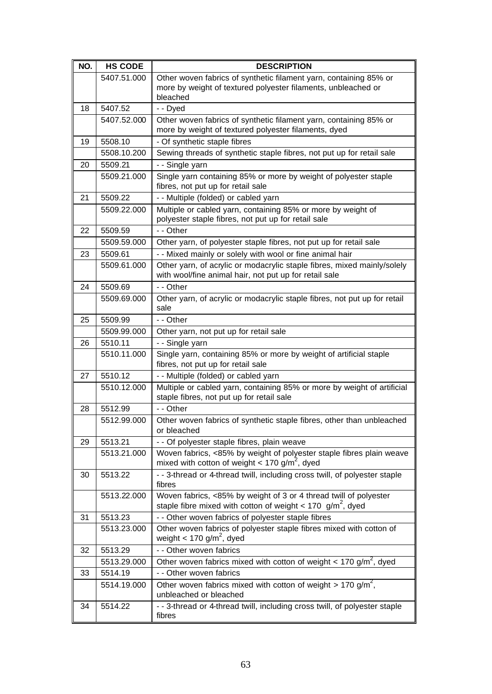| NO. | <b>HS CODE</b> | <b>DESCRIPTION</b>                                                                                                                             |
|-----|----------------|------------------------------------------------------------------------------------------------------------------------------------------------|
|     | 5407.51.000    | Other woven fabrics of synthetic filament yarn, containing 85% or<br>more by weight of textured polyester filaments, unbleached or<br>bleached |
| 18  | 5407.52        | - - Dyed                                                                                                                                       |
|     | 5407.52.000    | Other woven fabrics of synthetic filament yarn, containing 85% or<br>more by weight of textured polyester filaments, dyed                      |
| 19  | 5508.10        | - Of synthetic staple fibres                                                                                                                   |
|     | 5508.10.200    | Sewing threads of synthetic staple fibres, not put up for retail sale                                                                          |
| 20  | 5509.21        | - - Single yarn                                                                                                                                |
|     | 5509.21.000    | Single yarn containing 85% or more by weight of polyester staple<br>fibres, not put up for retail sale                                         |
| 21  | 5509.22        | - - Multiple (folded) or cabled yarn                                                                                                           |
|     | 5509.22.000    | Multiple or cabled yarn, containing 85% or more by weight of<br>polyester staple fibres, not put up for retail sale                            |
| 22  | 5509.59        | - - Other                                                                                                                                      |
|     | 5509.59.000    | Other yarn, of polyester staple fibres, not put up for retail sale                                                                             |
| 23  | 5509.61        | - - Mixed mainly or solely with wool or fine animal hair                                                                                       |
|     | 5509.61.000    | Other yarn, of acrylic or modacrylic staple fibres, mixed mainly/solely<br>with wool/fine animal hair, not put up for retail sale              |
| 24  | 5509.69        | - - Other                                                                                                                                      |
|     | 5509.69.000    | Other yarn, of acrylic or modacrylic staple fibres, not put up for retail<br>sale                                                              |
| 25  | 5509.99        | - - Other                                                                                                                                      |
|     | 5509.99.000    | Other yarn, not put up for retail sale                                                                                                         |
| 26  | 5510.11        | - - Single yarn                                                                                                                                |
|     | 5510.11.000    | Single yarn, containing 85% or more by weight of artificial staple<br>fibres, not put up for retail sale                                       |
| 27  | 5510.12        | - - Multiple (folded) or cabled yarn                                                                                                           |
|     | 5510.12.000    | Multiple or cabled yarn, containing 85% or more by weight of artificial<br>staple fibres, not put up for retail sale                           |
| 28  | 5512.99        | - - Other                                                                                                                                      |
|     | 5512.99.000    | Other woven fabrics of synthetic staple fibres, other than unbleached<br>or bleached                                                           |
| 29  | 5513.21        | - - Of polyester staple fibres, plain weave                                                                                                    |
|     | 5513.21.000    | Woven fabrics, <85% by weight of polyester staple fibres plain weave<br>mixed with cotton of weight < 170 g/m <sup>2</sup> , dyed              |
| 30  | 5513.22        | - - 3-thread or 4-thread twill, including cross twill, of polyester staple<br>fibres                                                           |
|     | 5513.22.000    | Woven fabrics, <85% by weight of 3 or 4 thread twill of polyester<br>staple fibre mixed with cotton of weight < 170 $g/m^2$ , dyed             |
| 31  | 5513.23        | - - Other woven fabrics of polyester staple fibres                                                                                             |
|     | 5513.23.000    | Other woven fabrics of polyester staple fibres mixed with cotton of<br>weight < 170 g/m <sup>2</sup> , dyed                                    |
| 32  | 5513.29        | - - Other woven fabrics                                                                                                                        |
|     | 5513.29.000    | Other woven fabrics mixed with cotton of weight < 170 $g/m^2$ , dyed                                                                           |
| 33  | 5514.19        | - - Other woven fabrics                                                                                                                        |
|     | 5514.19.000    | Other woven fabrics mixed with cotton of weight $> 170$ g/m <sup>2</sup> ,<br>unbleached or bleached                                           |
| 34  | 5514.22        | - - 3-thread or 4-thread twill, including cross twill, of polyester staple<br>fibres                                                           |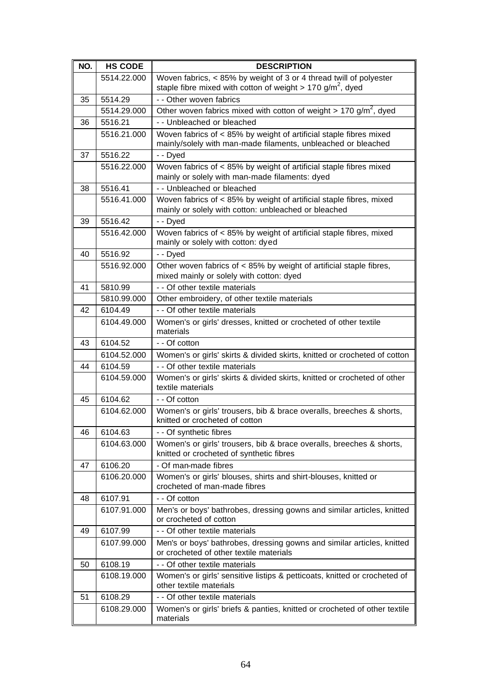| NO. | <b>HS CODE</b> | <b>DESCRIPTION</b>                                                                                                                           |
|-----|----------------|----------------------------------------------------------------------------------------------------------------------------------------------|
|     | 5514.22.000    | Woven fabrics, < 85% by weight of 3 or 4 thread twill of polyester<br>staple fibre mixed with cotton of weight > 170 g/m <sup>2</sup> , dyed |
| 35  | 5514.29        | - - Other woven fabrics                                                                                                                      |
|     | 5514.29.000    | Other woven fabrics mixed with cotton of weight $> 170$ g/m <sup>2</sup> , dyed                                                              |
| 36  | 5516.21        | - - Unbleached or bleached                                                                                                                   |
|     | 5516.21.000    | Woven fabrics of < 85% by weight of artificial staple fibres mixed<br>mainly/solely with man-made filaments, unbleached or bleached          |
| 37  | 5516.22        | - - Dyed                                                                                                                                     |
|     | 5516.22.000    | Woven fabrics of < 85% by weight of artificial staple fibres mixed<br>mainly or solely with man-made filaments: dyed                         |
| 38  | 5516.41        | - - Unbleached or bleached                                                                                                                   |
|     | 5516.41.000    | Woven fabrics of < 85% by weight of artificial staple fibres, mixed<br>mainly or solely with cotton: unbleached or bleached                  |
| 39  | 5516.42        | - - Dyed                                                                                                                                     |
|     | 5516.42.000    | Woven fabrics of < 85% by weight of artificial staple fibres, mixed<br>mainly or solely with cotton: dyed                                    |
| 40  | 5516.92        | - - Dyed                                                                                                                                     |
|     | 5516.92.000    | Other woven fabrics of < 85% by weight of artificial staple fibres,<br>mixed mainly or solely with cotton: dyed                              |
| 41  | 5810.99        | - - Of other textile materials                                                                                                               |
|     | 5810.99.000    | Other embroidery, of other textile materials                                                                                                 |
| 42  | 6104.49        | - - Of other textile materials                                                                                                               |
|     | 6104.49.000    | Women's or girls' dresses, knitted or crocheted of other textile<br>materials                                                                |
| 43  | 6104.52        | - - Of cotton                                                                                                                                |
|     | 6104.52.000    | Women's or girls' skirts & divided skirts, knitted or crocheted of cotton                                                                    |
| 44  | 6104.59        | - - Of other textile materials                                                                                                               |
|     | 6104.59.000    | Women's or girls' skirts & divided skirts, knitted or crocheted of other<br>textile materials                                                |
| 45  | 6104.62        | - - Of cotton                                                                                                                                |
|     | 6104.62.000    | Women's or girls' trousers, bib & brace overalls, breeches & shorts,<br>knitted or crocheted of cotton                                       |
| 46  | 6104.63        | - - Of synthetic fibres                                                                                                                      |
|     | 6104.63.000    | Women's or girls' trousers, bib & brace overalls, breeches & shorts,<br>knitted or crocheted of synthetic fibres                             |
| 47  | 6106.20        | - Of man-made fibres                                                                                                                         |
|     | 6106.20.000    | Women's or girls' blouses, shirts and shirt-blouses, knitted or<br>crocheted of man-made fibres                                              |
| 48  | 6107.91        | - - Of cotton                                                                                                                                |
|     | 6107.91.000    | Men's or boys' bathrobes, dressing gowns and similar articles, knitted<br>or crocheted of cotton                                             |
| 49  | 6107.99        | - - Of other textile materials                                                                                                               |
|     | 6107.99.000    | Men's or boys' bathrobes, dressing gowns and similar articles, knitted<br>or crocheted of other textile materials                            |
| 50  | 6108.19        | - - Of other textile materials                                                                                                               |
|     | 6108.19.000    | Women's or girls' sensitive listips & petticoats, knitted or crocheted of<br>other textile materials                                         |
| 51  | 6108.29        | - - Of other textile materials                                                                                                               |
|     | 6108.29.000    | Women's or girls' briefs & panties, knitted or crocheted of other textile<br>materials                                                       |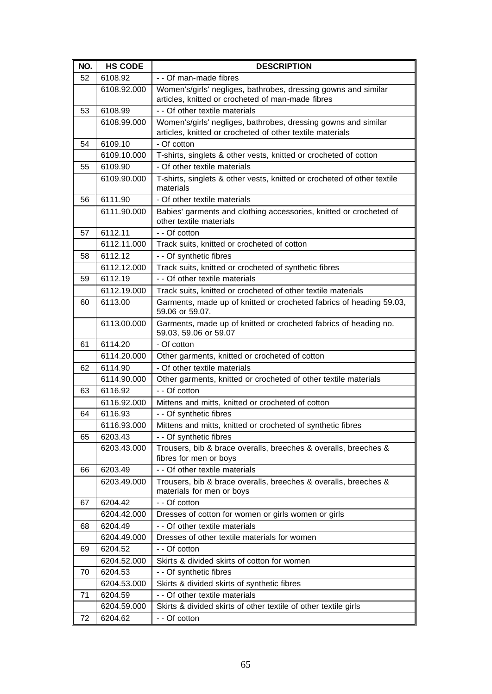| NO. | <b>HS CODE</b> | <b>DESCRIPTION</b>                                                                                                          |
|-----|----------------|-----------------------------------------------------------------------------------------------------------------------------|
| 52  | 6108.92        | - - Of man-made fibres                                                                                                      |
|     | 6108.92.000    | Women's/girls' negliges, bathrobes, dressing gowns and similar<br>articles, knitted or crocheted of man-made fibres         |
| 53  | 6108.99        | - - Of other textile materials                                                                                              |
|     | 6108.99.000    | Women's/girls' negliges, bathrobes, dressing gowns and similar<br>articles, knitted or crocheted of other textile materials |
| 54  | 6109.10        | - Of cotton                                                                                                                 |
|     | 6109.10.000    | T-shirts, singlets & other vests, knitted or crocheted of cotton                                                            |
| 55  | 6109.90        | - Of other textile materials                                                                                                |
|     | 6109.90.000    | T-shirts, singlets & other vests, knitted or crocheted of other textile<br>materials                                        |
| 56  | 6111.90        | - Of other textile materials                                                                                                |
|     | 6111.90.000    | Babies' garments and clothing accessories, knitted or crocheted of<br>other textile materials                               |
| 57  | 6112.11        | - - Of cotton                                                                                                               |
|     | 6112.11.000    | Track suits, knitted or crocheted of cotton                                                                                 |
| 58  | 6112.12        | - - Of synthetic fibres                                                                                                     |
|     | 6112.12.000    | Track suits, knitted or crocheted of synthetic fibres                                                                       |
| 59  | 6112.19        | - - Of other textile materials                                                                                              |
|     | 6112.19.000    | Track suits, knitted or crocheted of other textile materials                                                                |
| 60  | 6113.00        | Garments, made up of knitted or crocheted fabrics of heading 59.03,<br>59.06 or 59.07.                                      |
|     | 6113.00.000    | Garments, made up of knitted or crocheted fabrics of heading no.<br>59.03, 59.06 or 59.07                                   |
| 61  | 6114.20        | - Of cotton                                                                                                                 |
|     | 6114.20.000    | Other garments, knitted or crocheted of cotton                                                                              |
| 62  | 6114.90        | - Of other textile materials                                                                                                |
|     | 6114.90.000    | Other garments, knitted or crocheted of other textile materials                                                             |
| 63  | 6116.92        | - - Of cotton                                                                                                               |
|     | 6116.92.000    | Mittens and mitts, knitted or crocheted of cotton                                                                           |
| 64  | 6116.93        | - - Of synthetic fibres                                                                                                     |
|     | 6116.93.000    | Mittens and mitts, knitted or crocheted of synthetic fibres                                                                 |
| 65  | 6203.43        | - - Of synthetic fibres                                                                                                     |
|     | 6203.43.000    | Trousers, bib & brace overalls, breeches & overalls, breeches &<br>fibres for men or boys                                   |
| 66  | 6203.49        | - - Of other textile materials                                                                                              |
|     | 6203.49.000    | Trousers, bib & brace overalls, breeches & overalls, breeches &<br>materials for men or boys                                |
| 67  | 6204.42        | - - Of cotton                                                                                                               |
|     | 6204.42.000    | Dresses of cotton for women or girls women or girls                                                                         |
| 68  | 6204.49        | - - Of other textile materials                                                                                              |
|     | 6204.49.000    | Dresses of other textile materials for women                                                                                |
| 69  | 6204.52        | - - Of cotton                                                                                                               |
|     | 6204.52.000    | Skirts & divided skirts of cotton for women                                                                                 |
| 70  | 6204.53        | - - Of synthetic fibres                                                                                                     |
|     | 6204.53.000    | Skirts & divided skirts of synthetic fibres                                                                                 |
| 71  | 6204.59        | - - Of other textile materials                                                                                              |
|     | 6204.59.000    | Skirts & divided skirts of other textile of other textile girls                                                             |
| 72  | 6204.62        | - - Of cotton                                                                                                               |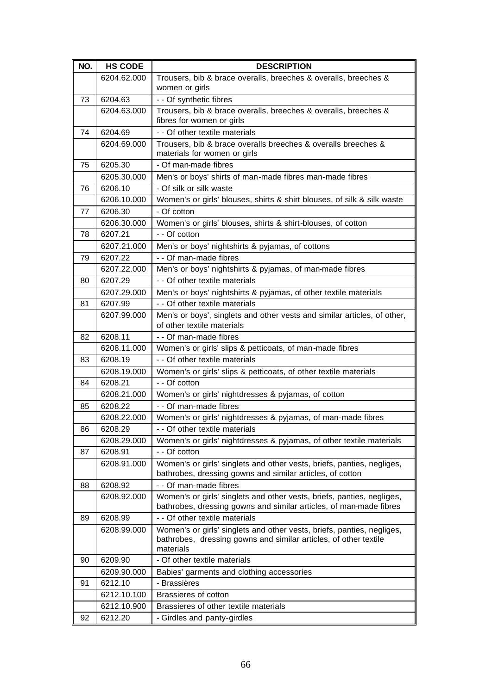| NO. | <b>HS CODE</b> | <b>DESCRIPTION</b>                                                                                                                                      |
|-----|----------------|---------------------------------------------------------------------------------------------------------------------------------------------------------|
|     | 6204.62.000    | Trousers, bib & brace overalls, breeches & overalls, breeches &<br>women or girls                                                                       |
| 73  | 6204.63        | - - Of synthetic fibres                                                                                                                                 |
|     | 6204.63.000    | Trousers, bib & brace overalls, breeches & overalls, breeches &<br>fibres for women or girls                                                            |
| 74  | 6204.69        | - - Of other textile materials                                                                                                                          |
|     | 6204.69.000    | Trousers, bib & brace overalls breeches & overalls breeches &<br>materials for women or girls                                                           |
| 75  | 6205.30        | - Of man-made fibres                                                                                                                                    |
|     | 6205.30.000    | Men's or boys' shirts of man-made fibres man-made fibres                                                                                                |
| 76  | 6206.10        | - Of silk or silk waste                                                                                                                                 |
|     | 6206.10.000    | Women's or girls' blouses, shirts & shirt blouses, of silk & silk waste                                                                                 |
| 77  | 6206.30        | - Of cotton                                                                                                                                             |
|     | 6206.30.000    | Women's or girls' blouses, shirts & shirt-blouses, of cotton                                                                                            |
| 78  | 6207.21        | - - Of cotton                                                                                                                                           |
|     | 6207.21.000    | Men's or boys' nightshirts & pyjamas, of cottons                                                                                                        |
| 79  | 6207.22        | - - Of man-made fibres                                                                                                                                  |
|     | 6207.22.000    | Men's or boys' nightshirts & pyjamas, of man-made fibres                                                                                                |
| 80  | 6207.29        | - - Of other textile materials                                                                                                                          |
|     | 6207.29.000    | Men's or boys' nightshirts & pyjamas, of other textile materials                                                                                        |
| 81  | 6207.99        | - - Of other textile materials                                                                                                                          |
|     | 6207.99.000    | Men's or boys', singlets and other vests and similar articles, of other,<br>of other textile materials                                                  |
| 82  | 6208.11        | - - Of man-made fibres                                                                                                                                  |
|     | 6208.11.000    | Women's or girls' slips & petticoats, of man-made fibres                                                                                                |
| 83  | 6208.19        | - - Of other textile materials                                                                                                                          |
|     | 6208.19.000    | Women's or girls' slips & petticoats, of other textile materials                                                                                        |
| 84  | 6208.21        | - - Of cotton                                                                                                                                           |
|     | 6208.21.000    | Women's or girls' nightdresses & pyjamas, of cotton                                                                                                     |
| 85  | 6208.22        | - - Of man-made fibres                                                                                                                                  |
|     | 6208.22.000    | Women's or girls' nightdresses & pyjamas, of man-made fibres                                                                                            |
| 86  | 6208.29        | Of other textile materials                                                                                                                              |
|     | 6208.29.000    | Women's or girls' nightdresses & pyjamas, of other textile materials                                                                                    |
| 87  | 6208.91        | - - Of cotton                                                                                                                                           |
|     | 6208.91.000    | Women's or girls' singlets and other vests, briefs, panties, negliges,<br>bathrobes, dressing gowns and similar articles, of cotton                     |
| 88  | 6208.92        | - - Of man-made fibres                                                                                                                                  |
|     | 6208.92.000    | Women's or girls' singlets and other vests, briefs, panties, negliges,<br>bathrobes, dressing gowns and similar articles, of man-made fibres            |
| 89  | 6208.99        | - - Of other textile materials                                                                                                                          |
|     | 6208.99.000    | Women's or girls' singlets and other vests, briefs, panties, negliges,<br>bathrobes, dressing gowns and similar articles, of other textile<br>materials |
| 90  | 6209.90        | - Of other textile materials                                                                                                                            |
|     | 6209.90.000    | Babies' garments and clothing accessories                                                                                                               |
| 91  | 6212.10        | - Brassières                                                                                                                                            |
|     | 6212.10.100    | Brassieres of cotton                                                                                                                                    |
|     | 6212.10.900    | Brassieres of other textile materials                                                                                                                   |
| 92  | 6212.20        | - Girdles and panty-girdles                                                                                                                             |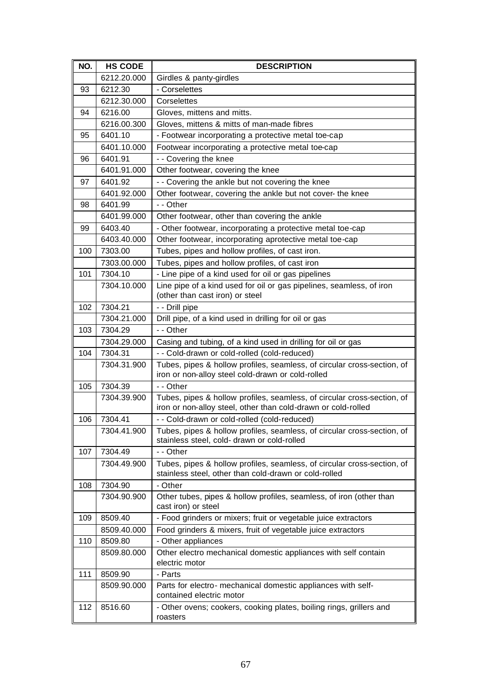| NO. | <b>HS CODE</b> | <b>DESCRIPTION</b>                                                                                                                       |
|-----|----------------|------------------------------------------------------------------------------------------------------------------------------------------|
|     | 6212.20.000    | Girdles & panty-girdles                                                                                                                  |
| 93  | 6212.30        | - Corselettes                                                                                                                            |
|     | 6212.30.000    | Corselettes                                                                                                                              |
| 94  | 6216.00        | Gloves, mittens and mitts.                                                                                                               |
|     | 6216.00.300    | Gloves, mittens & mitts of man-made fibres                                                                                               |
| 95  | 6401.10        | - Footwear incorporating a protective metal toe-cap                                                                                      |
|     | 6401.10.000    | Footwear incorporating a protective metal toe-cap                                                                                        |
| 96  | 6401.91        | - - Covering the knee                                                                                                                    |
|     | 6401.91.000    | Other footwear, covering the knee                                                                                                        |
| 97  | 6401.92        | - - Covering the ankle but not covering the knee                                                                                         |
|     | 6401.92.000    | Other footwear, covering the ankle but not cover- the knee                                                                               |
| 98  | 6401.99        | - - Other                                                                                                                                |
|     | 6401.99.000    | Other footwear, other than covering the ankle                                                                                            |
| 99  | 6403.40        | - Other footwear, incorporating a protective metal toe-cap                                                                               |
|     | 6403.40.000    | Other footwear, incorporating aprotective metal toe-cap                                                                                  |
| 100 | 7303.00        | Tubes, pipes and hollow profiles, of cast iron.                                                                                          |
|     | 7303.00.000    | Tubes, pipes and hollow profiles, of cast iron                                                                                           |
| 101 | 7304.10        | - Line pipe of a kind used for oil or gas pipelines                                                                                      |
|     | 7304.10.000    | Line pipe of a kind used for oil or gas pipelines, seamless, of iron<br>(other than cast iron) or steel                                  |
| 102 | 7304.21        | - - Drill pipe                                                                                                                           |
|     | 7304.21.000    | Drill pipe, of a kind used in drilling for oil or gas                                                                                    |
| 103 | 7304.29        | - - Other                                                                                                                                |
|     | 7304.29.000    | Casing and tubing, of a kind used in drilling for oil or gas                                                                             |
| 104 | 7304.31        | - - Cold-drawn or cold-rolled (cold-reduced)                                                                                             |
|     | 7304.31.900    | Tubes, pipes & hollow profiles, seamless, of circular cross-section, of<br>iron or non-alloy steel cold-drawn or cold-rolled             |
| 105 | 7304.39        | - - Other                                                                                                                                |
|     | 7304.39.900    | Tubes, pipes & hollow profiles, seamless, of circular cross-section, of<br>iron or non-alloy steel, other than cold-drawn or cold-rolled |
| 106 | 7304.41        | - - Cold-drawn or cold-rolled (cold-reduced)                                                                                             |
|     | 7304.41.900    | Tubes, pipes & hollow profiles, seamless, of circular cross-section, of                                                                  |
|     |                | stainless steel, cold- drawn or cold-rolled                                                                                              |
| 107 | 7304.49        | - - Other                                                                                                                                |
|     | 7304.49.900    | Tubes, pipes & hollow profiles, seamless, of circular cross-section, of<br>stainless steel, other than cold-drawn or cold-rolled         |
| 108 | 7304.90        | - Other                                                                                                                                  |
|     | 7304.90.900    | Other tubes, pipes & hollow profiles, seamless, of iron (other than<br>cast iron) or steel                                               |
| 109 | 8509.40        | - Food grinders or mixers; fruit or vegetable juice extractors                                                                           |
|     | 8509.40.000    | Food grinders & mixers, fruit of vegetable juice extractors                                                                              |
| 110 | 8509.80        | - Other appliances                                                                                                                       |
|     | 8509.80.000    | Other electro mechanical domestic appliances with self contain<br>electric motor                                                         |
| 111 | 8509.90        | - Parts                                                                                                                                  |
|     | 8509.90.000    | Parts for electro- mechanical domestic appliances with self-<br>contained electric motor                                                 |
| 112 | 8516.60        | - Other ovens; cookers, cooking plates, boiling rings, grillers and<br>roasters                                                          |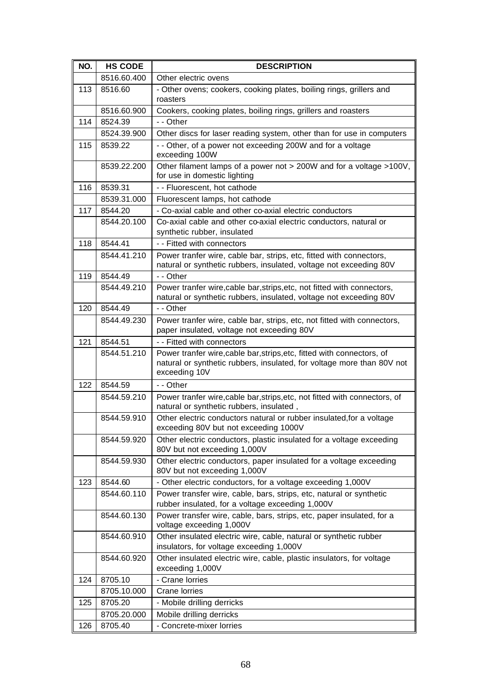| NO. | <b>HS CODE</b> | <b>DESCRIPTION</b>                                                                                                                                                |
|-----|----------------|-------------------------------------------------------------------------------------------------------------------------------------------------------------------|
|     | 8516.60.400    | Other electric ovens                                                                                                                                              |
| 113 | 8516.60        | - Other ovens; cookers, cooking plates, boiling rings, grillers and<br>roasters                                                                                   |
|     | 8516.60.900    | Cookers, cooking plates, boiling rings, grillers and roasters                                                                                                     |
| 114 | 8524.39        | - - Other                                                                                                                                                         |
|     | 8524.39.900    | Other discs for laser reading system, other than for use in computers                                                                                             |
| 115 | 8539.22        | - - Other, of a power not exceeding 200W and for a voltage<br>exceeding 100W                                                                                      |
|     | 8539.22.200    | Other filament lamps of a power not > 200W and for a voltage >100V,<br>for use in domestic lighting                                                               |
| 116 | 8539.31        | - - Fluorescent, hot cathode                                                                                                                                      |
|     | 8539.31.000    | Fluorescent lamps, hot cathode                                                                                                                                    |
| 117 | 8544.20        | - Co-axial cable and other co-axial electric conductors                                                                                                           |
|     | 8544.20.100    | Co-axial cable and other co-axial electric conductors, natural or<br>synthetic rubber, insulated                                                                  |
| 118 | 8544.41        | - - Fitted with connectors                                                                                                                                        |
|     | 8544.41.210    | Power tranfer wire, cable bar, strips, etc, fitted with connectors,<br>natural or synthetic rubbers, insulated, voltage not exceeding 80V                         |
| 119 | 8544.49        | - - Other                                                                                                                                                         |
|     | 8544.49.210    | Power tranfer wire, cable bar, strips, etc, not fitted with connectors,<br>natural or synthetic rubbers, insulated, voltage not exceeding 80V                     |
| 120 | 8544.49        | - - Other                                                                                                                                                         |
|     | 8544.49.230    | Power tranfer wire, cable bar, strips, etc, not fitted with connectors,<br>paper insulated, voltage not exceeding 80V                                             |
| 121 | 8544.51        | - - Fitted with connectors                                                                                                                                        |
|     | 8544.51.210    | Power tranfer wire, cable bar, strips, etc, fitted with connectors, of<br>natural or synthetic rubbers, insulated, for voltage more than 80V not<br>exceeding 10V |
| 122 | 8544.59        | - - Other                                                                                                                                                         |
|     | 8544.59.210    | Power tranfer wire, cable bar, strips, etc, not fitted with connectors, of<br>natural or synthetic rubbers, insulated,                                            |
|     | 8544.59.910    | Other electric conductors natural or rubber insulated, for a voltage<br>exceeding 80V but not exceeding 1000V                                                     |
|     | 8544.59.920    | Other electric conductors, plastic insulated for a voltage exceeding<br>80V but not exceeding 1,000V                                                              |
|     | 8544.59.930    | Other electric conductors, paper insulated for a voltage exceeding<br>80V but not exceeding 1,000V                                                                |
| 123 | 8544.60        | - Other electric conductors, for a voltage exceeding 1,000V                                                                                                       |
|     | 8544.60.110    | Power transfer wire, cable, bars, strips, etc, natural or synthetic<br>rubber insulated, for a voltage exceeding 1,000V                                           |
|     | 8544.60.130    | Power transfer wire, cable, bars, strips, etc, paper insulated, for a<br>voltage exceeding 1,000V                                                                 |
|     | 8544.60.910    | Other insulated electric wire, cable, natural or synthetic rubber<br>insulators, for voltage exceeding 1,000V                                                     |
|     | 8544.60.920    | Other insulated electric wire, cable, plastic insulators, for voltage<br>exceeding 1,000V                                                                         |
| 124 | 8705.10        | - Crane lorries                                                                                                                                                   |
|     | 8705.10.000    | Crane lorries                                                                                                                                                     |
| 125 | 8705.20        | - Mobile drilling derricks                                                                                                                                        |
|     | 8705.20.000    | Mobile drilling derricks                                                                                                                                          |
| 126 | 8705.40        | - Concrete-mixer lorries                                                                                                                                          |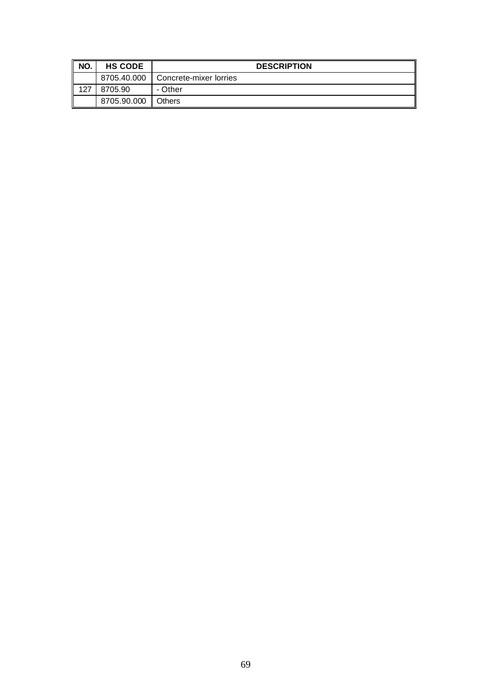| NO. | <b>HS CODE</b> | <b>DESCRIPTION</b>     |
|-----|----------------|------------------------|
|     | 8705.40.000    | Concrete-mixer lorries |
| 127 | 8705.90        | - Other                |
|     | 8705.90.000    | <b>Others</b>          |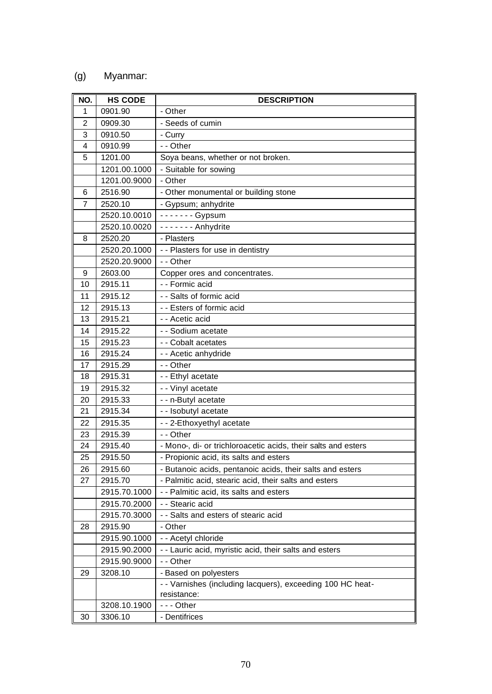## (g) Myanmar:

| NO. | <b>HS CODE</b> | <b>DESCRIPTION</b>                                            |
|-----|----------------|---------------------------------------------------------------|
| 1   | 0901.90        | - Other                                                       |
| 2   | 0909.30        | - Seeds of cumin                                              |
| 3   | 0910.50        | - Curry                                                       |
| 4   | 0910.99        | - - Other                                                     |
| 5   | 1201.00        | Soya beans, whether or not broken.                            |
|     | 1201.00.1000   | - Suitable for sowing                                         |
|     | 1201.00.9000   | - Other                                                       |
| 6   | 2516.90        | - Other monumental or building stone                          |
| 7   | 2520.10        | - Gypsum; anhydrite                                           |
|     | 2520.10.0010   | - - - - - - - Gypsum                                          |
|     | 2520.10.0020   | - - - - - - - Anhydrite                                       |
| 8   | 2520.20        | - Plasters                                                    |
|     | 2520.20.1000   | - - Plasters for use in dentistry                             |
|     | 2520.20.9000   | - - Other                                                     |
| 9   | 2603.00        | Copper ores and concentrates.                                 |
| 10  | 2915.11        | - - Formic acid                                               |
| 11  | 2915.12        | - - Salts of formic acid                                      |
| 12  | 2915.13        | - - Esters of formic acid                                     |
| 13  | 2915.21        | - - Acetic acid                                               |
| 14  | 2915.22        | - - Sodium acetate                                            |
| 15  | 2915.23        | - - Cobalt acetates                                           |
| 16  | 2915.24        | - - Acetic anhydride                                          |
| 17  | 2915.29        | - - Other                                                     |
| 18  | 2915.31        | - - Ethyl acetate                                             |
| 19  | 2915.32        | - - Vinyl acetate                                             |
| 20  | 2915.33        | - - n-Butyl acetate                                           |
| 21  | 2915.34        | - - Isobutyl acetate                                          |
| 22  | 2915.35        | - - 2-Ethoxyethyl acetate                                     |
| 23  | 2915.39        | - - Other                                                     |
| 24  | 2915.40        | - Mono-, di- or trichloroacetic acids, their salts and esters |
| 25  | 2915.50        | - Propionic acid, its salts and esters                        |
| 26  | 2915.60        | - Butanoic acids, pentanoic acids, their salts and esters     |
| 27  | 2915.70        | - Palmitic acid, stearic acid, their salts and esters         |
|     | 2915.70.1000   | - - Palmitic acid, its salts and esters                       |
|     | 2915.70.2000   | - - Stearic acid                                              |
|     | 2915.70.3000   | - - Salts and esters of stearic acid                          |
| 28  | 2915.90        | - Other                                                       |
|     | 2915.90.1000   | - - Acetyl chloride                                           |
|     | 2915.90.2000   | - - Lauric acid, myristic acid, their salts and esters        |
|     | 2915.90.9000   | - - Other                                                     |
| 29  | 3208.10        | - Based on polyesters                                         |
|     |                | - - Varnishes (including lacquers), exceeding 100 HC heat-    |
|     |                | resistance:                                                   |
|     | 3208.10.1900   | $--$ Other                                                    |
| 30  | 3306.10        | - Dentifrices                                                 |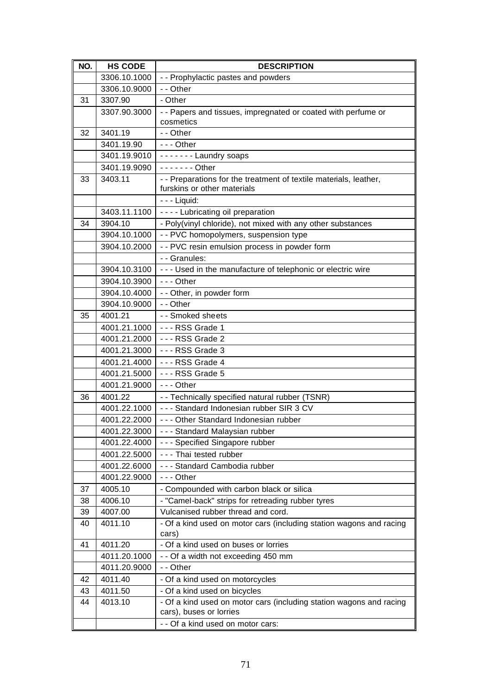| NO. | <b>HS CODE</b> | <b>DESCRIPTION</b>                                                                               |
|-----|----------------|--------------------------------------------------------------------------------------------------|
|     | 3306.10.1000   | - - Prophylactic pastes and powders                                                              |
|     | 3306.10.9000   | - - Other                                                                                        |
| 31  | 3307.90        | - Other                                                                                          |
|     | 3307.90.3000   | - - Papers and tissues, impregnated or coated with perfume or<br>cosmetics                       |
| 32  | 3401.19        | - - Other                                                                                        |
|     | 3401.19.90     | $--$ Other                                                                                       |
|     | 3401.19.9010   | ------- Laundry soaps                                                                            |
|     | 3401.19.9090   | $--- $ Other                                                                                     |
| 33  | 3403.11        | - - Preparations for the treatment of textile materials, leather,<br>furskins or other materials |
|     |                | - - - Liquid:                                                                                    |
|     | 3403.11.1100   | - - - - Lubricating oil preparation                                                              |
| 34  | 3904.10        | - Poly(vinyl chloride), not mixed with any other substances                                      |
|     | 3904.10.1000   | - - PVC homopolymers, suspension type                                                            |
|     | 3904.10.2000   | - - PVC resin emulsion process in powder form                                                    |
|     |                | - - Granules:                                                                                    |
|     | 3904.10.3100   | - - - Used in the manufacture of telephonic or electric wire                                     |
|     | 3904.10.3900   | $--$ Other                                                                                       |
|     | 3904.10.4000   | - - Other, in powder form                                                                        |
|     | 3904.10.9000   | - - Other                                                                                        |
| 35  | 4001.21        | - - Smoked sheets                                                                                |
|     | 4001.21.1000   | - - - RSS Grade 1                                                                                |
|     | 4001.21.2000   | --- RSS Grade 2                                                                                  |
|     | 4001.21.3000   | --- RSS Grade 3                                                                                  |
|     | 4001.21.4000   | $--$ RSS Grade 4                                                                                 |
|     | 4001.21.5000   | --- RSS Grade 5                                                                                  |
|     | 4001.21.9000   | --- Other                                                                                        |
| 36  | 4001.22        | - - Technically specified natural rubber (TSNR)                                                  |
|     | 4001.22.1000   | --- Standard Indonesian rubber SIR 3 CV                                                          |
|     | 4001.22.2000   | --- Other Standard Indonesian rubber                                                             |
|     | 4001.22.3000   | --- Standard Malaysian rubber                                                                    |
|     | 4001.22.4000   | - - - Specified Singapore rubber                                                                 |
|     | 4001.22.5000   | - - - Thai tested rubber                                                                         |
|     | 4001.22.6000   | - - - Standard Cambodia rubber                                                                   |
|     | 4001.22.9000   | $--$ Other                                                                                       |
| 37  | 4005.10        | - Compounded with carbon black or silica                                                         |
| 38  | 4006.10        | - "Camel-back" strips for retreading rubber tyres                                                |
| 39  | 4007.00        | Vulcanised rubber thread and cord.                                                               |
| 40  | 4011.10        | - Of a kind used on motor cars (including station wagons and racing<br>cars)                     |
| 41  | 4011.20        | - Of a kind used on buses or lorries                                                             |
|     | 4011.20.1000   | - - Of a width not exceeding 450 mm                                                              |
|     | 4011.20.9000   | - - Other                                                                                        |
| 42  | 4011.40        | - Of a kind used on motorcycles                                                                  |
| 43  | 4011.50        | - Of a kind used on bicycles                                                                     |
| 44  | 4013.10        | - Of a kind used on motor cars (including station wagons and racing<br>cars), buses or lorries   |
|     |                | - - Of a kind used on motor cars:                                                                |
|     |                |                                                                                                  |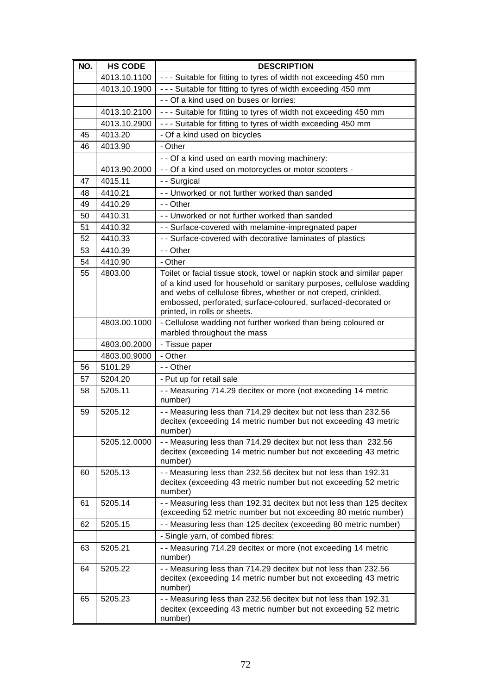| NO. | <b>HS CODE</b> | <b>DESCRIPTION</b>                                                                                                                     |
|-----|----------------|----------------------------------------------------------------------------------------------------------------------------------------|
|     | 4013.10.1100   | - - - Suitable for fitting to tyres of width not exceeding 450 mm                                                                      |
|     | 4013.10.1900   | - - - Suitable for fitting to tyres of width exceeding 450 mm                                                                          |
|     |                | - - Of a kind used on buses or lorries:                                                                                                |
|     | 4013.10.2100   | - - - Suitable for fitting to tyres of width not exceeding 450 mm                                                                      |
|     | 4013.10.2900   | - - - Suitable for fitting to tyres of width exceeding 450 mm                                                                          |
| 45  | 4013.20        | - Of a kind used on bicycles                                                                                                           |
| 46  | 4013.90        | - Other                                                                                                                                |
|     |                | - - Of a kind used on earth moving machinery:                                                                                          |
|     | 4013.90.2000   | - - Of a kind used on motorcycles or motor scooters -                                                                                  |
| 47  | 4015.11        | - - Surgical                                                                                                                           |
| 48  | 4410.21        | - - Unworked or not further worked than sanded                                                                                         |
| 49  | 4410.29        | - - Other                                                                                                                              |
| 50  | 4410.31        | - - Unworked or not further worked than sanded                                                                                         |
| 51  | 4410.32        | - - Surface-covered with melamine-impregnated paper                                                                                    |
| 52  | 4410.33        | - - Surface-covered with decorative laminates of plastics                                                                              |
| 53  | 4410.39        | - - Other                                                                                                                              |
| 54  | 4410.90        | - Other                                                                                                                                |
| 55  | 4803.00        | Toilet or facial tissue stock, towel or napkin stock and similar paper                                                                 |
|     |                | of a kind used for household or sanitary purposes, cellulose wadding<br>and webs of cellulose fibres, whether or not creped, crinkled, |
|     |                | embossed, perforated, surface-coloured, surfaced-decorated or                                                                          |
|     |                | printed, in rolls or sheets.                                                                                                           |
|     | 4803.00.1000   | - Cellulose wadding not further worked than being coloured or                                                                          |
|     |                | marbled throughout the mass                                                                                                            |
|     | 4803.00.2000   | - Tissue paper                                                                                                                         |
|     | 4803.00.9000   | - Other                                                                                                                                |
| 56  | 5101.29        | - - Other                                                                                                                              |
| 57  | 5204.20        | - Put up for retail sale                                                                                                               |
| 58  | 5205.11        | - - Measuring 714.29 decitex or more (not exceeding 14 metric                                                                          |
|     |                | number)                                                                                                                                |
| 59  | 5205.12        | - - Measuring less than 714.29 decitex but not less than 232.56<br>decitex (exceeding 14 metric number but not exceeding 43 metric     |
|     |                | number)                                                                                                                                |
|     | 5205.12.0000   | -- Measuring less than 714.29 decitex but not less than 232.56                                                                         |
|     |                | decitex (exceeding 14 metric number but not exceeding 43 metric                                                                        |
|     |                | number)                                                                                                                                |
| 60  | 5205.13        | - - Measuring less than 232.56 decitex but not less than 192.31                                                                        |
|     |                | decitex (exceeding 43 metric number but not exceeding 52 metric<br>number)                                                             |
| 61  | 5205.14        | - - Measuring less than 192.31 decitex but not less than 125 decitex                                                                   |
|     |                | (exceeding 52 metric number but not exceeding 80 metric number)                                                                        |
| 62  | 5205.15        | - - Measuring less than 125 decitex (exceeding 80 metric number)                                                                       |
|     |                | - Single yarn, of combed fibres:                                                                                                       |
| 63  | 5205.21        | - - Measuring 714.29 decitex or more (not exceeding 14 metric                                                                          |
|     |                | number)                                                                                                                                |
| 64  | 5205.22        | - - Measuring less than 714.29 decitex but not less than 232.56                                                                        |
|     |                | decitex (exceeding 14 metric number but not exceeding 43 metric                                                                        |
| 65  | 5205.23        | number)<br>- - Measuring less than 232.56 decitex but not less than 192.31                                                             |
|     |                | decitex (exceeding 43 metric number but not exceeding 52 metric                                                                        |
|     |                | number)                                                                                                                                |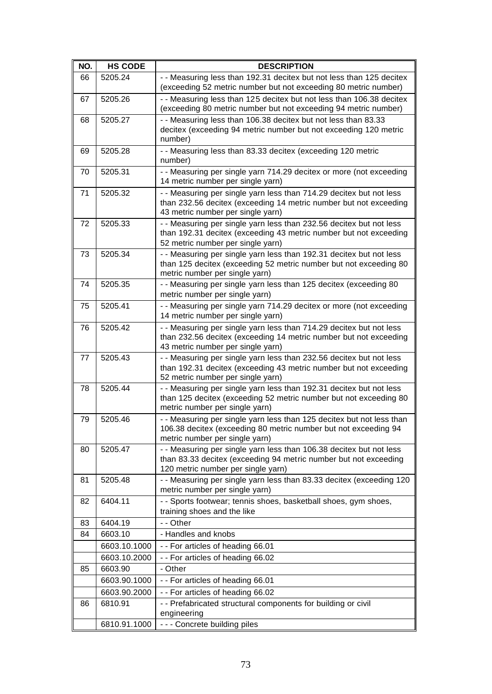| NO. | <b>HS CODE</b> | <b>DESCRIPTION</b>                                                                                                                                                            |
|-----|----------------|-------------------------------------------------------------------------------------------------------------------------------------------------------------------------------|
| 66  | 5205.24        | - - Measuring less than 192.31 decitex but not less than 125 decitex                                                                                                          |
|     |                | (exceeding 52 metric number but not exceeding 80 metric number)                                                                                                               |
| 67  | 5205.26        | - - Measuring less than 125 decitex but not less than 106.38 decitex<br>(exceeding 80 metric number but not exceeding 94 metric number)                                       |
| 68  | 5205.27        | - - Measuring less than 106.38 decitex but not less than 83.33                                                                                                                |
|     |                | decitex (exceeding 94 metric number but not exceeding 120 metric                                                                                                              |
|     |                | number)                                                                                                                                                                       |
| 69  | 5205.28        | - - Measuring less than 83.33 decitex (exceeding 120 metric<br>number)                                                                                                        |
| 70  | 5205.31        | - - Measuring per single yarn 714.29 decitex or more (not exceeding<br>14 metric number per single yarn)                                                                      |
| 71  | 5205.32        | - - Measuring per single yarn less than 714.29 decitex but not less<br>than 232.56 decitex (exceeding 14 metric number but not exceeding<br>43 metric number per single yarn) |
| 72  | 5205.33        | - - Measuring per single yarn less than 232.56 decitex but not less<br>than 192.31 decitex (exceeding 43 metric number but not exceeding<br>52 metric number per single yarn) |
| 73  | 5205.34        | - - Measuring per single yarn less than 192.31 decitex but not less<br>than 125 decitex (exceeding 52 metric number but not exceeding 80<br>metric number per single yarn)    |
| 74  | 5205.35        | - - Measuring per single yarn less than 125 decitex (exceeding 80<br>metric number per single yarn)                                                                           |
| 75  | 5205.41        | - - Measuring per single yarn 714.29 decitex or more (not exceeding<br>14 metric number per single yarn)                                                                      |
| 76  | 5205.42        | - - Measuring per single yarn less than 714.29 decitex but not less<br>than 232.56 decitex (exceeding 14 metric number but not exceeding<br>43 metric number per single yarn) |
| 77  | 5205.43        | - - Measuring per single yarn less than 232.56 decitex but not less<br>than 192.31 decitex (exceeding 43 metric number but not exceeding<br>52 metric number per single yarn) |
| 78  | 5205.44        | - - Measuring per single yarn less than 192.31 decitex but not less<br>than 125 decitex (exceeding 52 metric number but not exceeding 80<br>metric number per single yarn)    |
| 79  | 5205.46        | - - Measuring per single yarn less than 125 decitex but not less than<br>106.38 decitex (exceeding 80 metric number but not exceeding 94<br>metric number per single yarn)    |
| 80  | 5205.47        | - - Measuring per single yarn less than 106.38 decitex but not less<br>than 83.33 decitex (exceeding 94 metric number but not exceeding<br>120 metric number per single yarn) |
| 81  | 5205.48        | - - Measuring per single yarn less than 83.33 decitex (exceeding 120<br>metric number per single yarn)                                                                        |
| 82  | 6404.11        | - - Sports footwear; tennis shoes, basketball shoes, gym shoes,<br>training shoes and the like                                                                                |
| 83  | 6404.19        | - - Other                                                                                                                                                                     |
| 84  | 6603.10        | - Handles and knobs                                                                                                                                                           |
|     | 6603.10.1000   | -- For articles of heading 66.01                                                                                                                                              |
|     | 6603.10.2000   | -- For articles of heading 66.02                                                                                                                                              |
| 85  | 6603.90        | - Other                                                                                                                                                                       |
|     | 6603.90.1000   | - - For articles of heading 66.01                                                                                                                                             |
|     | 6603.90.2000   | -- For articles of heading 66.02                                                                                                                                              |
| 86  | 6810.91        | - - Prefabricated structural components for building or civil                                                                                                                 |
|     |                | engineering                                                                                                                                                                   |
|     | 6810.91.1000   | - - - Concrete building piles                                                                                                                                                 |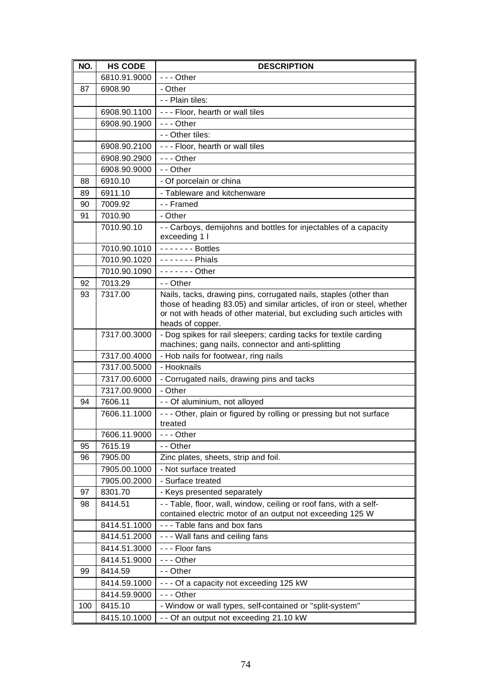| NO. | <b>HS CODE</b>               | <b>DESCRIPTION</b>                                                                                                                           |
|-----|------------------------------|----------------------------------------------------------------------------------------------------------------------------------------------|
|     | 6810.91.9000                 | $--$ Other                                                                                                                                   |
| 87  | 6908.90                      | - Other                                                                                                                                      |
|     |                              | - - Plain tiles:                                                                                                                             |
|     | 6908.90.1100                 | - - - Floor, hearth or wall tiles                                                                                                            |
|     | 6908.90.1900                 | $- -$ Other                                                                                                                                  |
|     |                              | - - Other tiles:                                                                                                                             |
|     | 6908.90.2100                 | - - - Floor, hearth or wall tiles                                                                                                            |
|     | 6908.90.2900                 | $--$ Other                                                                                                                                   |
|     | 6908.90.9000                 | - - Other                                                                                                                                    |
| 88  | 6910.10                      | - Of porcelain or china                                                                                                                      |
| 89  | 6911.10                      | - Tableware and kitchenware                                                                                                                  |
| 90  | 7009.92                      | - - Framed                                                                                                                                   |
| 91  | 7010.90                      | - Other                                                                                                                                      |
|     | 7010.90.10                   | - - Carboys, demijohns and bottles for injectables of a capacity<br>exceeding 1 l                                                            |
|     | 7010.90.1010                 | $---$ Bottles                                                                                                                                |
|     | 7010.90.1020                 | $---$ Phials                                                                                                                                 |
|     | 7010.90.1090                 | $- - - - - -$ Other                                                                                                                          |
| 92  | 7013.29                      | - - Other                                                                                                                                    |
| 93  | 7317.00                      | Nails, tacks, drawing pins, corrugated nails, staples (other than<br>those of heading 83.05) and similar articles, of iron or steel, whether |
|     |                              | or not with heads of other material, but excluding such articles with                                                                        |
|     |                              | heads of copper.                                                                                                                             |
|     | 7317.00.3000                 | - Dog spikes for rail sleepers; carding tacks for textile carding                                                                            |
|     |                              | machines; gang nails, connector and anti-splitting                                                                                           |
|     | 7317.00.4000<br>7317.00.5000 | - Hob nails for footwear, ring nails<br>- Hooknails                                                                                          |
|     | 7317.00.6000                 | - Corrugated nails, drawing pins and tacks                                                                                                   |
|     | 7317.00.9000                 | - Other                                                                                                                                      |
| 94  | 7606.11                      | - - Of aluminium, not alloyed                                                                                                                |
|     | 7606.11.1000                 | - - - Other, plain or figured by rolling or pressing but not surface                                                                         |
|     |                              | treated                                                                                                                                      |
|     | 7606.11.9000                 | $--$ Other                                                                                                                                   |
| 95  | 7615.19                      | - - Other                                                                                                                                    |
| 96  | 7905.00                      | Zinc plates, sheets, strip and foil.                                                                                                         |
|     | 7905.00.1000                 | - Not surface treated                                                                                                                        |
|     | 7905.00.2000                 | - Surface treated                                                                                                                            |
| 97  | 8301.70                      | - Keys presented separately                                                                                                                  |
| 98  | 8414.51                      | -- Table, floor, wall, window, ceiling or roof fans, with a self-                                                                            |
|     |                              | contained electric motor of an output not exceeding 125 W                                                                                    |
|     | 8414.51.1000                 | --- Table fans and box fans                                                                                                                  |
|     | 8414.51.2000                 | - - - Wall fans and ceiling fans                                                                                                             |
|     | 8414.51.3000                 | - - - Floor fans                                                                                                                             |
|     | 8414.51.9000                 | --- Other                                                                                                                                    |
| 99  | 8414.59                      | - - Other                                                                                                                                    |
|     | 8414.59.1000                 | - - - Of a capacity not exceeding 125 kW                                                                                                     |
|     | 8414.59.9000                 | $--$ Other                                                                                                                                   |
| 100 | 8415.10                      | - Window or wall types, self-contained or "split-system"                                                                                     |
|     | 8415.10.1000                 | - - Of an output not exceeding 21.10 kW                                                                                                      |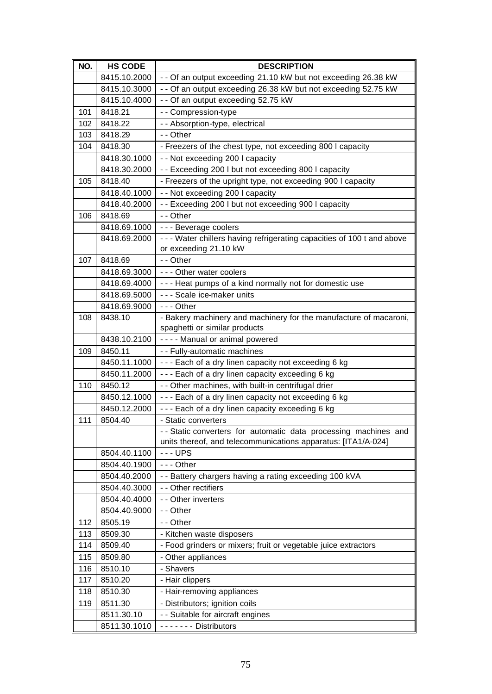| NO. | <b>HS CODE</b> | <b>DESCRIPTION</b>                                                                                                               |
|-----|----------------|----------------------------------------------------------------------------------------------------------------------------------|
|     | 8415.10.2000   | - - Of an output exceeding 21.10 kW but not exceeding 26.38 kW                                                                   |
|     | 8415.10.3000   | - - Of an output exceeding 26.38 kW but not exceeding 52.75 kW                                                                   |
|     | 8415.10.4000   | - - Of an output exceeding 52.75 kW                                                                                              |
| 101 | 8418.21        | - - Compression-type                                                                                                             |
| 102 | 8418.22        | - - Absorption-type, electrical                                                                                                  |
| 103 | 8418.29        | - - Other                                                                                                                        |
| 104 | 8418.30        | - Freezers of the chest type, not exceeding 800 I capacity                                                                       |
|     | 8418.30.1000   | - - Not exceeding 200 I capacity                                                                                                 |
|     | 8418.30.2000   | -- Exceeding 200 I but not exceeding 800 I capacity                                                                              |
| 105 | 8418.40        | - Freezers of the upright type, not exceeding 900 I capacity                                                                     |
|     | 8418.40.1000   | - - Not exceeding 200 I capacity                                                                                                 |
|     | 8418.40.2000   | - - Exceeding 200 I but not exceeding 900 I capacity                                                                             |
| 106 | 8418.69        | - - Other                                                                                                                        |
|     | 8418.69.1000   | - - - Beverage coolers                                                                                                           |
|     | 8418.69.2000   | - - - Water chillers having refrigerating capacities of 100 t and above                                                          |
|     |                | or exceeding 21.10 kW                                                                                                            |
| 107 | 8418.69        | - - Other                                                                                                                        |
|     | 8418.69.3000   | --- Other water coolers                                                                                                          |
|     | 8418.69.4000   | --- Heat pumps of a kind normally not for domestic use                                                                           |
|     | 8418.69.5000   | - - - Scale ice-maker units                                                                                                      |
|     | 8418.69.9000   | $- -$ Other                                                                                                                      |
| 108 | 8438.10        | - Bakery machinery and machinery for the manufacture of macaroni,                                                                |
|     |                | spaghetti or similar products                                                                                                    |
|     | 8438.10.2100   | ---- Manual or animal powered                                                                                                    |
| 109 | 8450.11        | - - Fully-automatic machines                                                                                                     |
|     | 8450.11.1000   | --- Each of a dry linen capacity not exceeding 6 kg                                                                              |
|     | 8450.11.2000   | --- Each of a dry linen capacity exceeding 6 kg                                                                                  |
| 110 | 8450.12        | - - Other machines, with built-in centrifugal drier                                                                              |
|     | 8450.12.1000   | --- Each of a dry linen capacity not exceeding 6 kg                                                                              |
|     | 8450.12.2000   | --- Each of a dry linen capacity exceeding 6 kg                                                                                  |
| 111 | 8504.40        | - Static converters                                                                                                              |
|     |                | -- Static converters for automatic data processing machines and<br>units thereof, and telecommunications apparatus: [ITA1/A-024] |
|     | 8504.40.1100   | $--UPS$                                                                                                                          |
|     | 8504.40.1900   | $--$ Other                                                                                                                       |
|     | 8504.40.2000   | -- Battery chargers having a rating exceeding 100 kVA                                                                            |
|     | 8504.40.3000   | - - Other rectifiers                                                                                                             |
|     | 8504.40.4000   | - - Other inverters                                                                                                              |
|     | 8504.40.9000   | - - Other                                                                                                                        |
| 112 | 8505.19        | - - Other                                                                                                                        |
| 113 | 8509.30        | - Kitchen waste disposers                                                                                                        |
| 114 | 8509.40        | - Food grinders or mixers; fruit or vegetable juice extractors                                                                   |
| 115 | 8509.80        | - Other appliances                                                                                                               |
| 116 | 8510.10        | - Shavers                                                                                                                        |
| 117 | 8510.20        | - Hair clippers                                                                                                                  |
| 118 | 8510.30        | - Hair-removing appliances                                                                                                       |
| 119 | 8511.30        | - Distributors; ignition coils                                                                                                   |
|     | 8511.30.10     | - - Suitable for aircraft engines                                                                                                |
|     | 8511.30.1010   | ------- Distributors                                                                                                             |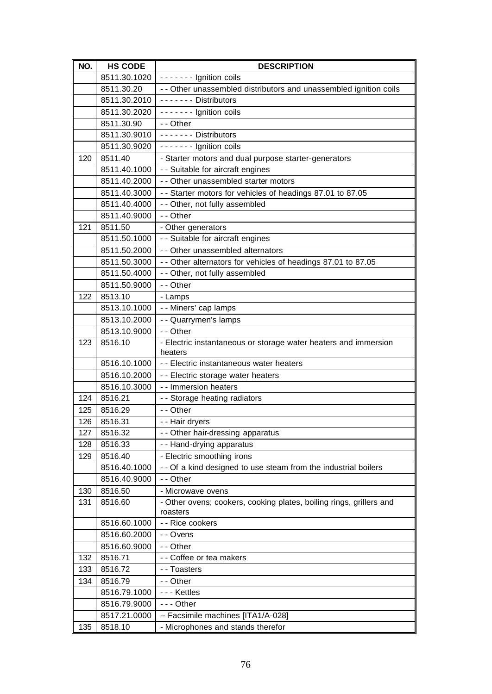| NO. | <b>HS CODE</b> | <b>DESCRIPTION</b>                                                              |
|-----|----------------|---------------------------------------------------------------------------------|
|     | 8511.30.1020   | ------- Ignition coils                                                          |
|     | 8511.30.20     | - - Other unassembled distributors and unassembled ignition coils               |
|     | 8511.30.2010   | ------- Distributors                                                            |
|     | 8511.30.2020   | ------- Ignition coils                                                          |
|     | 8511.30.90     | - - Other                                                                       |
|     | 8511.30.9010   | ------- Distributors                                                            |
|     | 8511.30.9020   | ------- Ignition coils                                                          |
| 120 | 8511.40        | - Starter motors and dual purpose starter-generators                            |
|     | 8511.40.1000   | - - Suitable for aircraft engines                                               |
|     | 8511.40.2000   | - - Other unassembled starter motors                                            |
|     | 8511.40.3000   | - - Starter motors for vehicles of headings 87.01 to 87.05                      |
|     | 8511.40.4000   | - - Other, not fully assembled                                                  |
|     | 8511.40.9000   | - - Other                                                                       |
| 121 | 8511.50        | - Other generators                                                              |
|     | 8511.50.1000   | - - Suitable for aircraft engines                                               |
|     | 8511.50.2000   | - - Other unassembled alternators                                               |
|     | 8511.50.3000   | - - Other alternators for vehicles of headings 87.01 to 87.05                   |
|     | 8511.50.4000   | - - Other, not fully assembled                                                  |
|     | 8511.50.9000   | - - Other                                                                       |
| 122 | 8513.10        | - Lamps                                                                         |
|     | 8513.10.1000   | - - Miners' cap lamps                                                           |
|     | 8513.10.2000   | - - Quarrymen's lamps                                                           |
|     | 8513.10.9000   | - - Other                                                                       |
| 123 | 8516.10        | - Electric instantaneous or storage water heaters and immersion                 |
|     |                | heaters                                                                         |
|     | 8516.10.1000   | - - Electric instantaneous water heaters                                        |
|     | 8516.10.2000   | - - Electric storage water heaters                                              |
|     | 8516.10.3000   | - - Immersion heaters                                                           |
| 124 | 8516.21        | - - Storage heating radiators                                                   |
| 125 | 8516.29        | - - Other                                                                       |
| 126 | 8516.31        | - - Hair dryers                                                                 |
| 127 | 8516.32        | - - Other hair-dressing apparatus                                               |
| 128 | 8516.33        | - - Hand-drying apparatus                                                       |
| 129 | 8516.40        | - Electric smoothing irons                                                      |
|     | 8516.40.1000   | - - Of a kind designed to use steam from the industrial boilers                 |
|     | 8516.40.9000   | - - Other                                                                       |
| 130 | 8516.50        | - Microwave ovens                                                               |
| 131 | 8516.60        | - Other ovens; cookers, cooking plates, boiling rings, grillers and<br>roasters |
|     | 8516.60.1000   | - - Rice cookers                                                                |
|     | 8516.60.2000   | - - Ovens                                                                       |
|     | 8516.60.9000   | - - Other                                                                       |
| 132 | 8516.71        | - - Coffee or tea makers                                                        |
| 133 | 8516.72        | - - Toasters                                                                    |
| 134 | 8516.79        | - - Other                                                                       |
|     | 8516.79.1000   | - - - Kettles                                                                   |
|     | 8516.79.9000   | --- Other                                                                       |
|     | 8517.21.0000   | -- Facsimile machines [ITA1/A-028]                                              |
| 135 | 8518.10        | - Microphones and stands therefor                                               |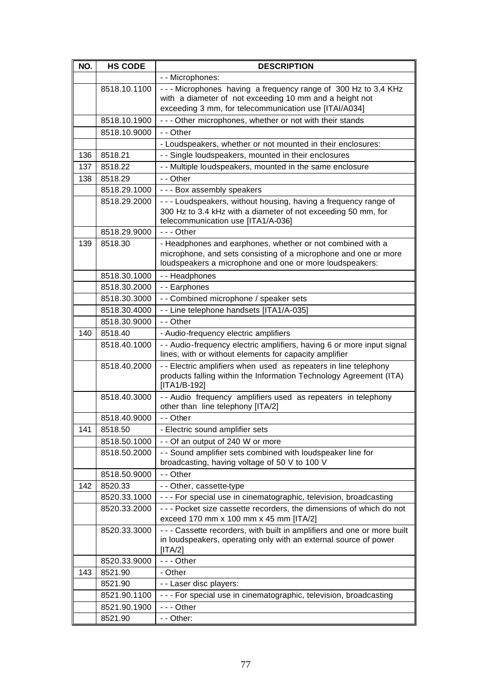| NO. | <b>HS CODE</b> | <b>DESCRIPTION</b>                                                                                                                                                                       |
|-----|----------------|------------------------------------------------------------------------------------------------------------------------------------------------------------------------------------------|
|     |                | - - Microphones:                                                                                                                                                                         |
|     | 8518.10.1100   | --- Microphones having a frequency range of 300 Hz to 3,4 KHz<br>with a diameter of not exceeding 10 mm and a height not<br>exceeding 3 mm, for telecommunication use [ITAI/A034]        |
|     | 8518.10.1900   | - - - Other microphones, whether or not with their stands                                                                                                                                |
|     | 8518.10.9000   | - - Other                                                                                                                                                                                |
|     |                | - Loudspeakers, whether or not mounted in their enclosures:                                                                                                                              |
| 136 | 8518.21        | - - Single loudspeakers, mounted in their enclosures                                                                                                                                     |
| 137 | 8518.22        | - - Multiple loudspeakers, mounted in the same enclosure                                                                                                                                 |
| 138 | 8518.29        | - - Other                                                                                                                                                                                |
|     | 8518.29.1000   | --- Box assembly speakers                                                                                                                                                                |
|     | 8518.29.2000   | --- Loudspeakers, without housing, having a frequency range of<br>300 Hz to 3.4 kHz with a diameter of not exceeding 50 mm, for<br>telecommunication use [ITA1/A-036]                    |
|     | 8518.29.9000   | $- -$ Other                                                                                                                                                                              |
| 139 | 8518.30        | - Headphones and earphones, whether or not combined with a<br>microphone, and sets consisting of a microphone and one or more<br>loudspeakers a microphone and one or more loudspeakers: |
|     | 8518.30.1000   | - - Headphones                                                                                                                                                                           |
|     | 8518.30.2000   | - - Earphones                                                                                                                                                                            |
|     | 8518.30.3000   | - - Combined microphone / speaker sets                                                                                                                                                   |
|     | 8518.30.4000   | - - Line telephone handsets [ITA1/A-035]                                                                                                                                                 |
|     | 8518.30.9000   | - - Other                                                                                                                                                                                |
| 140 | 8518.40        | - Audio-frequency electric amplifiers                                                                                                                                                    |
|     | 8518.40.1000   | - - Audio-frequency electric amplifiers, having 6 or more input signal<br>lines, with or without elements for capacity amplifier                                                         |
|     | 8518.40.2000   | - - Electric amplifiers when used as repeaters in line telephony<br>products falling within the Information Technology Agreement (ITA)<br>[ITA1/B-192]                                   |
|     | 8518.40.3000   | -- Audio frequency amplifiers used as repeaters in telephony<br>other than line telephony [ITA/2]                                                                                        |
|     | 8518.40.9000   | - - Other                                                                                                                                                                                |
| 141 | 8518.50        | - Electric sound amplifier sets                                                                                                                                                          |
|     | 8518.50.1000   | - - Of an output of 240 W or more                                                                                                                                                        |
|     | 8518.50.2000   | - - Sound amplifier sets combined with loudspeaker line for<br>broadcasting, having voltage of 50 V to 100 V                                                                             |
|     | 8518.50.9000   | - - Other                                                                                                                                                                                |
| 142 | 8520.33        | - - Other, cassette-type                                                                                                                                                                 |
|     | 8520.33.1000   | - - - For special use in cinematographic, television, broadcasting                                                                                                                       |
|     | 8520.33.2000   | --- Pocket size cassette recorders, the dimensions of which do not<br>exceed 170 mm x 100 mm x 45 mm [ITA/2]                                                                             |
|     | 8520.33.3000   | - - - Cassette recorders, with built in amplifiers and one or more built<br>in loudspeakers, operating only with an external source of power<br>[ITA/2]                                  |
|     | 8520.33.9000   | $--$ Other                                                                                                                                                                               |
| 143 | 8521.90        | - Other                                                                                                                                                                                  |
|     | 8521.90        | - - Laser disc players:                                                                                                                                                                  |
|     | 8521.90.1100   | - - - For special use in cinematographic, television, broadcasting                                                                                                                       |
|     | 8521.90.1900   | $--$ Other                                                                                                                                                                               |
|     | 8521.90        | - - Other:                                                                                                                                                                               |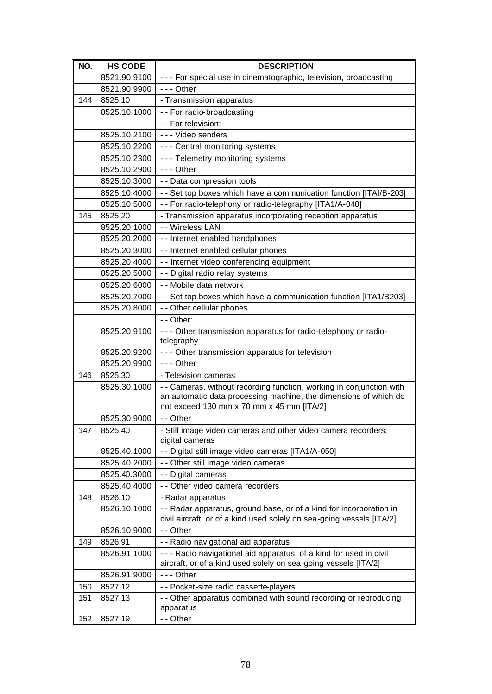| NO. | <b>HS CODE</b> | <b>DESCRIPTION</b>                                                                                                                       |
|-----|----------------|------------------------------------------------------------------------------------------------------------------------------------------|
|     | 8521.90.9100   | - - - For special use in cinematographic, television, broadcasting                                                                       |
|     | 8521.90.9900   | $--$ Other                                                                                                                               |
| 144 | 8525.10        | - Transmission apparatus                                                                                                                 |
|     | 8525.10.1000   | - - For radio-broadcasting                                                                                                               |
|     |                | - - For television:                                                                                                                      |
|     | 8525.10.2100   | - - - Video senders                                                                                                                      |
|     | 8525.10.2200   | - - - Central monitoring systems                                                                                                         |
|     | 8525.10.2300   | --- Telemetry monitoring systems                                                                                                         |
|     | 8525.10.2900   | $- -$ Other                                                                                                                              |
|     | 8525.10.3000   | - - Data compression tools                                                                                                               |
|     | 8525.10.4000   | - - Set top boxes which have a communication function [ITAI/B-203]                                                                       |
|     | 8525.10.5000   | - - For radio-telephony or radio-telegraphy [ITA1/A-048]                                                                                 |
| 145 | 8525.20        | - Transmission apparatus incorporating reception apparatus                                                                               |
|     | 8525.20.1000   | - - Wireless LAN                                                                                                                         |
|     | 8525.20.2000   | - - Internet enabled handphones                                                                                                          |
|     | 8525.20.3000   | - - Internet enabled cellular phones                                                                                                     |
|     | 8525.20.4000   | - - Internet video conferencing equipment                                                                                                |
|     | 8525.20.5000   | - - Digital radio relay systems                                                                                                          |
|     | 8525.20.6000   | - - Mobile data network                                                                                                                  |
|     | 8525.20.7000   | - - Set top boxes which have a communication function [ITA1/B203]                                                                        |
|     | 8525.20.8000   | - - Other cellular phones                                                                                                                |
|     |                | - - Other:                                                                                                                               |
|     | 8525.20.9100   | - - - Other transmission apparatus for radio-telephony or radio-                                                                         |
|     |                | telegraphy                                                                                                                               |
|     | 8525.20.9200   | - - - Other transmission apparatus for television                                                                                        |
|     | 8525.20.9900   | --- Other                                                                                                                                |
| 146 | 8525.30        | - Television cameras                                                                                                                     |
|     | 8525.30.1000   | - - Cameras, without recording function, working in conjunction with<br>an automatic data processing machine, the dimensions of which do |
|     |                | not exceed 130 mm x 70 mm x 45 mm [ITA/2]                                                                                                |
|     | 8525.30.9000   | - - Other                                                                                                                                |
| 147 | 8525.40        | - Still image video cameras and other video camera recorders;                                                                            |
|     |                | digital cameras                                                                                                                          |
|     | 8525.40.1000   | - - Digital still image video cameras [ITA1/A-050]                                                                                       |
|     | 8525.40.2000   | - - Other still image video cameras                                                                                                      |
|     | 8525.40.3000   | - - Digital cameras                                                                                                                      |
|     | 8525.40.4000   | - - Other video camera recorders                                                                                                         |
| 148 | 8526.10        | - Radar apparatus                                                                                                                        |
|     | 8526.10.1000   | - - Radar apparatus, ground base, or of a kind for incorporation in                                                                      |
|     |                | civil aircraft, or of a kind used solely on sea-going vessels [ITA/2]                                                                    |
|     | 8526.10.9000   | - - Other                                                                                                                                |
| 149 | 8526.91        | - - Radio navigational aid apparatus                                                                                                     |
|     | 8526.91.1000   | - - - Radio navigational aid apparatus, of a kind for used in civil                                                                      |
|     |                | aircraft, or of a kind used solely on sea-going vessels [ITA/2]                                                                          |
|     | 8526.91.9000   | --- Other                                                                                                                                |
| 150 | 8527.12        | - - Pocket-size radio cassette-players                                                                                                   |
| 151 | 8527.13        | - - Other apparatus combined with sound recording or reproducing                                                                         |
| 152 | 8527.19        | apparatus<br>- - Other                                                                                                                   |
|     |                |                                                                                                                                          |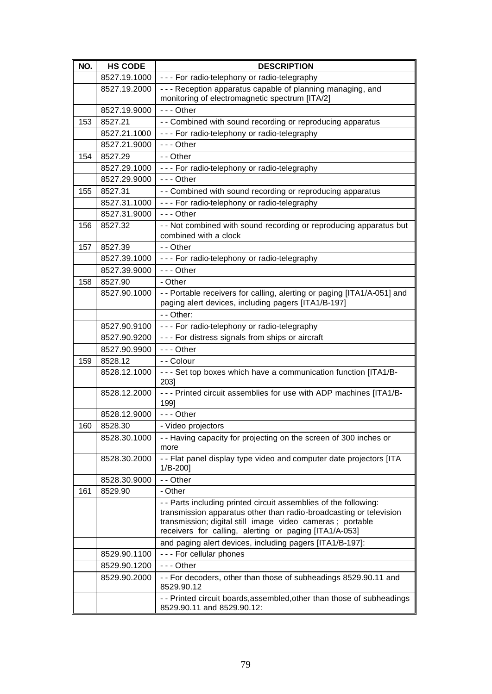| NO. | <b>HS CODE</b> | <b>DESCRIPTION</b>                                                                                                                                                                                                                                             |
|-----|----------------|----------------------------------------------------------------------------------------------------------------------------------------------------------------------------------------------------------------------------------------------------------------|
|     | 8527.19.1000   | --- For radio-telephony or radio-telegraphy                                                                                                                                                                                                                    |
|     | 8527.19.2000   | - - - Reception apparatus capable of planning managing, and<br>monitoring of electromagnetic spectrum [ITA/2]                                                                                                                                                  |
|     | 8527.19.9000   | $- -$ Other                                                                                                                                                                                                                                                    |
| 153 | 8527.21        | - - Combined with sound recording or reproducing apparatus                                                                                                                                                                                                     |
|     | 8527.21.1000   | --- For radio-telephony or radio-telegraphy                                                                                                                                                                                                                    |
|     | 8527.21.9000   | $- -$ Other                                                                                                                                                                                                                                                    |
| 154 | 8527.29        | - - Other                                                                                                                                                                                                                                                      |
|     | 8527.29.1000   | --- For radio-telephony or radio-telegraphy                                                                                                                                                                                                                    |
|     | 8527.29.9000   | $- -$ Other                                                                                                                                                                                                                                                    |
| 155 | 8527.31        | - - Combined with sound recording or reproducing apparatus                                                                                                                                                                                                     |
|     | 8527.31.1000   | --- For radio-telephony or radio-telegraphy                                                                                                                                                                                                                    |
|     | 8527.31.9000   | $- -$ Other                                                                                                                                                                                                                                                    |
| 156 | 8527.32        | - - Not combined with sound recording or reproducing apparatus but<br>combined with a clock                                                                                                                                                                    |
| 157 | 8527.39        | - - Other                                                                                                                                                                                                                                                      |
|     | 8527.39.1000   | --- For radio-telephony or radio-telegraphy                                                                                                                                                                                                                    |
|     | 8527.39.9000   | $--$ Other                                                                                                                                                                                                                                                     |
| 158 | 8527.90        | - Other                                                                                                                                                                                                                                                        |
|     | 8527.90.1000   | - - Portable receivers for calling, alerting or paging [ITA1/A-051] and<br>paging alert devices, including pagers [ITA1/B-197]                                                                                                                                 |
|     |                | - - Other:                                                                                                                                                                                                                                                     |
|     | 8527.90.9100   | --- For radio-telephony or radio-telegraphy                                                                                                                                                                                                                    |
|     | 8527.90.9200   | - - - For distress signals from ships or aircraft                                                                                                                                                                                                              |
|     | 8527.90.9900   | $--$ Other                                                                                                                                                                                                                                                     |
| 159 | 8528.12        | - - Colour                                                                                                                                                                                                                                                     |
|     | 8528.12.1000   | - - - Set top boxes which have a communication function [ITA1/B-<br>2031                                                                                                                                                                                       |
|     | 8528.12.2000   | - - - Printed circuit assemblies for use with ADP machines [ITA1/B-<br>1991                                                                                                                                                                                    |
|     | 8528.12.9000   | $--$ Other                                                                                                                                                                                                                                                     |
| 160 | 8528.30        | - Video projectors                                                                                                                                                                                                                                             |
|     | 8528.30.1000   | - - Having capacity for projecting on the screen of 300 inches or<br>more                                                                                                                                                                                      |
|     | 8528.30.2000   | - - Flat panel display type video and computer date projectors [ITA<br>$1/B-200$                                                                                                                                                                               |
|     | 8528.30.9000   | - - Other                                                                                                                                                                                                                                                      |
| 161 | 8529.90        | - Other                                                                                                                                                                                                                                                        |
|     |                | - - Parts including printed circuit assemblies of the following:<br>transmission apparatus other than radio-broadcasting or television<br>transmission; digital still image video cameras ; portable<br>receivers for calling, alerting or paging [ITA1/A-053] |
|     |                | and paging alert devices, including pagers [ITA1/B-197]:                                                                                                                                                                                                       |
|     | 8529.90.1100   | - - - For cellular phones                                                                                                                                                                                                                                      |
|     | 8529.90.1200   | $--$ Other                                                                                                                                                                                                                                                     |
|     | 8529.90.2000   | - - For decoders, other than those of subheadings 8529.90.11 and<br>8529.90.12                                                                                                                                                                                 |
|     |                | - - Printed circuit boards, assembled, other than those of subheadings<br>8529.90.11 and 8529.90.12:                                                                                                                                                           |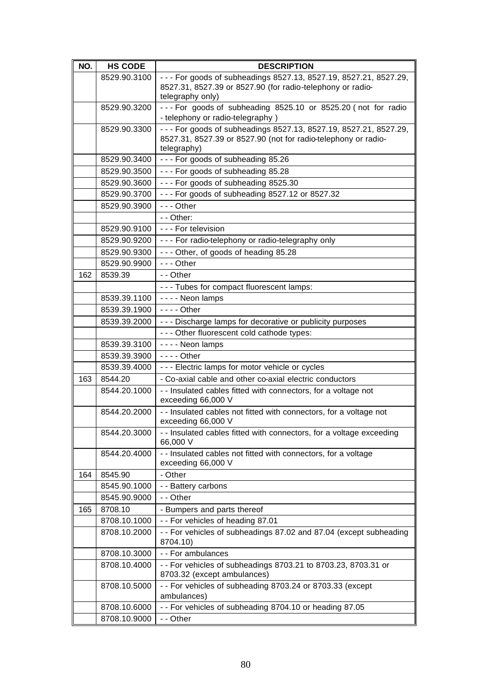| NO. | <b>HS CODE</b> | <b>DESCRIPTION</b>                                                                   |
|-----|----------------|--------------------------------------------------------------------------------------|
|     | 8529.90.3100   | --- For goods of subheadings 8527.13, 8527.19, 8527.21, 8527.29,                     |
|     |                | 8527.31, 8527.39 or 8527.90 (for radio-telephony or radio-                           |
|     |                | telegraphy only)                                                                     |
|     | 8529.90.3200   | --- For goods of subheading 8525.10 or 8525.20 (not for radio                        |
|     |                | - telephony or radio-telegraphy)                                                     |
|     | 8529.90.3300   | - - - For goods of subheadings 8527.13, 8527.19, 8527.21, 8527.29,                   |
|     |                | 8527.31, 8527.39 or 8527.90 (not for radio-telephony or radio-                       |
|     | 8529.90.3400   | telegraphy)<br>--- For goods of subheading 85.26                                     |
|     | 8529.90.3500   | --- For goods of subheading 85.28                                                    |
|     |                |                                                                                      |
|     | 8529.90.3600   | --- For goods of subheading 8525.30                                                  |
|     | 8529.90.3700   | --- For goods of subheading 8527.12 or 8527.32                                       |
|     | 8529.90.3900   | $--$ Other                                                                           |
|     |                | - - Other:                                                                           |
|     | 8529.90.9100   | - - - For television                                                                 |
|     | 8529.90.9200   | --- For radio-telephony or radio-telegraphy only                                     |
|     | 8529.90.9300   | --- Other, of goods of heading 85.28                                                 |
|     | 8529.90.9900   | $- -$ Other                                                                          |
| 162 | 8539.39        | - - Other                                                                            |
|     |                | --- Tubes for compact fluorescent lamps:                                             |
|     | 8539.39.1100   | - - - - Neon lamps                                                                   |
|     | 8539.39.1900   | $--$ Other                                                                           |
|     | 8539.39.2000   | - - - Discharge lamps for decorative or publicity purposes                           |
|     |                | - - - Other fluorescent cold cathode types:                                          |
|     | 8539.39.3100   | - - - - Neon lamps                                                                   |
|     | 8539.39.3900   | - - - - Other                                                                        |
|     | 8539.39.4000   | - - - Electric lamps for motor vehicle or cycles                                     |
| 163 | 8544.20        | - Co-axial cable and other co-axial electric conductors                              |
|     | 8544.20.1000   | - - Insulated cables fitted with connectors, for a voltage not                       |
|     |                | exceeding 66,000 V                                                                   |
|     | 8544.20.2000   | - - Insulated cables not fitted with connectors, for a voltage not                   |
|     |                | exceeding 66,000 V                                                                   |
|     | 8544.20.3000   | - - Insulated cables fitted with connectors, for a voltage exceeding<br>66,000 V     |
|     | 8544.20.4000   |                                                                                      |
|     |                | - - Insulated cables not fitted with connectors, for a voltage<br>exceeding 66,000 V |
| 164 | 8545.90        | - Other                                                                              |
|     | 8545.90.1000   | - - Battery carbons                                                                  |
|     | 8545.90.9000   | - - Other                                                                            |
| 165 | 8708.10        | - Bumpers and parts thereof                                                          |
|     | 8708.10.1000   | -- For vehicles of heading 87.01                                                     |
|     | 8708.10.2000   | - - For vehicles of subheadings 87.02 and 87.04 (except subheading                   |
|     |                | 8704.10)                                                                             |
|     | 8708.10.3000   | - - For ambulances                                                                   |
|     | 8708.10.4000   | - - For vehicles of subheadings 8703.21 to 8703.23, 8703.31 or                       |
|     |                | 8703.32 (except ambulances)                                                          |
|     | 8708.10.5000   | -- For vehicles of subheading 8703.24 or 8703.33 (except                             |
|     |                | ambulances)                                                                          |
|     | 8708.10.6000   | -- For vehicles of subheading 8704.10 or heading 87.05                               |
|     | 8708.10.9000   | - - Other                                                                            |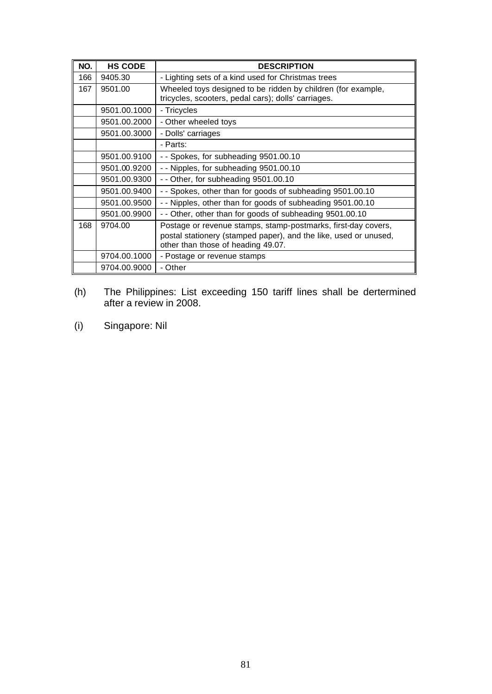| NO. | <b>HS CODE</b> | <b>DESCRIPTION</b>                                                                                                                                                      |
|-----|----------------|-------------------------------------------------------------------------------------------------------------------------------------------------------------------------|
| 166 | 9405.30        | - Lighting sets of a kind used for Christmas trees                                                                                                                      |
| 167 | 9501.00        | Wheeled toys designed to be ridden by children (for example,<br>tricycles, scooters, pedal cars); dolls' carriages.                                                     |
|     | 9501.00.1000   | - Tricycles                                                                                                                                                             |
|     | 9501.00.2000   | - Other wheeled toys                                                                                                                                                    |
|     | 9501.00.3000   | - Dolls' carriages                                                                                                                                                      |
|     |                | - Parts:                                                                                                                                                                |
|     | 9501.00.9100   | - - Spokes, for subheading 9501.00.10                                                                                                                                   |
|     | 9501.00.9200   | -- Nipples, for subheading 9501.00.10                                                                                                                                   |
|     | 9501.00.9300   | -- Other, for subheading 9501.00.10                                                                                                                                     |
|     | 9501.00.9400   | -- Spokes, other than for goods of subheading 9501.00.10                                                                                                                |
|     | 9501.00.9500   | - - Nipples, other than for goods of subheading 9501.00.10                                                                                                              |
|     | 9501.00.9900   | - - Other, other than for goods of subheading 9501.00.10                                                                                                                |
| 168 | 9704.00        | Postage or revenue stamps, stamp-postmarks, first-day covers,<br>postal stationery (stamped paper), and the like, used or unused,<br>other than those of heading 49.07. |
|     | 9704.00.1000   | - Postage or revenue stamps                                                                                                                                             |
|     | 9704.00.9000   | - Other                                                                                                                                                                 |

- (h) The Philippines: List exceeding 150 tariff lines shall be dertermined after a review in 2008.
- (i) Singapore: Nil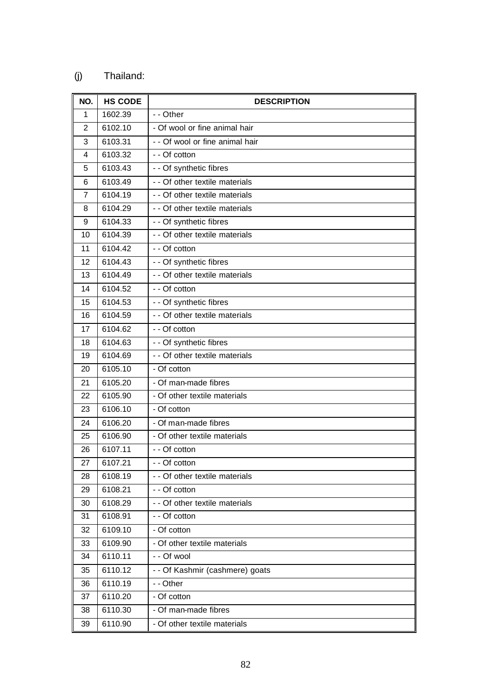## (j) Thailand:

| NO. | <b>HS CODE</b> | <b>DESCRIPTION</b>              |
|-----|----------------|---------------------------------|
| 1   | 1602.39        | - - Other                       |
| 2   | 6102.10        | - Of wool or fine animal hair   |
| 3   | 6103.31        | - - Of wool or fine animal hair |
| 4   | 6103.32        | - - Of cotton                   |
| 5   | 6103.43        | - - Of synthetic fibres         |
| 6   | 6103.49        | - - Of other textile materials  |
| 7   | 6104.19        | - - Of other textile materials  |
| 8   | 6104.29        | - - Of other textile materials  |
| 9   | 6104.33        | - - Of synthetic fibres         |
| 10  | 6104.39        | - - Of other textile materials  |
| 11  | 6104.42        | - - Of cotton                   |
| 12  | 6104.43        | - - Of synthetic fibres         |
| 13  | 6104.49        | - - Of other textile materials  |
| 14  | 6104.52        | - - Of cotton                   |
| 15  | 6104.53        | - - Of synthetic fibres         |
| 16  | 6104.59        | - - Of other textile materials  |
| 17  | 6104.62        | - - Of cotton                   |
| 18  | 6104.63        | - - Of synthetic fibres         |
| 19  | 6104.69        | - - Of other textile materials  |
| 20  | 6105.10        | - Of cotton                     |
| 21  | 6105.20        | - Of man-made fibres            |
| 22  | 6105.90        | - Of other textile materials    |
| 23  | 6106.10        | - Of cotton                     |
| 24  | 6106.20        | - Of man-made fibres            |
| 25  | 6106.90        | - Of other textile materials    |
| 26  | 6107.11        | - - Of cotton                   |
| 27  | 6107.21        | - - Of cotton                   |
| 28  | 6108.19        | - - Of other textile materials  |
| 29  | 6108.21        | - - Of cotton                   |
| 30  | 6108.29        | - - Of other textile materials  |
| 31  | 6108.91        | - - Of cotton                   |
| 32  | 6109.10        | - Of cotton                     |
| 33  | 6109.90        | - Of other textile materials    |
| 34  | 6110.11        | - - Of wool                     |
| 35  | 6110.12        | - - Of Kashmir (cashmere) goats |
| 36  | 6110.19        | - - Other                       |
| 37  | 6110.20        | - Of cotton                     |
| 38  | 6110.30        | - Of man-made fibres            |
| 39  | 6110.90        | - Of other textile materials    |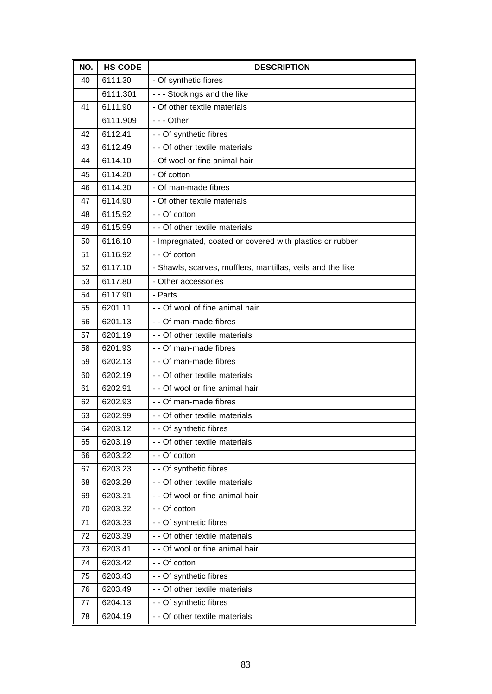| NO. | <b>HS CODE</b> | <b>DESCRIPTION</b>                                         |
|-----|----------------|------------------------------------------------------------|
| 40  | 6111.30        | - Of synthetic fibres                                      |
|     | 6111.301       | - - - Stockings and the like                               |
| 41  | 6111.90        | - Of other textile materials                               |
|     | 6111.909       | $- -$ Other                                                |
| 42  | 6112.41        | - - Of synthetic fibres                                    |
| 43  | 6112.49        | - - Of other textile materials                             |
| 44  | 6114.10        | - Of wool or fine animal hair                              |
| 45  | 6114.20        | - Of cotton                                                |
| 46  | 6114.30        | - Of man-made fibres                                       |
| 47  | 6114.90        | - Of other textile materials                               |
| 48  | 6115.92        | - - Of cotton                                              |
| 49  | 6115.99        | - - Of other textile materials                             |
| 50  | 6116.10        | - Impregnated, coated or covered with plastics or rubber   |
| 51  | 6116.92        | - - Of cotton                                              |
| 52  | 6117.10        | - Shawls, scarves, mufflers, mantillas, veils and the like |
| 53  | 6117.80        | - Other accessories                                        |
| 54  | 6117.90        | - Parts                                                    |
| 55  | 6201.11        | - - Of wool of fine animal hair                            |
| 56  | 6201.13        | - - Of man-made fibres                                     |
| 57  | 6201.19        | - - Of other textile materials                             |
| 58  | 6201.93        | - - Of man-made fibres                                     |
| 59  | 6202.13        | - - Of man-made fibres                                     |
| 60  | 6202.19        | - - Of other textile materials                             |
| 61  | 6202.91        | - - Of wool or fine animal hair                            |
| 62  | 6202.93        | - - Of man-made fibres                                     |
| 63  | 6202.99        | - - Of other textile materials                             |
| 64  | 6203.12        | - - Of synthetic fibres                                    |
| 65  | 6203.19        | - - Of other textile materials                             |
| 66  | 6203.22        | - - Of cotton                                              |
| 67  | 6203.23        | -- Of synthetic fibres                                     |
| 68  | 6203.29        | - - Of other textile materials                             |
| 69  | 6203.31        | - - Of wool or fine animal hair                            |
| 70  | 6203.32        | - - Of cotton                                              |
| 71  | 6203.33        | - - Of synthetic fibres                                    |
| 72  | 6203.39        | - - Of other textile materials                             |
| 73  | 6203.41        | - - Of wool or fine animal hair                            |
| 74  | 6203.42        | - - Of cotton                                              |
| 75  | 6203.43        | - - Of synthetic fibres                                    |
| 76  | 6203.49        | - - Of other textile materials                             |
| 77  | 6204.13        | - - Of synthetic fibres                                    |
| 78  | 6204.19        | - - Of other textile materials                             |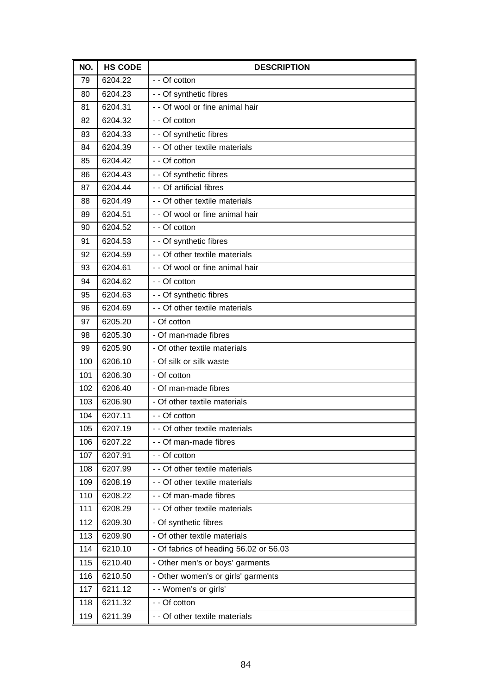| NO. | <b>HS CODE</b> | <b>DESCRIPTION</b>                     |
|-----|----------------|----------------------------------------|
| 79  | 6204.22        | - - Of cotton                          |
| 80  | 6204.23        | - - Of synthetic fibres                |
| 81  | 6204.31        | - - Of wool or fine animal hair        |
| 82  | 6204.32        | - - Of cotton                          |
| 83  | 6204.33        | - - Of synthetic fibres                |
| 84  | 6204.39        | - - Of other textile materials         |
| 85  | 6204.42        | - - Of cotton                          |
| 86  | 6204.43        | - - Of synthetic fibres                |
| 87  | 6204.44        | - - Of artificial fibres               |
| 88  | 6204.49        | - - Of other textile materials         |
| 89  | 6204.51        | - - Of wool or fine animal hair        |
| 90  | 6204.52        | - - Of cotton                          |
| 91  | 6204.53        | - - Of synthetic fibres                |
| 92  | 6204.59        | - - Of other textile materials         |
| 93  | 6204.61        | - - Of wool or fine animal hair        |
| 94  | 6204.62        | - - Of cotton                          |
| 95  | 6204.63        | - - Of synthetic fibres                |
| 96  | 6204.69        | - - Of other textile materials         |
| 97  | 6205.20        | - Of cotton                            |
| 98  | 6205.30        | - Of man-made fibres                   |
| 99  | 6205.90        | - Of other textile materials           |
| 100 | 6206.10        | - Of silk or silk waste                |
| 101 | 6206.30        | - Of cotton                            |
| 102 | 6206.40        | - Of man-made fibres                   |
| 103 | 6206.90        | - Of other textile materials           |
| 104 | 6207.11        | - - Of cotton                          |
| 105 | 6207.19        | - - Of other textile materials         |
| 106 | 6207.22        | - - Of man-made fibres                 |
| 107 | 6207.91        | - - Of cotton                          |
| 108 | 6207.99        | - - Of other textile materials         |
| 109 | 6208.19        | - - Of other textile materials         |
| 110 | 6208.22        | - - Of man-made fibres                 |
| 111 | 6208.29        | - - Of other textile materials         |
| 112 | 6209.30        | - Of synthetic fibres                  |
| 113 | 6209.90        | - Of other textile materials           |
| 114 | 6210.10        | - Of fabrics of heading 56.02 or 56.03 |
| 115 | 6210.40        | - Other men's or boys' garments        |
| 116 | 6210.50        | - Other women's or girls' garments     |
| 117 | 6211.12        | - - Women's or girls'                  |
| 118 | 6211.32        | - - Of cotton                          |
| 119 | 6211.39        | - - Of other textile materials         |